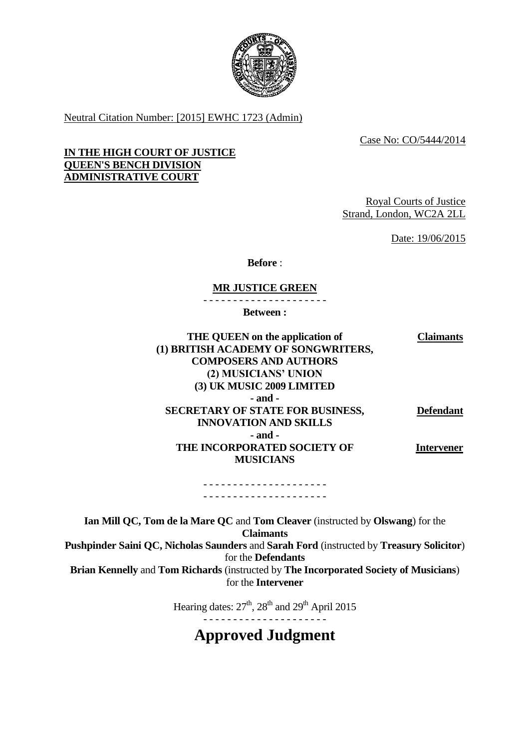

Neutral Citation Number: [2015] EWHC 1723 (Admin)

Case No: CO/5444/2014

#### **IN THE HIGH COURT OF JUSTICE QUEEN'S BENCH DIVISION ADMINISTRATIVE COURT**

Royal Courts of Justice Strand, London, WC2A 2LL

Date: 19/06/2015

**Before** :

### **MR JUSTICE GREEN**

- - - - - - - - - - - - - - - - - - - - -

**Between :**

**THE QUEEN on the application of (1) BRITISH ACADEMY OF SONGWRITERS, COMPOSERS AND AUTHORS (2) MUSICIANS' UNION (3) UK MUSIC 2009 LIMITED Claimants - and - SECRETARY OF STATE FOR BUSINESS, INNOVATION AND SKILLS - and - THE INCORPORATED SOCIETY OF MUSICIANS Defendant Intervener**

> - - - - - - - - - - - - - - - - - - - - - - - - - - - - - - - - - - - - - - - - - -

**Ian Mill QC, Tom de la Mare QC** and **Tom Cleaver** (instructed by **Olswang**) for the **Claimants Pushpinder Saini QC, Nicholas Saunders** and **Sarah Ford** (instructed by **Treasury Solicitor**) for the **Defendants Brian Kennelly** and **Tom Richards** (instructed by **The Incorporated Society of Musicians**) for the **Intervener**

Hearing dates:  $27<sup>th</sup>$ ,  $28<sup>th</sup>$  and  $29<sup>th</sup>$  April 2015

- - - - - - - - - - - - - - - - - - - - -

**Approved Judgment**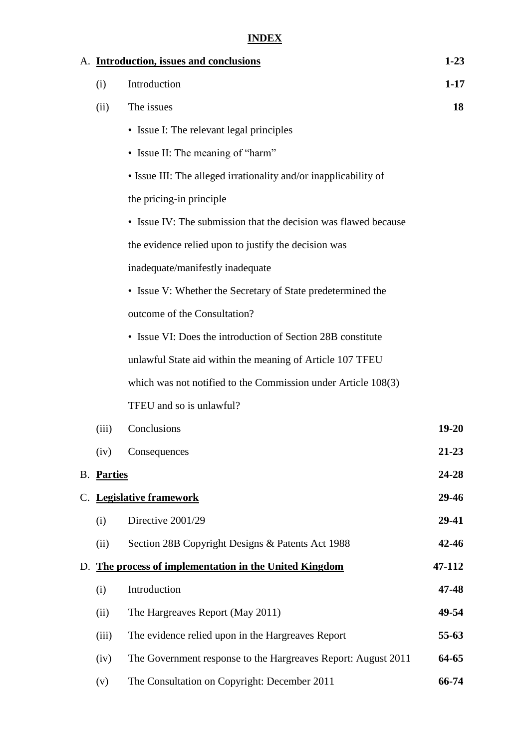# **INDEX**

|    |            | A. Introduction, issues and conclusions                          | $1 - 23$  |
|----|------------|------------------------------------------------------------------|-----------|
|    | (i)        | Introduction                                                     | $1 - 17$  |
|    | (ii)       | The issues                                                       | 18        |
|    |            | • Issue I: The relevant legal principles                         |           |
|    |            | • Issue II: The meaning of "harm"                                |           |
|    |            | • Issue III: The alleged irrationality and/or inapplicability of |           |
|    |            | the pricing-in principle                                         |           |
|    |            | • Issue IV: The submission that the decision was flawed because  |           |
|    |            | the evidence relied upon to justify the decision was             |           |
|    |            | inadequate/manifestly inadequate                                 |           |
|    |            | • Issue V: Whether the Secretary of State predetermined the      |           |
|    |            | outcome of the Consultation?                                     |           |
|    |            | • Issue VI: Does the introduction of Section 28B constitute      |           |
|    |            | unlawful State aid within the meaning of Article 107 TFEU        |           |
|    |            | which was not notified to the Commission under Article 108(3)    |           |
|    |            | TFEU and so is unlawful?                                         |           |
|    | (iii)      | Conclusions                                                      | $19 - 20$ |
|    | (iv)       | Consequences                                                     | 21-23     |
|    | B. Parties |                                                                  | 24-28     |
|    |            | C. Legislative framework                                         | 29-46     |
|    | (i)        | Directive 2001/29                                                | 29-41     |
|    | (ii)       | Section 28B Copyright Designs & Patents Act 1988                 | 42-46     |
| D. |            | The process of implementation in the United Kingdom              | 47-112    |
|    | (i)        | Introduction                                                     | 47-48     |
|    | (ii)       | The Hargreaves Report (May 2011)                                 | 49-54     |
|    | (iii)      | The evidence relied upon in the Hargreaves Report                | $55-63$   |
|    | (iv)       | The Government response to the Hargreaves Report: August 2011    | 64-65     |
|    | (v)        | The Consultation on Copyright: December 2011                     | 66-74     |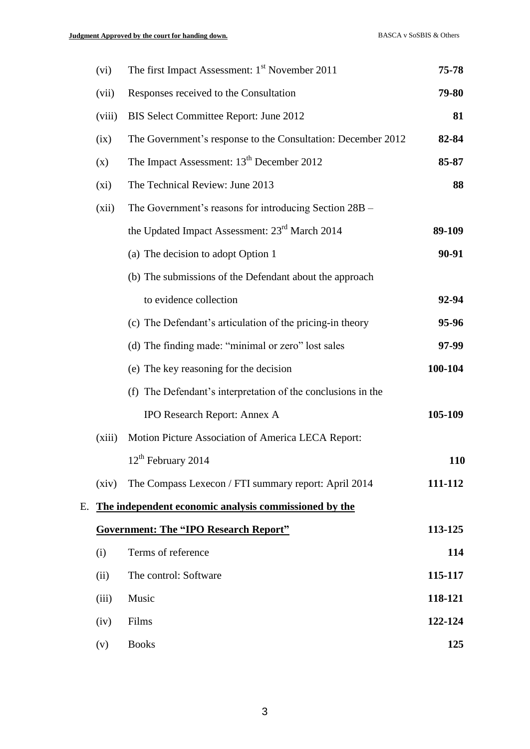|    | (vi)   | The first Impact Assessment: 1 <sup>st</sup> November 2011   | 75-78   |
|----|--------|--------------------------------------------------------------|---------|
|    | (vii)  | Responses received to the Consultation                       | 79-80   |
|    | (viii) | BIS Select Committee Report: June 2012                       | 81      |
|    | (ix)   | The Government's response to the Consultation: December 2012 | 82-84   |
|    | (x)    | The Impact Assessment: 13 <sup>th</sup> December 2012        | 85-87   |
|    | (xi)   | The Technical Review: June 2013                              | 88      |
|    | (xii)  | The Government's reasons for introducing Section 28B -       |         |
|    |        | the Updated Impact Assessment: 23 <sup>rd</sup> March 2014   | 89-109  |
|    |        | (a) The decision to adopt Option 1                           | 90-91   |
|    |        | (b) The submissions of the Defendant about the approach      |         |
|    |        | to evidence collection                                       | 92-94   |
|    |        | (c) The Defendant's articulation of the pricing-in theory    | 95-96   |
|    |        | (d) The finding made: "minimal or zero" lost sales           | 97-99   |
|    |        | (e) The key reasoning for the decision                       | 100-104 |
|    |        | (f) The Defendant's interpretation of the conclusions in the |         |
|    |        | IPO Research Report: Annex A                                 | 105-109 |
|    | (xiii) | Motion Picture Association of America LECA Report:           |         |
|    |        | $12th$ February 2014                                         | 110     |
|    | (xiv)  | The Compass Lexecon / FTI summary report: April 2014         | 111-112 |
| E. |        | The independent economic analysis commissioned by the        |         |
|    |        | <b>Government: The "IPO Research Report"</b>                 | 113-125 |
|    | (i)    | Terms of reference                                           | 114     |
|    | (ii)   | The control: Software                                        | 115-117 |
|    | (iii)  | Music                                                        | 118-121 |
|    | (iv)   | Films                                                        | 122-124 |
|    | (v)    | <b>Books</b>                                                 | 125     |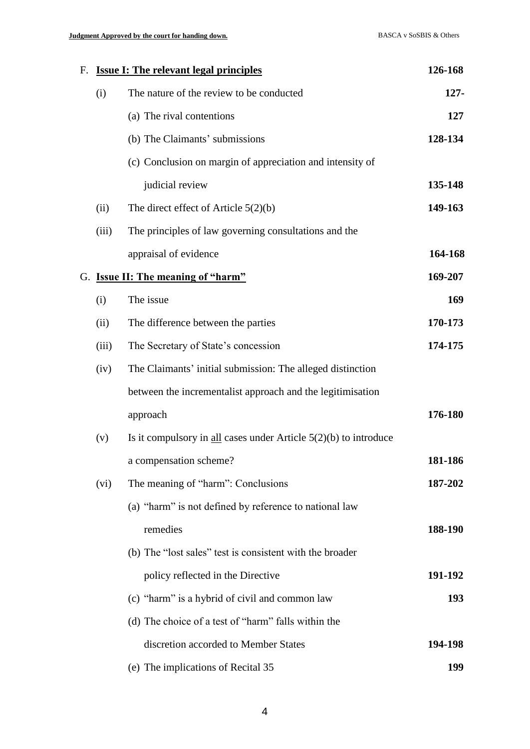| F. |       | <b>Issue I: The relevant legal principles</b>                        | 126-168 |
|----|-------|----------------------------------------------------------------------|---------|
|    | (i)   | The nature of the review to be conducted                             | $127 -$ |
|    |       | (a) The rival contentions                                            | 127     |
|    |       | (b) The Claimants' submissions                                       | 128-134 |
|    |       | (c) Conclusion on margin of appreciation and intensity of            |         |
|    |       | judicial review                                                      | 135-148 |
|    | (ii)  | The direct effect of Article $5(2)(b)$                               | 149-163 |
|    | (iii) | The principles of law governing consultations and the                |         |
|    |       | appraisal of evidence                                                | 164-168 |
|    |       | G. Issue II: The meaning of "harm"                                   | 169-207 |
|    | (i)   | The issue                                                            | 169     |
|    | (ii)  | The difference between the parties                                   | 170-173 |
|    | (iii) | The Secretary of State's concession                                  | 174-175 |
|    | (iv)  | The Claimants' initial submission: The alleged distinction           |         |
|    |       | between the incrementalist approach and the legitimisation           |         |
|    |       | approach                                                             | 176-180 |
|    | (v)   | Is it compulsory in $all$ cases under Article $5(2)(b)$ to introduce |         |
|    |       | a compensation scheme?                                               | 181-186 |
|    | (vi)  | The meaning of "harm": Conclusions                                   | 187-202 |
|    |       | (a) "harm" is not defined by reference to national law               |         |
|    |       | remedies                                                             | 188-190 |
|    |       | (b) The "lost sales" test is consistent with the broader             |         |
|    |       | policy reflected in the Directive                                    | 191-192 |
|    |       | (c) "harm" is a hybrid of civil and common law                       | 193     |
|    |       | (d) The choice of a test of "harm" falls within the                  |         |
|    |       | discretion accorded to Member States                                 | 194-198 |
|    |       | (e) The implications of Recital 35                                   | 199     |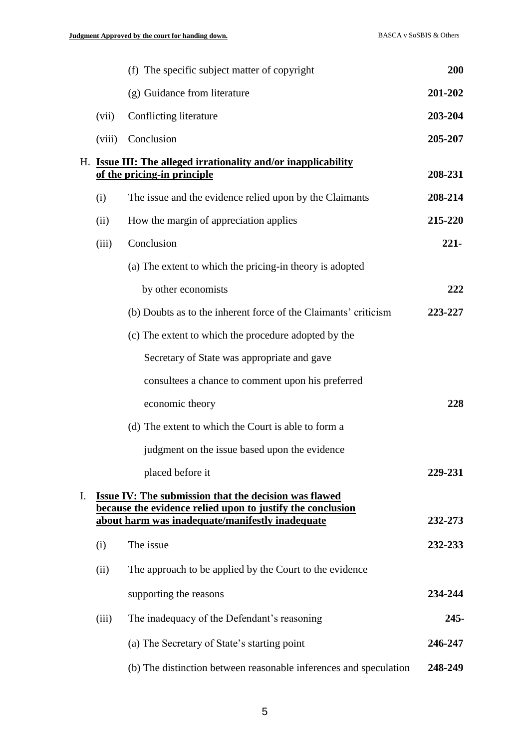|    |        | (f) The specific subject matter of copyright                                                                  | 200     |
|----|--------|---------------------------------------------------------------------------------------------------------------|---------|
|    |        | (g) Guidance from literature                                                                                  | 201-202 |
|    | (vii)  | Conflicting literature                                                                                        | 203-204 |
|    | (viii) | Conclusion                                                                                                    | 205-207 |
| Н. |        | <b>Issue III: The alleged irrationality and/or inapplicability</b><br>of the pricing-in principle             | 208-231 |
|    | (i)    | The issue and the evidence relied upon by the Claimants                                                       | 208-214 |
|    | (ii)   | How the margin of appreciation applies                                                                        | 215-220 |
|    | (iii)  | Conclusion                                                                                                    | $221 -$ |
|    |        | (a) The extent to which the pricing-in theory is adopted                                                      |         |
|    |        | by other economists                                                                                           | 222     |
|    |        | (b) Doubts as to the inherent force of the Claimants' criticism                                               | 223-227 |
|    |        | (c) The extent to which the procedure adopted by the                                                          |         |
|    |        | Secretary of State was appropriate and gave                                                                   |         |
|    |        | consultees a chance to comment upon his preferred                                                             |         |
|    |        | economic theory                                                                                               | 228     |
|    |        | (d) The extent to which the Court is able to form a                                                           |         |
|    |        | judgment on the issue based upon the evidence                                                                 |         |
|    |        | placed before it                                                                                              | 229-231 |
| I. |        | <b>Issue IV: The submission that the decision was flawed</b>                                                  |         |
|    |        | because the evidence relied upon to justify the conclusion<br>about harm was inadequate/manifestly inadequate | 232-273 |
|    | (i)    | The issue                                                                                                     | 232-233 |
|    | (ii)   | The approach to be applied by the Court to the evidence                                                       |         |
|    |        | supporting the reasons                                                                                        | 234-244 |
|    | (iii)  | The inadequacy of the Defendant's reasoning                                                                   | $245 -$ |
|    |        | (a) The Secretary of State's starting point                                                                   | 246-247 |
|    |        | (b) The distinction between reasonable inferences and speculation                                             | 248-249 |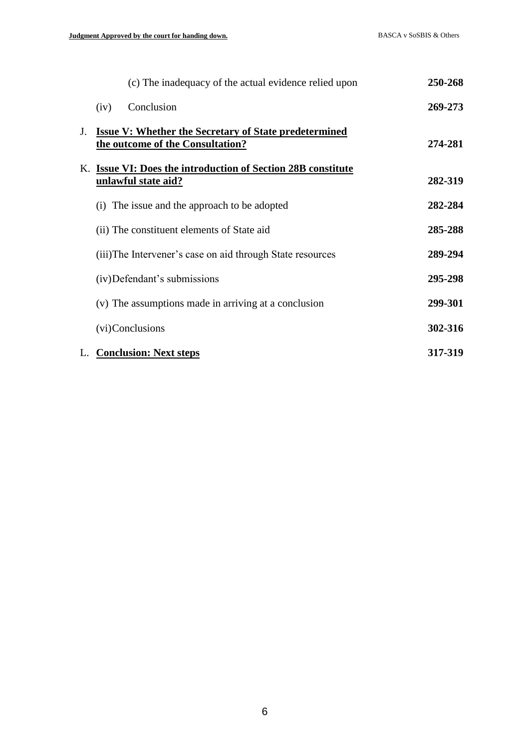| (c) The inadequacy of the actual evidence relied upon                                                  | 250-268 |
|--------------------------------------------------------------------------------------------------------|---------|
| Conclusion<br>(iv)                                                                                     | 269-273 |
| <b>Issue V: Whether the Secretary of State predetermined</b><br>J.<br>the outcome of the Consultation? | 274-281 |
| K. Issue VI: Does the introduction of Section 28B constitute<br>unlawful state aid?                    | 282-319 |
| (i) The issue and the approach to be adopted                                                           | 282-284 |
| (ii) The constituent elements of State aid                                                             | 285-288 |
| (iii) The Intervener's case on aid through State resources                                             | 289-294 |
| (iv) Defendant's submissions                                                                           | 295-298 |
| (v) The assumptions made in arriving at a conclusion                                                   | 299-301 |
| (vi)Conclusions                                                                                        | 302-316 |
| L. Conclusion: Next steps                                                                              | 317-319 |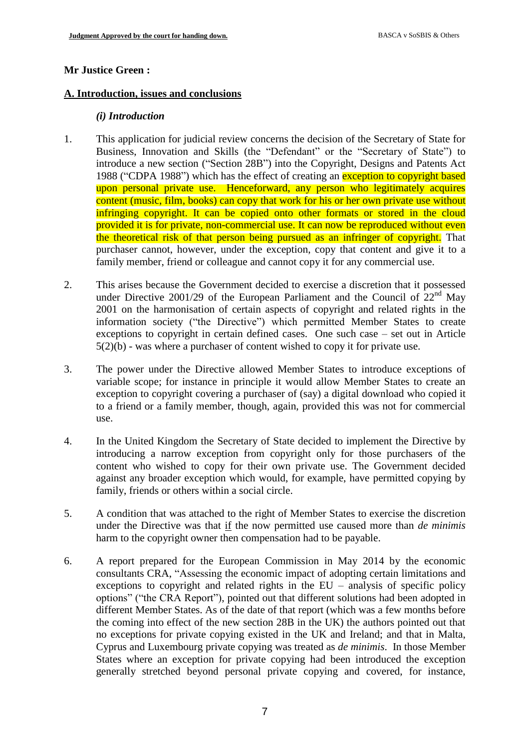#### **Mr Justice Green :**

#### **A. Introduction, issues and conclusions**

#### *(i) Introduction*

- 1. This application for judicial review concerns the decision of the Secretary of State for Business, Innovation and Skills (the "Defendant" or the "Secretary of State") to introduce a new section ("Section 28B") into the Copyright, Designs and Patents Act 1988 ("CDPA 1988") which has the effect of creating an exception to copyright based upon personal private use. Henceforward, any person who legitimately acquires content (music, film, books) can copy that work for his or her own private use without infringing copyright. It can be copied onto other formats or stored in the cloud provided it is for private, non-commercial use. It can now be reproduced without even the theoretical risk of that person being pursued as an infringer of copyright. That purchaser cannot, however, under the exception, copy that content and give it to a family member, friend or colleague and cannot copy it for any commercial use.
- 2. This arises because the Government decided to exercise a discretion that it possessed under Directive 2001/29 of the European Parliament and the Council of  $22<sup>nd</sup>$  May 2001 on the harmonisation of certain aspects of copyright and related rights in the information society ("the Directive") which permitted Member States to create exceptions to copyright in certain defined cases. One such case – set out in Article 5(2)(b) - was where a purchaser of content wished to copy it for private use.
- 3. The power under the Directive allowed Member States to introduce exceptions of variable scope; for instance in principle it would allow Member States to create an exception to copyright covering a purchaser of (say) a digital download who copied it to a friend or a family member, though, again, provided this was not for commercial use.
- 4. In the United Kingdom the Secretary of State decided to implement the Directive by introducing a narrow exception from copyright only for those purchasers of the content who wished to copy for their own private use. The Government decided against any broader exception which would, for example, have permitted copying by family, friends or others within a social circle.
- 5. A condition that was attached to the right of Member States to exercise the discretion under the Directive was that if the now permitted use caused more than *de minimis* harm to the copyright owner then compensation had to be payable.
- 6. A report prepared for the European Commission in May 2014 by the economic consultants CRA, "Assessing the economic impact of adopting certain limitations and exceptions to copyright and related rights in the EU – analysis of specific policy options" ("the CRA Report"), pointed out that different solutions had been adopted in different Member States. As of the date of that report (which was a few months before the coming into effect of the new section 28B in the UK) the authors pointed out that no exceptions for private copying existed in the UK and Ireland; and that in Malta, Cyprus and Luxembourg private copying was treated as *de minimis*. In those Member States where an exception for private copying had been introduced the exception generally stretched beyond personal private copying and covered, for instance,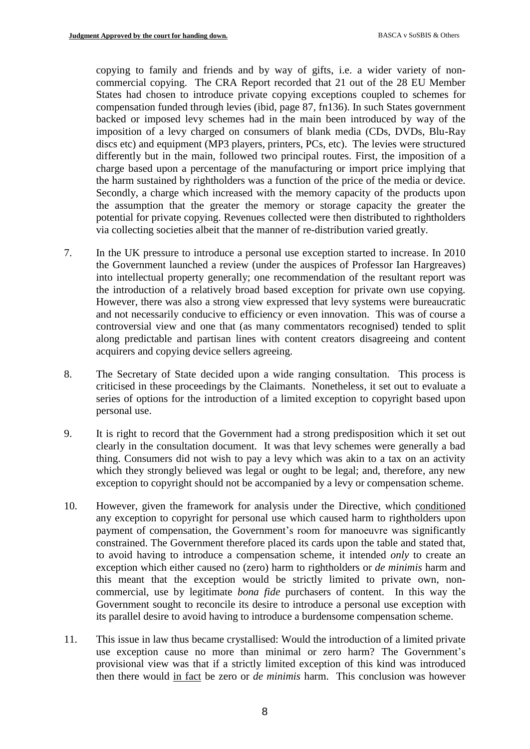copying to family and friends and by way of gifts, i.e. a wider variety of noncommercial copying. The CRA Report recorded that 21 out of the 28 EU Member States had chosen to introduce private copying exceptions coupled to schemes for compensation funded through levies (ibid, page 87, fn136). In such States government backed or imposed levy schemes had in the main been introduced by way of the imposition of a levy charged on consumers of blank media (CDs, DVDs, Blu-Ray discs etc) and equipment (MP3 players, printers, PCs, etc). The levies were structured differently but in the main, followed two principal routes. First, the imposition of a charge based upon a percentage of the manufacturing or import price implying that the harm sustained by rightholders was a function of the price of the media or device. Secondly, a charge which increased with the memory capacity of the products upon the assumption that the greater the memory or storage capacity the greater the potential for private copying. Revenues collected were then distributed to rightholders via collecting societies albeit that the manner of re-distribution varied greatly.

- 7. In the UK pressure to introduce a personal use exception started to increase. In 2010 the Government launched a review (under the auspices of Professor Ian Hargreaves) into intellectual property generally; one recommendation of the resultant report was the introduction of a relatively broad based exception for private own use copying. However, there was also a strong view expressed that levy systems were bureaucratic and not necessarily conducive to efficiency or even innovation. This was of course a controversial view and one that (as many commentators recognised) tended to split along predictable and partisan lines with content creators disagreeing and content acquirers and copying device sellers agreeing.
- 8. The Secretary of State decided upon a wide ranging consultation. This process is criticised in these proceedings by the Claimants. Nonetheless, it set out to evaluate a series of options for the introduction of a limited exception to copyright based upon personal use.
- 9. It is right to record that the Government had a strong predisposition which it set out clearly in the consultation document. It was that levy schemes were generally a bad thing. Consumers did not wish to pay a levy which was akin to a tax on an activity which they strongly believed was legal or ought to be legal; and, therefore, any new exception to copyright should not be accompanied by a levy or compensation scheme.
- 10. However, given the framework for analysis under the Directive, which conditioned any exception to copyright for personal use which caused harm to rightholders upon payment of compensation, the Government's room for manoeuvre was significantly constrained. The Government therefore placed its cards upon the table and stated that, to avoid having to introduce a compensation scheme, it intended *only* to create an exception which either caused no (zero) harm to rightholders or *de minimis* harm and this meant that the exception would be strictly limited to private own, noncommercial, use by legitimate *bona fide* purchasers of content. In this way the Government sought to reconcile its desire to introduce a personal use exception with its parallel desire to avoid having to introduce a burdensome compensation scheme.
- 11. This issue in law thus became crystallised: Would the introduction of a limited private use exception cause no more than minimal or zero harm? The Government's provisional view was that if a strictly limited exception of this kind was introduced then there would in fact be zero or *de minimis* harm. This conclusion was however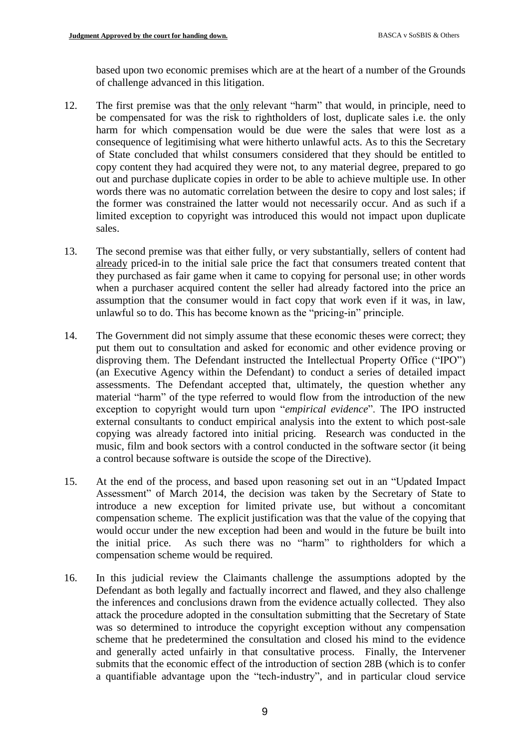based upon two economic premises which are at the heart of a number of the Grounds of challenge advanced in this litigation.

- 12. The first premise was that the only relevant "harm" that would, in principle, need to be compensated for was the risk to rightholders of lost, duplicate sales i.e. the only harm for which compensation would be due were the sales that were lost as a consequence of legitimising what were hitherto unlawful acts. As to this the Secretary of State concluded that whilst consumers considered that they should be entitled to copy content they had acquired they were not, to any material degree, prepared to go out and purchase duplicate copies in order to be able to achieve multiple use. In other words there was no automatic correlation between the desire to copy and lost sales; if the former was constrained the latter would not necessarily occur. And as such if a limited exception to copyright was introduced this would not impact upon duplicate sales.
- 13. The second premise was that either fully, or very substantially, sellers of content had already priced-in to the initial sale price the fact that consumers treated content that they purchased as fair game when it came to copying for personal use; in other words when a purchaser acquired content the seller had already factored into the price an assumption that the consumer would in fact copy that work even if it was, in law, unlawful so to do. This has become known as the "pricing-in" principle.
- 14. The Government did not simply assume that these economic theses were correct; they put them out to consultation and asked for economic and other evidence proving or disproving them. The Defendant instructed the Intellectual Property Office ("IPO") (an Executive Agency within the Defendant) to conduct a series of detailed impact assessments. The Defendant accepted that, ultimately, the question whether any material "harm" of the type referred to would flow from the introduction of the new exception to copyright would turn upon "*empirical evidence*". The IPO instructed external consultants to conduct empirical analysis into the extent to which post-sale copying was already factored into initial pricing. Research was conducted in the music, film and book sectors with a control conducted in the software sector (it being a control because software is outside the scope of the Directive).
- 15. At the end of the process, and based upon reasoning set out in an "Updated Impact Assessment" of March 2014, the decision was taken by the Secretary of State to introduce a new exception for limited private use, but without a concomitant compensation scheme. The explicit justification was that the value of the copying that would occur under the new exception had been and would in the future be built into the initial price. As such there was no "harm" to rightholders for which a compensation scheme would be required.
- 16. In this judicial review the Claimants challenge the assumptions adopted by the Defendant as both legally and factually incorrect and flawed, and they also challenge the inferences and conclusions drawn from the evidence actually collected. They also attack the procedure adopted in the consultation submitting that the Secretary of State was so determined to introduce the copyright exception without any compensation scheme that he predetermined the consultation and closed his mind to the evidence and generally acted unfairly in that consultative process. Finally, the Intervener submits that the economic effect of the introduction of section 28B (which is to confer a quantifiable advantage upon the "tech-industry", and in particular cloud service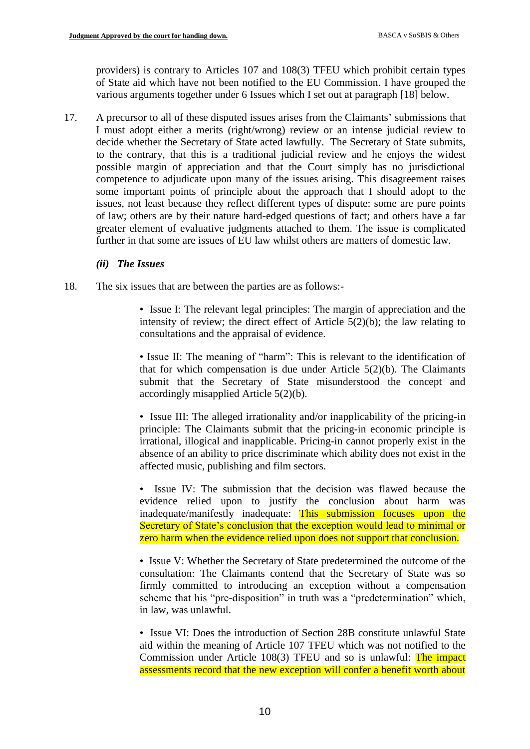providers) is contrary to Articles 107 and 108(3) TFEU which prohibit certain types of State aid which have not been notified to the EU Commission. I have grouped the various arguments together under 6 Issues which I set out at paragraph [18] below.

17. A precursor to all of these disputed issues arises from the Claimants' submissions that I must adopt either a merits (right/wrong) review or an intense judicial review to decide whether the Secretary of State acted lawfully. The Secretary of State submits, to the contrary, that this is a traditional judicial review and he enjoys the widest possible margin of appreciation and that the Court simply has no jurisdictional competence to adjudicate upon many of the issues arising. This disagreement raises some important points of principle about the approach that I should adopt to the issues, not least because they reflect different types of dispute: some are pure points of law; others are by their nature hard-edged questions of fact; and others have a far greater element of evaluative judgments attached to them. The issue is complicated further in that some are issues of EU law whilst others are matters of domestic law.

#### *(ii) The Issues*

- 18. The six issues that are between the parties are as follows:-
	- Issue I: The relevant legal principles: The margin of appreciation and the intensity of review; the direct effect of Article 5(2)(b); the law relating to consultations and the appraisal of evidence.

• Issue II: The meaning of "harm": This is relevant to the identification of that for which compensation is due under Article  $5(2)(b)$ . The Claimants submit that the Secretary of State misunderstood the concept and accordingly misapplied Article 5(2)(b).

• Issue III: The alleged irrationality and/or inapplicability of the pricing-in principle: The Claimants submit that the pricing-in economic principle is irrational, illogical and inapplicable. Pricing-in cannot properly exist in the absence of an ability to price discriminate which ability does not exist in the affected music, publishing and film sectors.

• Issue IV: The submission that the decision was flawed because the evidence relied upon to justify the conclusion about harm was inadequate/manifestly inadequate: This submission focuses upon the Secretary of State's conclusion that the exception would lead to minimal or zero harm when the evidence relied upon does not support that conclusion.

• Issue V: Whether the Secretary of State predetermined the outcome of the consultation: The Claimants contend that the Secretary of State was so firmly committed to introducing an exception without a compensation scheme that his "pre-disposition" in truth was a "predetermination" which, in law, was unlawful.

• Issue VI: Does the introduction of Section 28B constitute unlawful State aid within the meaning of Article 107 TFEU which was not notified to the Commission under Article 108(3) TFEU and so is unlawful: The impact assessments record that the new exception will confer a benefit worth about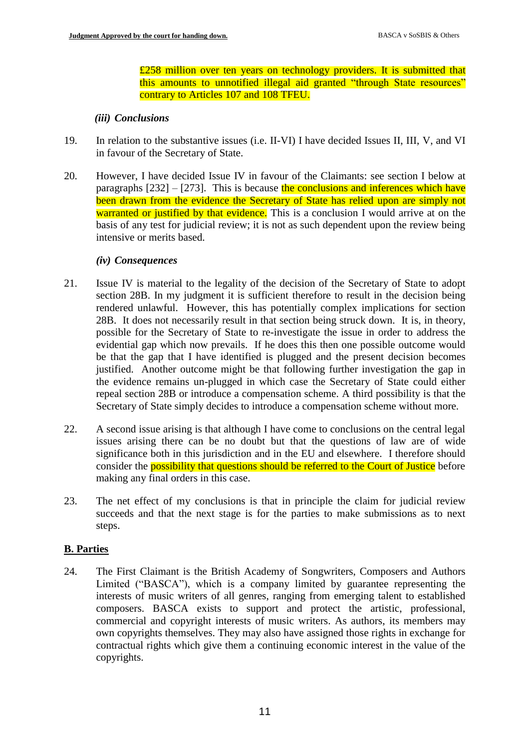£258 million over ten years on technology providers. It is submitted that this amounts to unnotified illegal aid granted "through State resources" contrary to Articles 107 and 108 TFEU.

#### *(iii) Conclusions*

- 19. In relation to the substantive issues (i.e. II-VI) I have decided Issues II, III, V, and VI in favour of the Secretary of State.
- 20. However, I have decided Issue IV in favour of the Claimants: see section I below at paragraphs  $[232] - [273]$ . This is because the conclusions and inferences which have been drawn from the evidence the Secretary of State has relied upon are simply not warranted or justified by that evidence. This is a conclusion I would arrive at on the basis of any test for judicial review; it is not as such dependent upon the review being intensive or merits based.

### *(iv) Consequences*

- 21. Issue IV is material to the legality of the decision of the Secretary of State to adopt section 28B. In my judgment it is sufficient therefore to result in the decision being rendered unlawful. However, this has potentially complex implications for section 28B. It does not necessarily result in that section being struck down. It is, in theory, possible for the Secretary of State to re-investigate the issue in order to address the evidential gap which now prevails. If he does this then one possible outcome would be that the gap that I have identified is plugged and the present decision becomes justified. Another outcome might be that following further investigation the gap in the evidence remains un-plugged in which case the Secretary of State could either repeal section 28B or introduce a compensation scheme. A third possibility is that the Secretary of State simply decides to introduce a compensation scheme without more.
- 22. A second issue arising is that although I have come to conclusions on the central legal issues arising there can be no doubt but that the questions of law are of wide significance both in this jurisdiction and in the EU and elsewhere. I therefore should consider the **possibility that questions should be referred to the Court of Justice** before making any final orders in this case.
- 23. The net effect of my conclusions is that in principle the claim for judicial review succeeds and that the next stage is for the parties to make submissions as to next steps.

### **B. Parties**

24. The First Claimant is the British Academy of Songwriters, Composers and Authors Limited ("BASCA"), which is a company limited by guarantee representing the interests of music writers of all genres, ranging from emerging talent to established composers. BASCA exists to support and protect the artistic, professional, commercial and copyright interests of music writers. As authors, its members may own copyrights themselves. They may also have assigned those rights in exchange for contractual rights which give them a continuing economic interest in the value of the copyrights.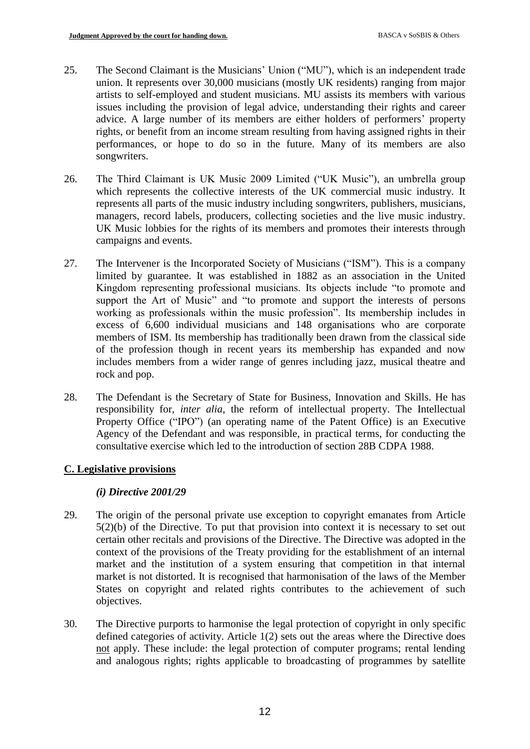- 25. The Second Claimant is the Musicians' Union ("MU"), which is an independent trade union. It represents over 30,000 musicians (mostly UK residents) ranging from major artists to self-employed and student musicians. MU assists its members with various issues including the provision of legal advice, understanding their rights and career advice. A large number of its members are either holders of performers' property rights, or benefit from an income stream resulting from having assigned rights in their performances, or hope to do so in the future. Many of its members are also songwriters.
- 26. The Third Claimant is UK Music 2009 Limited ("UK Music"), an umbrella group which represents the collective interests of the UK commercial music industry. It represents all parts of the music industry including songwriters, publishers, musicians, managers, record labels, producers, collecting societies and the live music industry. UK Music lobbies for the rights of its members and promotes their interests through campaigns and events.
- 27. The Intervener is the Incorporated Society of Musicians ("ISM"). This is a company limited by guarantee. It was established in 1882 as an association in the United Kingdom representing professional musicians. Its objects include "to promote and support the Art of Music" and "to promote and support the interests of persons working as professionals within the music profession". Its membership includes in excess of 6,600 individual musicians and 148 organisations who are corporate members of ISM. Its membership has traditionally been drawn from the classical side of the profession though in recent years its membership has expanded and now includes members from a wider range of genres including jazz, musical theatre and rock and pop.
- 28. The Defendant is the Secretary of State for Business, Innovation and Skills. He has responsibility for, *inter alia*, the reform of intellectual property. The Intellectual Property Office ("IPO") (an operating name of the Patent Office) is an Executive Agency of the Defendant and was responsible, in practical terms, for conducting the consultative exercise which led to the introduction of section 28B CDPA 1988.

### **C. Legislative provisions**

### *(i) Directive 2001/29*

- 29. The origin of the personal private use exception to copyright emanates from Article 5(2)(b) of the Directive. To put that provision into context it is necessary to set out certain other recitals and provisions of the Directive. The Directive was adopted in the context of the provisions of the Treaty providing for the establishment of an internal market and the institution of a system ensuring that competition in that internal market is not distorted. It is recognised that harmonisation of the laws of the Member States on copyright and related rights contributes to the achievement of such objectives.
- 30. The Directive purports to harmonise the legal protection of copyright in only specific defined categories of activity. Article 1(2) sets out the areas where the Directive does not apply. These include: the legal protection of computer programs; rental lending and analogous rights; rights applicable to broadcasting of programmes by satellite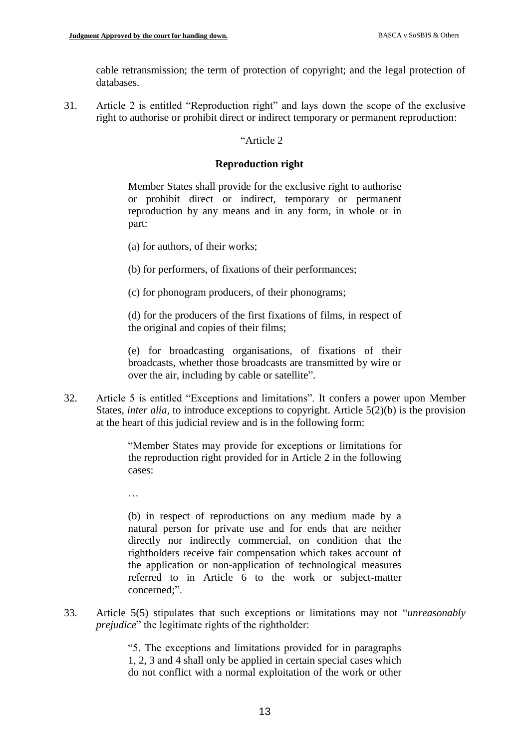cable retransmission; the term of protection of copyright; and the legal protection of databases.

31. Article 2 is entitled "Reproduction right" and lays down the scope of the exclusive right to authorise or prohibit direct or indirect temporary or permanent reproduction:

### "Article 2

### **Reproduction right**

Member States shall provide for the exclusive right to authorise or prohibit direct or indirect, temporary or permanent reproduction by any means and in any form, in whole or in part:

- (a) for authors, of their works;
- (b) for performers, of fixations of their performances;
- (c) for phonogram producers, of their phonograms;

(d) for the producers of the first fixations of films, in respect of the original and copies of their films;

(e) for broadcasting organisations, of fixations of their broadcasts, whether those broadcasts are transmitted by wire or over the air, including by cable or satellite".

32. Article 5 is entitled "Exceptions and limitations". It confers a power upon Member States, *inter alia*, to introduce exceptions to copyright. Article 5(2)(b) is the provision at the heart of this judicial review and is in the following form:

> "Member States may provide for exceptions or limitations for the reproduction right provided for in Article 2 in the following cases:

…

(b) in respect of reproductions on any medium made by a natural person for private use and for ends that are neither directly nor indirectly commercial, on condition that the rightholders receive fair compensation which takes account of the application or non-application of technological measures referred to in Article 6 to the work or subject-matter concerned;".

33. Article 5(5) stipulates that such exceptions or limitations may not "*unreasonably prejudice*" the legitimate rights of the rightholder:

> "5. The exceptions and limitations provided for in paragraphs 1, 2, 3 and 4 shall only be applied in certain special cases which do not conflict with a normal exploitation of the work or other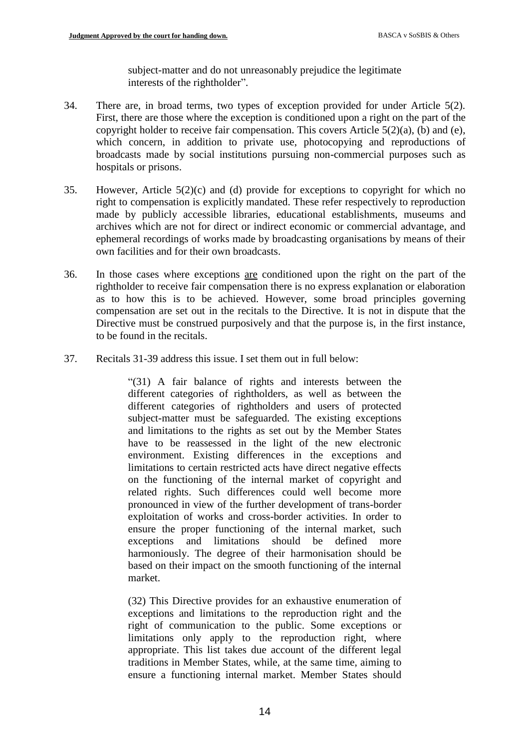subject-matter and do not unreasonably prejudice the legitimate interests of the rightholder".

- 34. There are, in broad terms, two types of exception provided for under Article 5(2). First, there are those where the exception is conditioned upon a right on the part of the copyright holder to receive fair compensation. This covers Article  $5(2)(a)$ , (b) and (e), which concern, in addition to private use, photocopying and reproductions of broadcasts made by social institutions pursuing non-commercial purposes such as hospitals or prisons.
- 35. However, Article 5(2)(c) and (d) provide for exceptions to copyright for which no right to compensation is explicitly mandated. These refer respectively to reproduction made by publicly accessible libraries, educational establishments, museums and archives which are not for direct or indirect economic or commercial advantage, and ephemeral recordings of works made by broadcasting organisations by means of their own facilities and for their own broadcasts.
- 36. In those cases where exceptions are conditioned upon the right on the part of the rightholder to receive fair compensation there is no express explanation or elaboration as to how this is to be achieved. However, some broad principles governing compensation are set out in the recitals to the Directive. It is not in dispute that the Directive must be construed purposively and that the purpose is, in the first instance, to be found in the recitals.
- 37. Recitals 31-39 address this issue. I set them out in full below:

"(31) A fair balance of rights and interests between the different categories of rightholders, as well as between the different categories of rightholders and users of protected subject-matter must be safeguarded. The existing exceptions and limitations to the rights as set out by the Member States have to be reassessed in the light of the new electronic environment. Existing differences in the exceptions and limitations to certain restricted acts have direct negative effects on the functioning of the internal market of copyright and related rights. Such differences could well become more pronounced in view of the further development of trans-border exploitation of works and cross-border activities. In order to ensure the proper functioning of the internal market, such exceptions and limitations should be defined more harmoniously. The degree of their harmonisation should be based on their impact on the smooth functioning of the internal market.

(32) This Directive provides for an exhaustive enumeration of exceptions and limitations to the reproduction right and the right of communication to the public. Some exceptions or limitations only apply to the reproduction right, where appropriate. This list takes due account of the different legal traditions in Member States, while, at the same time, aiming to ensure a functioning internal market. Member States should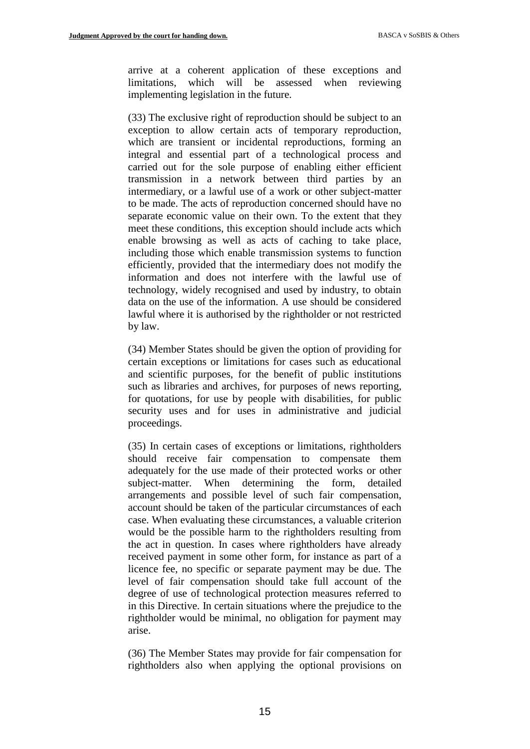arrive at a coherent application of these exceptions and limitations, which will be assessed when reviewing implementing legislation in the future.

(33) The exclusive right of reproduction should be subject to an exception to allow certain acts of temporary reproduction, which are transient or incidental reproductions, forming an integral and essential part of a technological process and carried out for the sole purpose of enabling either efficient transmission in a network between third parties by an intermediary, or a lawful use of a work or other subject-matter to be made. The acts of reproduction concerned should have no separate economic value on their own. To the extent that they meet these conditions, this exception should include acts which enable browsing as well as acts of caching to take place, including those which enable transmission systems to function efficiently, provided that the intermediary does not modify the information and does not interfere with the lawful use of technology, widely recognised and used by industry, to obtain data on the use of the information. A use should be considered lawful where it is authorised by the rightholder or not restricted by law.

(34) Member States should be given the option of providing for certain exceptions or limitations for cases such as educational and scientific purposes, for the benefit of public institutions such as libraries and archives, for purposes of news reporting, for quotations, for use by people with disabilities, for public security uses and for uses in administrative and judicial proceedings.

(35) In certain cases of exceptions or limitations, rightholders should receive fair compensation to compensate them adequately for the use made of their protected works or other subject-matter. When determining the form, detailed arrangements and possible level of such fair compensation, account should be taken of the particular circumstances of each case. When evaluating these circumstances, a valuable criterion would be the possible harm to the rightholders resulting from the act in question. In cases where rightholders have already received payment in some other form, for instance as part of a licence fee, no specific or separate payment may be due. The level of fair compensation should take full account of the degree of use of technological protection measures referred to in this Directive. In certain situations where the prejudice to the rightholder would be minimal, no obligation for payment may arise.

(36) The Member States may provide for fair compensation for rightholders also when applying the optional provisions on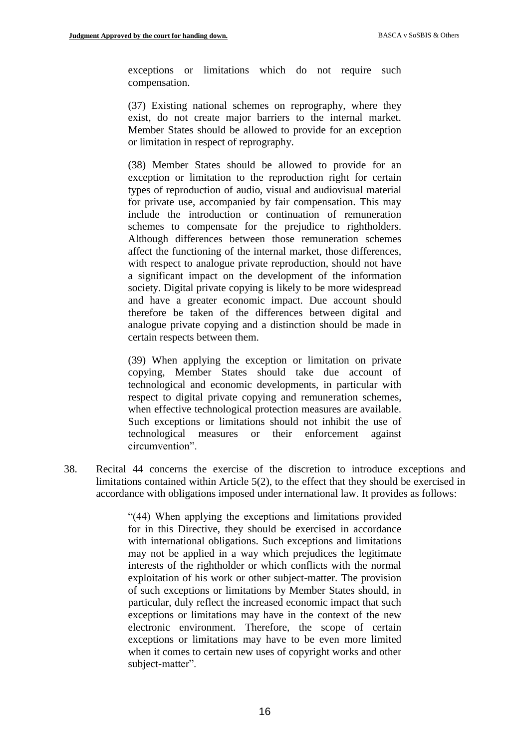exceptions or limitations which do not require such compensation.

(37) Existing national schemes on reprography, where they exist, do not create major barriers to the internal market. Member States should be allowed to provide for an exception or limitation in respect of reprography.

(38) Member States should be allowed to provide for an exception or limitation to the reproduction right for certain types of reproduction of audio, visual and audiovisual material for private use, accompanied by fair compensation. This may include the introduction or continuation of remuneration schemes to compensate for the prejudice to rightholders. Although differences between those remuneration schemes affect the functioning of the internal market, those differences, with respect to analogue private reproduction, should not have a significant impact on the development of the information society. Digital private copying is likely to be more widespread and have a greater economic impact. Due account should therefore be taken of the differences between digital and analogue private copying and a distinction should be made in certain respects between them.

(39) When applying the exception or limitation on private copying, Member States should take due account of technological and economic developments, in particular with respect to digital private copying and remuneration schemes, when effective technological protection measures are available. Such exceptions or limitations should not inhibit the use of technological measures or their enforcement against circumvention".

38. Recital 44 concerns the exercise of the discretion to introduce exceptions and limitations contained within Article 5(2), to the effect that they should be exercised in accordance with obligations imposed under international law. It provides as follows:

> "(44) When applying the exceptions and limitations provided for in this Directive, they should be exercised in accordance with international obligations. Such exceptions and limitations may not be applied in a way which prejudices the legitimate interests of the rightholder or which conflicts with the normal exploitation of his work or other subject-matter. The provision of such exceptions or limitations by Member States should, in particular, duly reflect the increased economic impact that such exceptions or limitations may have in the context of the new electronic environment. Therefore, the scope of certain exceptions or limitations may have to be even more limited when it comes to certain new uses of copyright works and other subject-matter".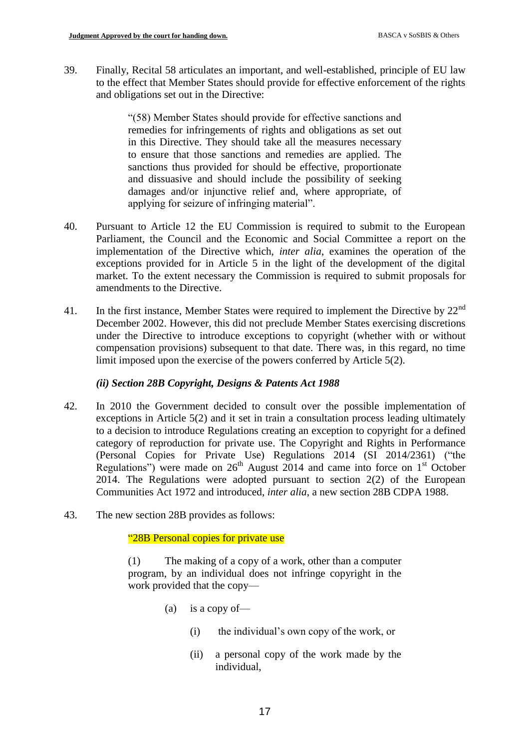39. Finally, Recital 58 articulates an important, and well-established, principle of EU law to the effect that Member States should provide for effective enforcement of the rights and obligations set out in the Directive:

> "(58) Member States should provide for effective sanctions and remedies for infringements of rights and obligations as set out in this Directive. They should take all the measures necessary to ensure that those sanctions and remedies are applied. The sanctions thus provided for should be effective, proportionate and dissuasive and should include the possibility of seeking damages and/or injunctive relief and, where appropriate, of applying for seizure of infringing material".

- 40. Pursuant to Article 12 the EU Commission is required to submit to the European Parliament, the Council and the Economic and Social Committee a report on the implementation of the Directive which, *inter alia*, examines the operation of the exceptions provided for in Article 5 in the light of the development of the digital market. To the extent necessary the Commission is required to submit proposals for amendments to the Directive.
- 41. In the first instance, Member States were required to implement the Directive by  $22<sup>nd</sup>$ December 2002. However, this did not preclude Member States exercising discretions under the Directive to introduce exceptions to copyright (whether with or without compensation provisions) subsequent to that date. There was, in this regard, no time limit imposed upon the exercise of the powers conferred by Article 5(2).

### *(ii) Section 28B Copyright, Designs & Patents Act 1988*

- 42. In 2010 the Government decided to consult over the possible implementation of exceptions in Article 5(2) and it set in train a consultation process leading ultimately to a decision to introduce Regulations creating an exception to copyright for a defined category of reproduction for private use. The Copyright and Rights in Performance (Personal Copies for Private Use) Regulations 2014 (SI 2014/2361) ("the Regulations") were made on  $26<sup>th</sup>$  August 2014 and came into force on  $1<sup>st</sup>$  October 2014. The Regulations were adopted pursuant to section 2(2) of the European Communities Act 1972 and introduced, *inter alia*, a new section 28B CDPA 1988.
- 43. The new section 28B provides as follows:

"28B Personal copies for private use

(1) The making of a copy of a work, other than a computer program, by an individual does not infringe copyright in the work provided that the copy—

- (a) is a copy of  $-$ 
	- (i) the individual's own copy of the work, or
	- (ii) a personal copy of the work made by the individual,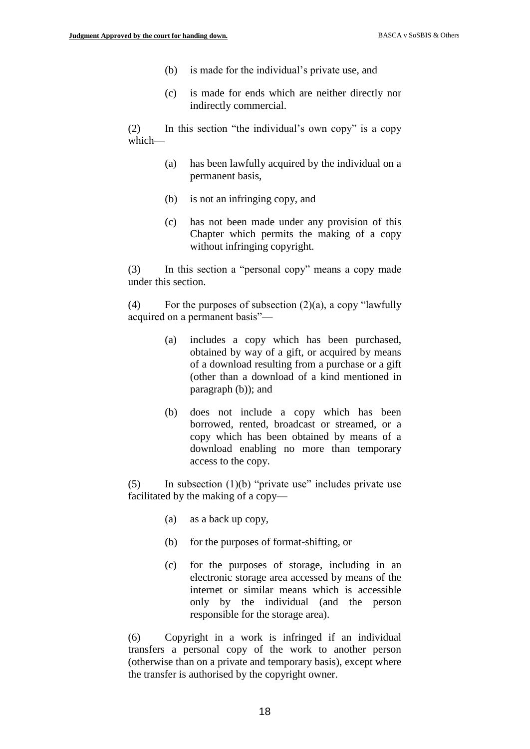- (b) is made for the individual's private use, and
- (c) is made for ends which are neither directly nor indirectly commercial.

(2) In this section "the individual's own copy" is a copy which—

- (a) has been lawfully acquired by the individual on a permanent basis,
- (b) is not an infringing copy, and
- (c) has not been made under any provision of this Chapter which permits the making of a copy without infringing copyright.

(3) In this section a "personal copy" means a copy made under this section.

(4) For the purposes of subsection  $(2)(a)$ , a copy "lawfully acquired on a permanent basis"—

- (a) includes a copy which has been purchased, obtained by way of a gift, or acquired by means of a download resulting from a purchase or a gift (other than a download of a kind mentioned in paragraph (b)); and
- (b) does not include a copy which has been borrowed, rented, broadcast or streamed, or a copy which has been obtained by means of a download enabling no more than temporary access to the copy.

(5) In subsection  $(1)(b)$  "private use" includes private use facilitated by the making of a copy—

- (a) as a back up copy,
- (b) for the purposes of format-shifting, or
- (c) for the purposes of storage, including in an electronic storage area accessed by means of the internet or similar means which is accessible only by the individual (and the person responsible for the storage area).

(6) Copyright in a work is infringed if an individual transfers a personal copy of the work to another person (otherwise than on a private and temporary basis), except where the transfer is authorised by the copyright owner.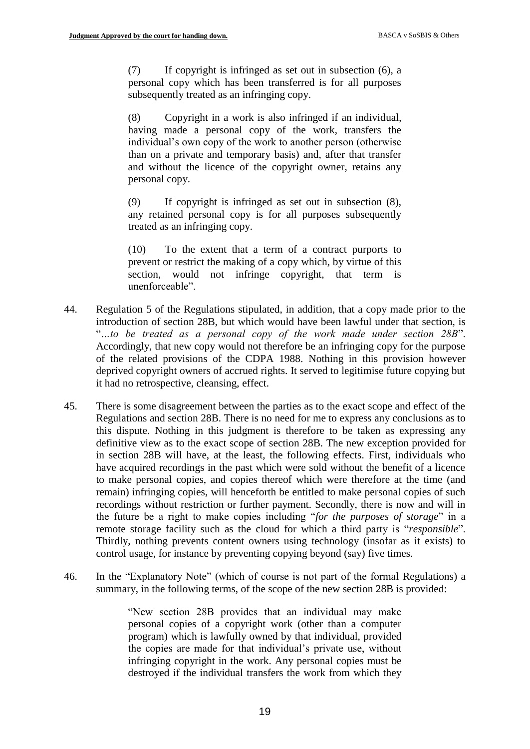(7) If copyright is infringed as set out in subsection (6), a personal copy which has been transferred is for all purposes subsequently treated as an infringing copy.

(8) Copyright in a work is also infringed if an individual, having made a personal copy of the work, transfers the individual's own copy of the work to another person (otherwise than on a private and temporary basis) and, after that transfer and without the licence of the copyright owner, retains any personal copy.

(9) If copyright is infringed as set out in subsection (8), any retained personal copy is for all purposes subsequently treated as an infringing copy.

(10) To the extent that a term of a contract purports to prevent or restrict the making of a copy which, by virtue of this section, would not infringe copyright, that term is unenforceable".

- 44. Regulation 5 of the Regulations stipulated, in addition, that a copy made prior to the introduction of section 28B, but which would have been lawful under that section, is "*…to be treated as a personal copy of the work made under section 28B*". Accordingly, that new copy would not therefore be an infringing copy for the purpose of the related provisions of the CDPA 1988. Nothing in this provision however deprived copyright owners of accrued rights. It served to legitimise future copying but it had no retrospective, cleansing, effect.
- 45. There is some disagreement between the parties as to the exact scope and effect of the Regulations and section 28B. There is no need for me to express any conclusions as to this dispute. Nothing in this judgment is therefore to be taken as expressing any definitive view as to the exact scope of section 28B. The new exception provided for in section 28B will have, at the least, the following effects. First, individuals who have acquired recordings in the past which were sold without the benefit of a licence to make personal copies, and copies thereof which were therefore at the time (and remain) infringing copies, will henceforth be entitled to make personal copies of such recordings without restriction or further payment. Secondly, there is now and will in the future be a right to make copies including "*for the purposes of storage*" in a remote storage facility such as the cloud for which a third party is "*responsible*". Thirdly, nothing prevents content owners using technology (insofar as it exists) to control usage, for instance by preventing copying beyond (say) five times.
- 46. In the "Explanatory Note" (which of course is not part of the formal Regulations) a summary, in the following terms, of the scope of the new section 28B is provided:

"New section 28B provides that an individual may make personal copies of a copyright work (other than a computer program) which is lawfully owned by that individual, provided the copies are made for that individual's private use, without infringing copyright in the work. Any personal copies must be destroyed if the individual transfers the work from which they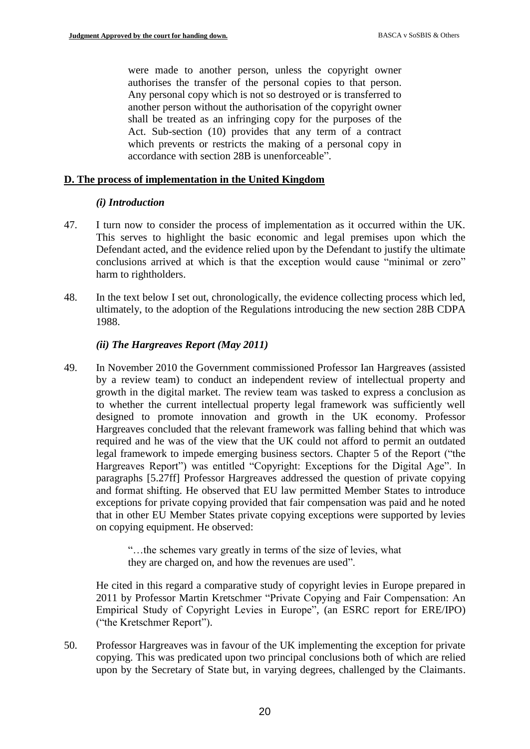were made to another person, unless the copyright owner authorises the transfer of the personal copies to that person. Any personal copy which is not so destroyed or is transferred to another person without the authorisation of the copyright owner shall be treated as an infringing copy for the purposes of the Act. Sub-section (10) provides that any term of a contract which prevents or restricts the making of a personal copy in accordance with section 28B is unenforceable".

#### **D. The process of implementation in the United Kingdom**

#### *(i) Introduction*

- 47. I turn now to consider the process of implementation as it occurred within the UK. This serves to highlight the basic economic and legal premises upon which the Defendant acted, and the evidence relied upon by the Defendant to justify the ultimate conclusions arrived at which is that the exception would cause "minimal or zero" harm to rightholders.
- 48. In the text below I set out, chronologically, the evidence collecting process which led, ultimately, to the adoption of the Regulations introducing the new section 28B CDPA 1988.

### *(ii) The Hargreaves Report (May 2011)*

49. In November 2010 the Government commissioned Professor Ian Hargreaves (assisted by a review team) to conduct an independent review of intellectual property and growth in the digital market. The review team was tasked to express a conclusion as to whether the current intellectual property legal framework was sufficiently well designed to promote innovation and growth in the UK economy. Professor Hargreaves concluded that the relevant framework was falling behind that which was required and he was of the view that the UK could not afford to permit an outdated legal framework to impede emerging business sectors. Chapter 5 of the Report ("the Hargreaves Report") was entitled "Copyright: Exceptions for the Digital Age". In paragraphs [5.27ff] Professor Hargreaves addressed the question of private copying and format shifting. He observed that EU law permitted Member States to introduce exceptions for private copying provided that fair compensation was paid and he noted that in other EU Member States private copying exceptions were supported by levies on copying equipment. He observed:

> "…the schemes vary greatly in terms of the size of levies, what they are charged on, and how the revenues are used".

He cited in this regard a comparative study of copyright levies in Europe prepared in 2011 by Professor Martin Kretschmer "Private Copying and Fair Compensation: An Empirical Study of Copyright Levies in Europe", (an ESRC report for ERE/IPO) ("the Kretschmer Report").

50. Professor Hargreaves was in favour of the UK implementing the exception for private copying. This was predicated upon two principal conclusions both of which are relied upon by the Secretary of State but, in varying degrees, challenged by the Claimants.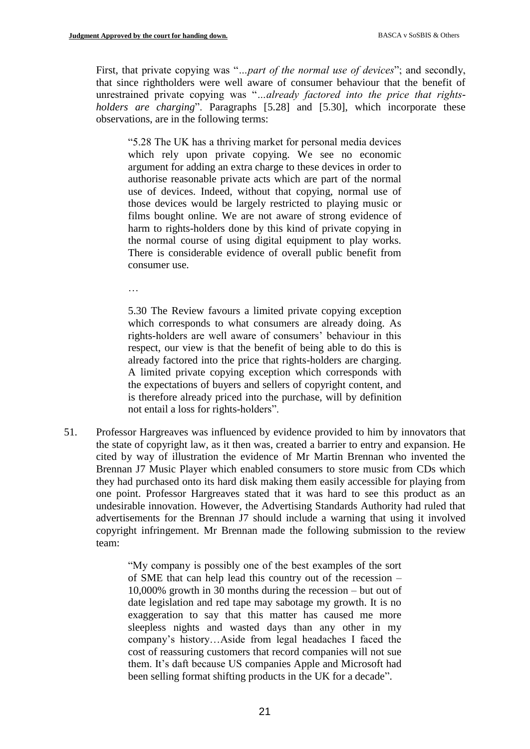First, that private copying was "*…part of the normal use of devices*"; and secondly, that since rightholders were well aware of consumer behaviour that the benefit of unrestrained private copying was "*…already factored into the price that rightsholders are charging*". Paragraphs [5.28] and [5.30], which incorporate these observations, are in the following terms:

"5.28 The UK has a thriving market for personal media devices which rely upon private copying. We see no economic argument for adding an extra charge to these devices in order to authorise reasonable private acts which are part of the normal use of devices. Indeed, without that copying, normal use of those devices would be largely restricted to playing music or films bought online. We are not aware of strong evidence of harm to rights-holders done by this kind of private copying in the normal course of using digital equipment to play works. There is considerable evidence of overall public benefit from consumer use.

…

5.30 The Review favours a limited private copying exception which corresponds to what consumers are already doing. As rights-holders are well aware of consumers' behaviour in this respect, our view is that the benefit of being able to do this is already factored into the price that rights-holders are charging. A limited private copying exception which corresponds with the expectations of buyers and sellers of copyright content, and is therefore already priced into the purchase, will by definition not entail a loss for rights-holders".

51. Professor Hargreaves was influenced by evidence provided to him by innovators that the state of copyright law, as it then was, created a barrier to entry and expansion. He cited by way of illustration the evidence of Mr Martin Brennan who invented the Brennan J7 Music Player which enabled consumers to store music from CDs which they had purchased onto its hard disk making them easily accessible for playing from one point. Professor Hargreaves stated that it was hard to see this product as an undesirable innovation. However, the Advertising Standards Authority had ruled that advertisements for the Brennan J7 should include a warning that using it involved copyright infringement. Mr Brennan made the following submission to the review team:

> "My company is possibly one of the best examples of the sort of SME that can help lead this country out of the recession – 10,000% growth in 30 months during the recession – but out of date legislation and red tape may sabotage my growth. It is no exaggeration to say that this matter has caused me more sleepless nights and wasted days than any other in my company's history…Aside from legal headaches I faced the cost of reassuring customers that record companies will not sue them. It's daft because US companies Apple and Microsoft had been selling format shifting products in the UK for a decade".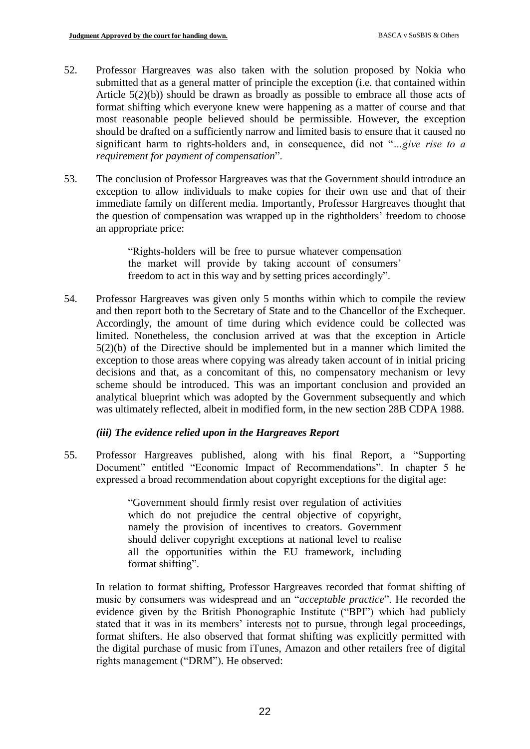- 52. Professor Hargreaves was also taken with the solution proposed by Nokia who submitted that as a general matter of principle the exception (i.e. that contained within Article 5(2)(b)) should be drawn as broadly as possible to embrace all those acts of format shifting which everyone knew were happening as a matter of course and that most reasonable people believed should be permissible. However, the exception should be drafted on a sufficiently narrow and limited basis to ensure that it caused no significant harm to rights-holders and, in consequence, did not "*…give rise to a requirement for payment of compensation*".
- 53. The conclusion of Professor Hargreaves was that the Government should introduce an exception to allow individuals to make copies for their own use and that of their immediate family on different media. Importantly, Professor Hargreaves thought that the question of compensation was wrapped up in the rightholders' freedom to choose an appropriate price:

"Rights-holders will be free to pursue whatever compensation the market will provide by taking account of consumers' freedom to act in this way and by setting prices accordingly".

54. Professor Hargreaves was given only 5 months within which to compile the review and then report both to the Secretary of State and to the Chancellor of the Exchequer. Accordingly, the amount of time during which evidence could be collected was limited. Nonetheless, the conclusion arrived at was that the exception in Article 5(2)(b) of the Directive should be implemented but in a manner which limited the exception to those areas where copying was already taken account of in initial pricing decisions and that, as a concomitant of this, no compensatory mechanism or levy scheme should be introduced. This was an important conclusion and provided an analytical blueprint which was adopted by the Government subsequently and which was ultimately reflected, albeit in modified form, in the new section 28B CDPA 1988.

### *(iii) The evidence relied upon in the Hargreaves Report*

55. Professor Hargreaves published, along with his final Report, a "Supporting Document" entitled "Economic Impact of Recommendations". In chapter 5 he expressed a broad recommendation about copyright exceptions for the digital age:

> "Government should firmly resist over regulation of activities which do not prejudice the central objective of copyright, namely the provision of incentives to creators. Government should deliver copyright exceptions at national level to realise all the opportunities within the EU framework, including format shifting".

In relation to format shifting, Professor Hargreaves recorded that format shifting of music by consumers was widespread and an "*acceptable practice*". He recorded the evidence given by the British Phonographic Institute ("BPI") which had publicly stated that it was in its members' interests not to pursue, through legal proceedings, format shifters. He also observed that format shifting was explicitly permitted with the digital purchase of music from iTunes, Amazon and other retailers free of digital rights management ("DRM"). He observed: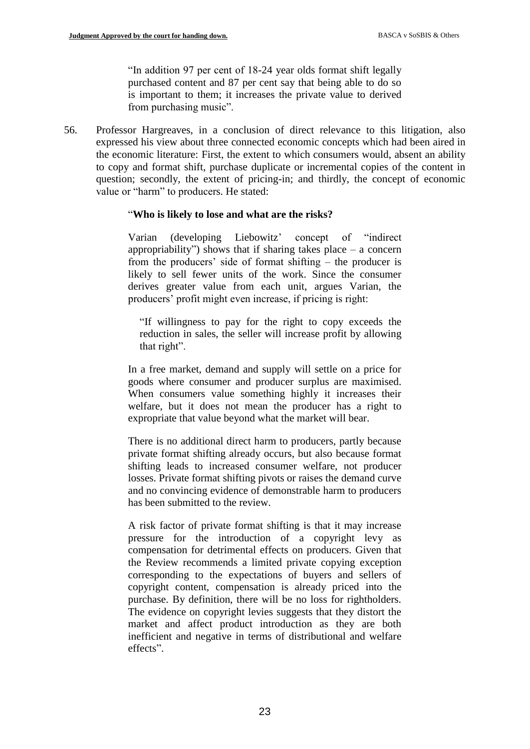"In addition 97 per cent of 18-24 year olds format shift legally purchased content and 87 per cent say that being able to do so is important to them; it increases the private value to derived from purchasing music".

56. Professor Hargreaves, in a conclusion of direct relevance to this litigation, also expressed his view about three connected economic concepts which had been aired in the economic literature: First, the extent to which consumers would, absent an ability to copy and format shift, purchase duplicate or incremental copies of the content in question; secondly, the extent of pricing-in; and thirdly, the concept of economic value or "harm" to producers. He stated:

### "**Who is likely to lose and what are the risks?**

Varian (developing Liebowitz' concept of "indirect appropriability") shows that if sharing takes place  $-$  a concern from the producers' side of format shifting – the producer is likely to sell fewer units of the work. Since the consumer derives greater value from each unit, argues Varian, the producers' profit might even increase, if pricing is right:

"If willingness to pay for the right to copy exceeds the reduction in sales, the seller will increase profit by allowing that right".

In a free market, demand and supply will settle on a price for goods where consumer and producer surplus are maximised. When consumers value something highly it increases their welfare, but it does not mean the producer has a right to expropriate that value beyond what the market will bear.

There is no additional direct harm to producers, partly because private format shifting already occurs, but also because format shifting leads to increased consumer welfare, not producer losses. Private format shifting pivots or raises the demand curve and no convincing evidence of demonstrable harm to producers has been submitted to the review.

A risk factor of private format shifting is that it may increase pressure for the introduction of a copyright levy as compensation for detrimental effects on producers. Given that the Review recommends a limited private copying exception corresponding to the expectations of buyers and sellers of copyright content, compensation is already priced into the purchase. By definition, there will be no loss for rightholders. The evidence on copyright levies suggests that they distort the market and affect product introduction as they are both inefficient and negative in terms of distributional and welfare effects".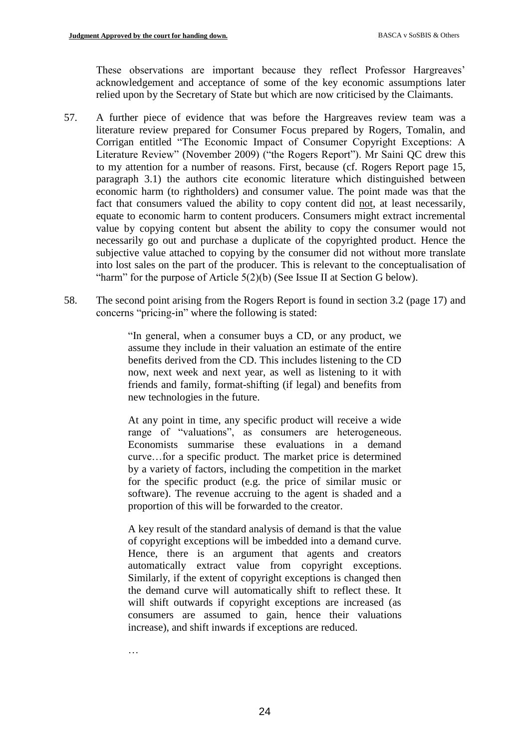These observations are important because they reflect Professor Hargreaves' acknowledgement and acceptance of some of the key economic assumptions later relied upon by the Secretary of State but which are now criticised by the Claimants.

- 57. A further piece of evidence that was before the Hargreaves review team was a literature review prepared for Consumer Focus prepared by Rogers, Tomalin, and Corrigan entitled "The Economic Impact of Consumer Copyright Exceptions: A Literature Review" (November 2009) ("the Rogers Report"). Mr Saini QC drew this to my attention for a number of reasons. First, because (cf. Rogers Report page 15, paragraph 3.1) the authors cite economic literature which distinguished between economic harm (to rightholders) and consumer value. The point made was that the fact that consumers valued the ability to copy content did not, at least necessarily, equate to economic harm to content producers. Consumers might extract incremental value by copying content but absent the ability to copy the consumer would not necessarily go out and purchase a duplicate of the copyrighted product. Hence the subjective value attached to copying by the consumer did not without more translate into lost sales on the part of the producer. This is relevant to the conceptualisation of "harm" for the purpose of Article 5(2)(b) (See Issue II at Section G below).
- 58. The second point arising from the Rogers Report is found in section 3.2 (page 17) and concerns "pricing-in" where the following is stated:

"In general, when a consumer buys a CD, or any product, we assume they include in their valuation an estimate of the entire benefits derived from the CD. This includes listening to the CD now, next week and next year, as well as listening to it with friends and family, format-shifting (if legal) and benefits from new technologies in the future.

At any point in time, any specific product will receive a wide range of "valuations", as consumers are heterogeneous. Economists summarise these evaluations in a demand curve…for a specific product. The market price is determined by a variety of factors, including the competition in the market for the specific product (e.g. the price of similar music or software). The revenue accruing to the agent is shaded and a proportion of this will be forwarded to the creator.

A key result of the standard analysis of demand is that the value of copyright exceptions will be imbedded into a demand curve. Hence, there is an argument that agents and creators automatically extract value from copyright exceptions. Similarly, if the extent of copyright exceptions is changed then the demand curve will automatically shift to reflect these. It will shift outwards if copyright exceptions are increased (as consumers are assumed to gain, hence their valuations increase), and shift inwards if exceptions are reduced.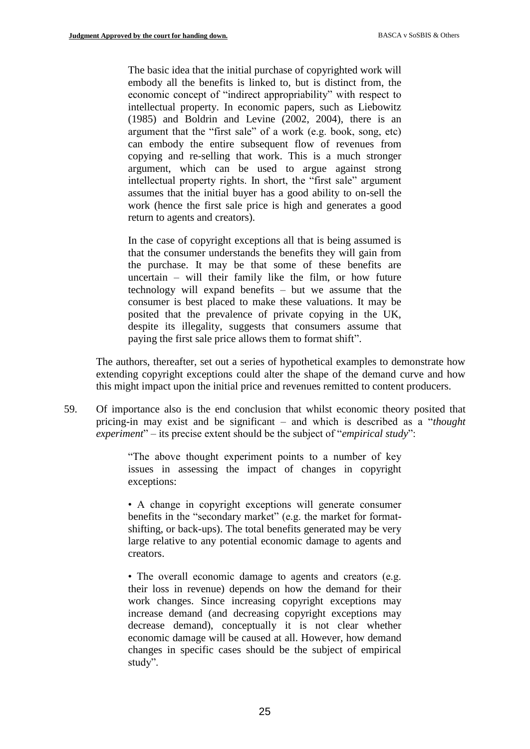The basic idea that the initial purchase of copyrighted work will embody all the benefits is linked to, but is distinct from, the economic concept of "indirect appropriability" with respect to intellectual property. In economic papers, such as Liebowitz (1985) and Boldrin and Levine (2002, 2004), there is an argument that the "first sale" of a work (e.g. book, song, etc) can embody the entire subsequent flow of revenues from copying and re-selling that work. This is a much stronger argument, which can be used to argue against strong intellectual property rights. In short, the "first sale" argument assumes that the initial buyer has a good ability to on-sell the work (hence the first sale price is high and generates a good return to agents and creators).

In the case of copyright exceptions all that is being assumed is that the consumer understands the benefits they will gain from the purchase. It may be that some of these benefits are uncertain – will their family like the film, or how future technology will expand benefits – but we assume that the consumer is best placed to make these valuations. It may be posited that the prevalence of private copying in the UK, despite its illegality, suggests that consumers assume that paying the first sale price allows them to format shift".

The authors, thereafter, set out a series of hypothetical examples to demonstrate how extending copyright exceptions could alter the shape of the demand curve and how this might impact upon the initial price and revenues remitted to content producers.

59. Of importance also is the end conclusion that whilst economic theory posited that pricing-in may exist and be significant – and which is described as a "*thought experiment*" – its precise extent should be the subject of "*empirical study*":

> "The above thought experiment points to a number of key issues in assessing the impact of changes in copyright exceptions:

> • A change in copyright exceptions will generate consumer benefits in the "secondary market" (e.g. the market for formatshifting, or back-ups). The total benefits generated may be very large relative to any potential economic damage to agents and creators.

> • The overall economic damage to agents and creators (e.g. their loss in revenue) depends on how the demand for their work changes. Since increasing copyright exceptions may increase demand (and decreasing copyright exceptions may decrease demand), conceptually it is not clear whether economic damage will be caused at all. However, how demand changes in specific cases should be the subject of empirical study".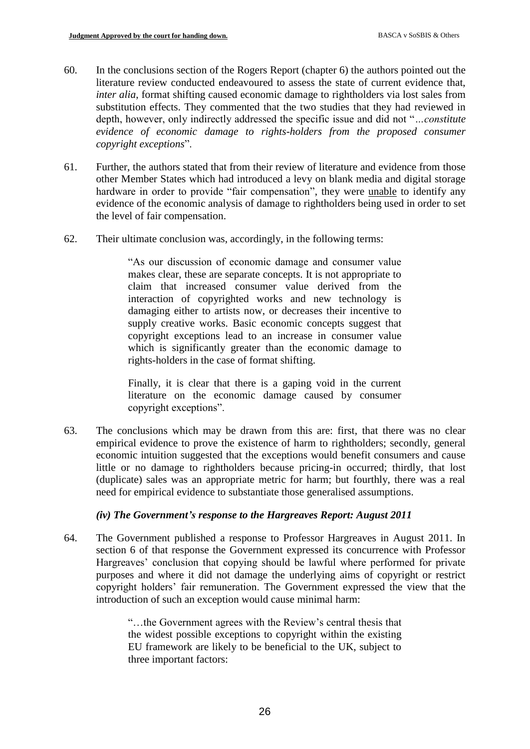- 60. In the conclusions section of the Rogers Report (chapter 6) the authors pointed out the literature review conducted endeavoured to assess the state of current evidence that, *inter alia*, format shifting caused economic damage to rightholders via lost sales from substitution effects. They commented that the two studies that they had reviewed in depth, however, only indirectly addressed the specific issue and did not "*…constitute evidence of economic damage to rights-holders from the proposed consumer copyright exceptions*".
- 61. Further, the authors stated that from their review of literature and evidence from those other Member States which had introduced a levy on blank media and digital storage hardware in order to provide "fair compensation", they were unable to identify any evidence of the economic analysis of damage to rightholders being used in order to set the level of fair compensation.
- 62. Their ultimate conclusion was, accordingly, in the following terms:

"As our discussion of economic damage and consumer value makes clear, these are separate concepts. It is not appropriate to claim that increased consumer value derived from the interaction of copyrighted works and new technology is damaging either to artists now, or decreases their incentive to supply creative works. Basic economic concepts suggest that copyright exceptions lead to an increase in consumer value which is significantly greater than the economic damage to rights-holders in the case of format shifting.

Finally, it is clear that there is a gaping void in the current literature on the economic damage caused by consumer copyright exceptions".

63. The conclusions which may be drawn from this are: first, that there was no clear empirical evidence to prove the existence of harm to rightholders; secondly, general economic intuition suggested that the exceptions would benefit consumers and cause little or no damage to rightholders because pricing-in occurred; thirdly, that lost (duplicate) sales was an appropriate metric for harm; but fourthly, there was a real need for empirical evidence to substantiate those generalised assumptions.

### *(iv) The Government's response to the Hargreaves Report: August 2011*

64. The Government published a response to Professor Hargreaves in August 2011. In section 6 of that response the Government expressed its concurrence with Professor Hargreaves' conclusion that copying should be lawful where performed for private purposes and where it did not damage the underlying aims of copyright or restrict copyright holders' fair remuneration. The Government expressed the view that the introduction of such an exception would cause minimal harm:

> "…the Government agrees with the Review's central thesis that the widest possible exceptions to copyright within the existing EU framework are likely to be beneficial to the UK, subject to three important factors: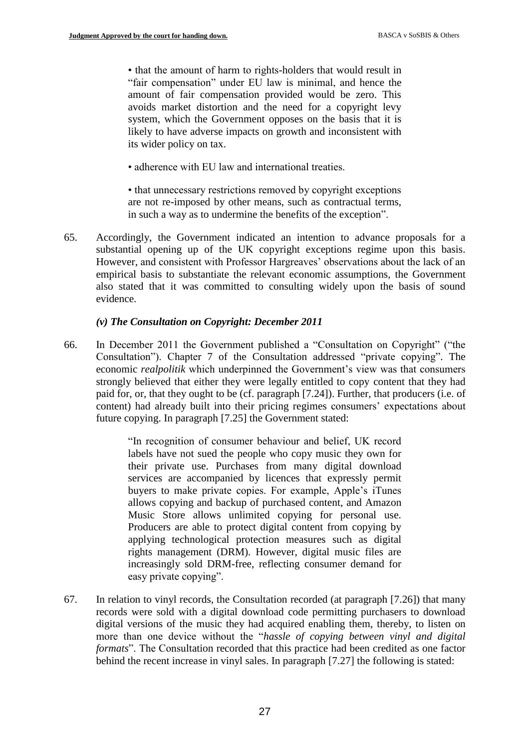• that the amount of harm to rights-holders that would result in "fair compensation" under EU law is minimal, and hence the amount of fair compensation provided would be zero. This avoids market distortion and the need for a copyright levy system, which the Government opposes on the basis that it is likely to have adverse impacts on growth and inconsistent with its wider policy on tax.

• adherence with EU law and international treaties.

• that unnecessary restrictions removed by copyright exceptions are not re-imposed by other means, such as contractual terms, in such a way as to undermine the benefits of the exception".

65. Accordingly, the Government indicated an intention to advance proposals for a substantial opening up of the UK copyright exceptions regime upon this basis. However, and consistent with Professor Hargreaves' observations about the lack of an empirical basis to substantiate the relevant economic assumptions, the Government also stated that it was committed to consulting widely upon the basis of sound evidence.

#### *(v) The Consultation on Copyright: December 2011*

66. In December 2011 the Government published a "Consultation on Copyright" ("the Consultation"). Chapter 7 of the Consultation addressed "private copying". The economic *realpolitik* which underpinned the Government's view was that consumers strongly believed that either they were legally entitled to copy content that they had paid for, or, that they ought to be (cf. paragraph [7.24]). Further, that producers (i.e. of content) had already built into their pricing regimes consumers' expectations about future copying. In paragraph [7.25] the Government stated:

> "In recognition of consumer behaviour and belief, UK record labels have not sued the people who copy music they own for their private use. Purchases from many digital download services are accompanied by licences that expressly permit buyers to make private copies. For example, Apple's iTunes allows copying and backup of purchased content, and Amazon Music Store allows unlimited copying for personal use. Producers are able to protect digital content from copying by applying technological protection measures such as digital rights management (DRM). However, digital music files are increasingly sold DRM-free, reflecting consumer demand for easy private copying".

67. In relation to vinyl records, the Consultation recorded (at paragraph [7.26]) that many records were sold with a digital download code permitting purchasers to download digital versions of the music they had acquired enabling them, thereby, to listen on more than one device without the "*hassle of copying between vinyl and digital formats*". The Consultation recorded that this practice had been credited as one factor behind the recent increase in vinyl sales. In paragraph [7.27] the following is stated: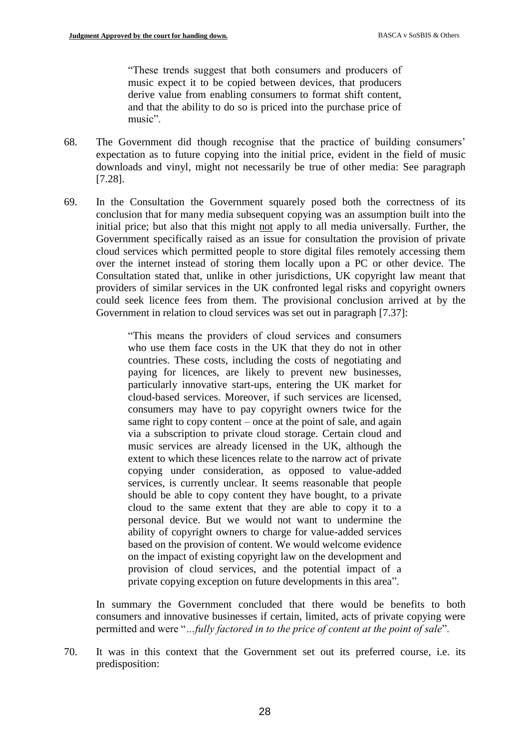"These trends suggest that both consumers and producers of music expect it to be copied between devices, that producers derive value from enabling consumers to format shift content, and that the ability to do so is priced into the purchase price of music".

- 68. The Government did though recognise that the practice of building consumers' expectation as to future copying into the initial price, evident in the field of music downloads and vinyl, might not necessarily be true of other media: See paragraph [7.28].
- 69. In the Consultation the Government squarely posed both the correctness of its conclusion that for many media subsequent copying was an assumption built into the initial price; but also that this might not apply to all media universally. Further, the Government specifically raised as an issue for consultation the provision of private cloud services which permitted people to store digital files remotely accessing them over the internet instead of storing them locally upon a PC or other device. The Consultation stated that, unlike in other jurisdictions, UK copyright law meant that providers of similar services in the UK confronted legal risks and copyright owners could seek licence fees from them. The provisional conclusion arrived at by the Government in relation to cloud services was set out in paragraph [7.37]:

"This means the providers of cloud services and consumers who use them face costs in the UK that they do not in other countries. These costs, including the costs of negotiating and paying for licences, are likely to prevent new businesses, particularly innovative start-ups, entering the UK market for cloud-based services. Moreover, if such services are licensed, consumers may have to pay copyright owners twice for the same right to copy content – once at the point of sale, and again via a subscription to private cloud storage. Certain cloud and music services are already licensed in the UK, although the extent to which these licences relate to the narrow act of private copying under consideration, as opposed to value-added services, is currently unclear. It seems reasonable that people should be able to copy content they have bought, to a private cloud to the same extent that they are able to copy it to a personal device. But we would not want to undermine the ability of copyright owners to charge for value-added services based on the provision of content. We would welcome evidence on the impact of existing copyright law on the development and provision of cloud services, and the potential impact of a private copying exception on future developments in this area".

In summary the Government concluded that there would be benefits to both consumers and innovative businesses if certain, limited, acts of private copying were permitted and were "*…fully factored in to the price of content at the point of sale*".

70. It was in this context that the Government set out its preferred course, i.e. its predisposition: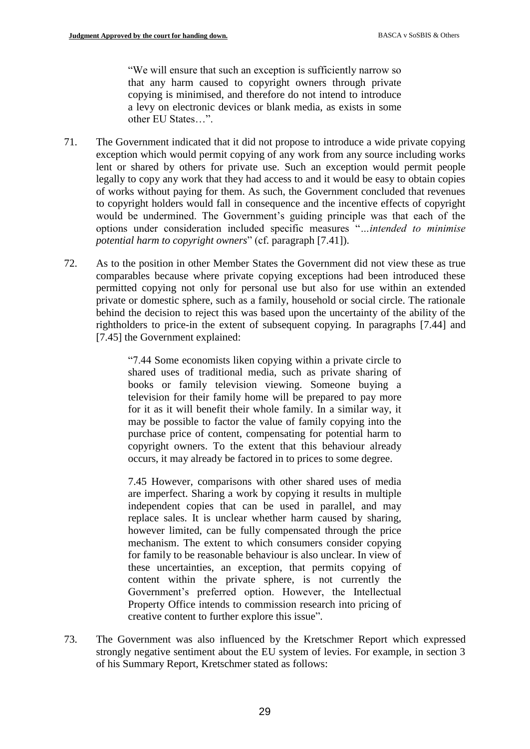"We will ensure that such an exception is sufficiently narrow so that any harm caused to copyright owners through private copying is minimised, and therefore do not intend to introduce a levy on electronic devices or blank media, as exists in some other EU States…".

- 71. The Government indicated that it did not propose to introduce a wide private copying exception which would permit copying of any work from any source including works lent or shared by others for private use. Such an exception would permit people legally to copy any work that they had access to and it would be easy to obtain copies of works without paying for them. As such, the Government concluded that revenues to copyright holders would fall in consequence and the incentive effects of copyright would be undermined. The Government's guiding principle was that each of the options under consideration included specific measures "*…intended to minimise potential harm to copyright owners*" (cf. paragraph [7.41]).
- 72. As to the position in other Member States the Government did not view these as true comparables because where private copying exceptions had been introduced these permitted copying not only for personal use but also for use within an extended private or domestic sphere, such as a family, household or social circle. The rationale behind the decision to reject this was based upon the uncertainty of the ability of the rightholders to price-in the extent of subsequent copying. In paragraphs [7.44] and [7.45] the Government explained:

"7.44 Some economists liken copying within a private circle to shared uses of traditional media, such as private sharing of books or family television viewing. Someone buying a television for their family home will be prepared to pay more for it as it will benefit their whole family. In a similar way, it may be possible to factor the value of family copying into the purchase price of content, compensating for potential harm to copyright owners. To the extent that this behaviour already occurs, it may already be factored in to prices to some degree.

7.45 However, comparisons with other shared uses of media are imperfect. Sharing a work by copying it results in multiple independent copies that can be used in parallel, and may replace sales. It is unclear whether harm caused by sharing, however limited, can be fully compensated through the price mechanism. The extent to which consumers consider copying for family to be reasonable behaviour is also unclear. In view of these uncertainties, an exception, that permits copying of content within the private sphere, is not currently the Government's preferred option. However, the Intellectual Property Office intends to commission research into pricing of creative content to further explore this issue".

73. The Government was also influenced by the Kretschmer Report which expressed strongly negative sentiment about the EU system of levies. For example, in section 3 of his Summary Report, Kretschmer stated as follows: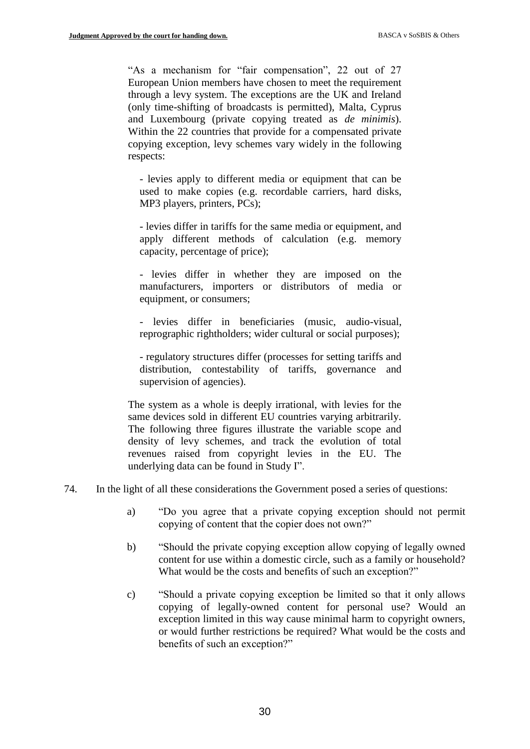"As a mechanism for "fair compensation", 22 out of 27 European Union members have chosen to meet the requirement through a levy system. The exceptions are the UK and Ireland (only time-shifting of broadcasts is permitted), Malta, Cyprus and Luxembourg (private copying treated as *de minimis*). Within the 22 countries that provide for a compensated private copying exception, levy schemes vary widely in the following respects:

- levies apply to different media or equipment that can be used to make copies (e.g. recordable carriers, hard disks, MP3 players, printers, PCs);

- levies differ in tariffs for the same media or equipment, and apply different methods of calculation (e.g. memory capacity, percentage of price);

- levies differ in whether they are imposed on the manufacturers, importers or distributors of media or equipment, or consumers;

- levies differ in beneficiaries (music, audio-visual, reprographic rightholders; wider cultural or social purposes);

- regulatory structures differ (processes for setting tariffs and distribution, contestability of tariffs, governance and supervision of agencies).

The system as a whole is deeply irrational, with levies for the same devices sold in different EU countries varying arbitrarily. The following three figures illustrate the variable scope and density of levy schemes, and track the evolution of total revenues raised from copyright levies in the EU. The underlying data can be found in Study I".

- 74. In the light of all these considerations the Government posed a series of questions:
	- a) "Do you agree that a private copying exception should not permit copying of content that the copier does not own?"
	- b) "Should the private copying exception allow copying of legally owned content for use within a domestic circle, such as a family or household? What would be the costs and benefits of such an exception?"
	- c) "Should a private copying exception be limited so that it only allows copying of legally-owned content for personal use? Would an exception limited in this way cause minimal harm to copyright owners, or would further restrictions be required? What would be the costs and benefits of such an exception?"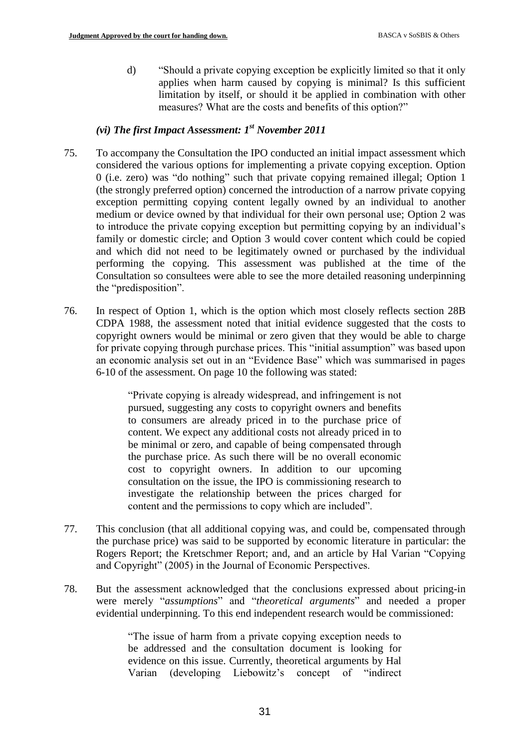d) "Should a private copying exception be explicitly limited so that it only applies when harm caused by copying is minimal? Is this sufficient limitation by itself, or should it be applied in combination with other measures? What are the costs and benefits of this option?"

# *(vi) The first Impact Assessment: 1st November 2011*

- 75. To accompany the Consultation the IPO conducted an initial impact assessment which considered the various options for implementing a private copying exception. Option 0 (i.e. zero) was "do nothing" such that private copying remained illegal; Option 1 (the strongly preferred option) concerned the introduction of a narrow private copying exception permitting copying content legally owned by an individual to another medium or device owned by that individual for their own personal use; Option 2 was to introduce the private copying exception but permitting copying by an individual's family or domestic circle; and Option 3 would cover content which could be copied and which did not need to be legitimately owned or purchased by the individual performing the copying. This assessment was published at the time of the Consultation so consultees were able to see the more detailed reasoning underpinning the "predisposition".
- 76. In respect of Option 1, which is the option which most closely reflects section 28B CDPA 1988, the assessment noted that initial evidence suggested that the costs to copyright owners would be minimal or zero given that they would be able to charge for private copying through purchase prices. This "initial assumption" was based upon an economic analysis set out in an "Evidence Base" which was summarised in pages 6-10 of the assessment. On page 10 the following was stated:

"Private copying is already widespread, and infringement is not pursued, suggesting any costs to copyright owners and benefits to consumers are already priced in to the purchase price of content. We expect any additional costs not already priced in to be minimal or zero, and capable of being compensated through the purchase price. As such there will be no overall economic cost to copyright owners. In addition to our upcoming consultation on the issue, the IPO is commissioning research to investigate the relationship between the prices charged for content and the permissions to copy which are included".

- 77. This conclusion (that all additional copying was, and could be, compensated through the purchase price) was said to be supported by economic literature in particular: the Rogers Report; the Kretschmer Report; and, and an article by Hal Varian "Copying and Copyright" (2005) in the Journal of Economic Perspectives.
- 78. But the assessment acknowledged that the conclusions expressed about pricing-in were merely "*assumptions*" and "*theoretical arguments*" and needed a proper evidential underpinning. To this end independent research would be commissioned:

"The issue of harm from a private copying exception needs to be addressed and the consultation document is looking for evidence on this issue. Currently, theoretical arguments by Hal Varian (developing Liebowitz's concept of "indirect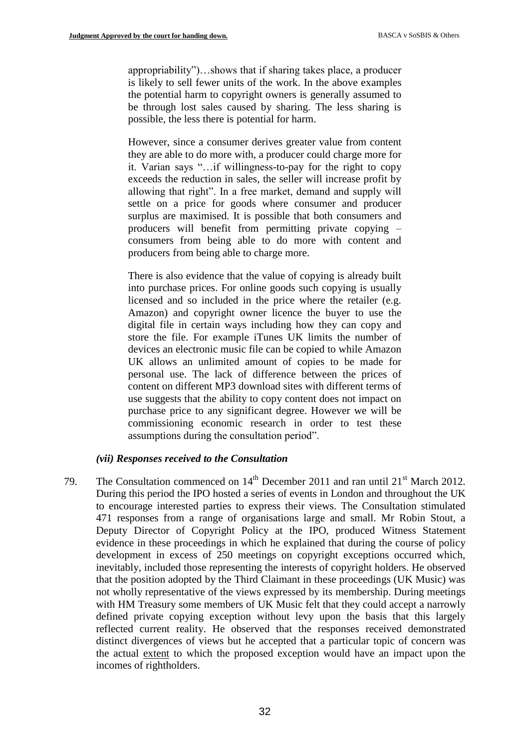appropriability")…shows that if sharing takes place, a producer is likely to sell fewer units of the work. In the above examples the potential harm to copyright owners is generally assumed to be through lost sales caused by sharing. The less sharing is possible, the less there is potential for harm.

However, since a consumer derives greater value from content they are able to do more with, a producer could charge more for it. Varian says "…if willingness-to-pay for the right to copy exceeds the reduction in sales, the seller will increase profit by allowing that right". In a free market, demand and supply will settle on a price for goods where consumer and producer surplus are maximised. It is possible that both consumers and producers will benefit from permitting private copying – consumers from being able to do more with content and producers from being able to charge more.

There is also evidence that the value of copying is already built into purchase prices. For online goods such copying is usually licensed and so included in the price where the retailer (e.g. Amazon) and copyright owner licence the buyer to use the digital file in certain ways including how they can copy and store the file. For example iTunes UK limits the number of devices an electronic music file can be copied to while Amazon UK allows an unlimited amount of copies to be made for personal use. The lack of difference between the prices of content on different MP3 download sites with different terms of use suggests that the ability to copy content does not impact on purchase price to any significant degree. However we will be commissioning economic research in order to test these assumptions during the consultation period".

#### *(vii) Responses received to the Consultation*

79. The Consultation commenced on  $14<sup>th</sup>$  December 2011 and ran until  $21<sup>st</sup>$  March 2012. During this period the IPO hosted a series of events in London and throughout the UK to encourage interested parties to express their views. The Consultation stimulated 471 responses from a range of organisations large and small. Mr Robin Stout, a Deputy Director of Copyright Policy at the IPO, produced Witness Statement evidence in these proceedings in which he explained that during the course of policy development in excess of 250 meetings on copyright exceptions occurred which, inevitably, included those representing the interests of copyright holders. He observed that the position adopted by the Third Claimant in these proceedings (UK Music) was not wholly representative of the views expressed by its membership. During meetings with HM Treasury some members of UK Music felt that they could accept a narrowly defined private copying exception without levy upon the basis that this largely reflected current reality. He observed that the responses received demonstrated distinct divergences of views but he accepted that a particular topic of concern was the actual extent to which the proposed exception would have an impact upon the incomes of rightholders.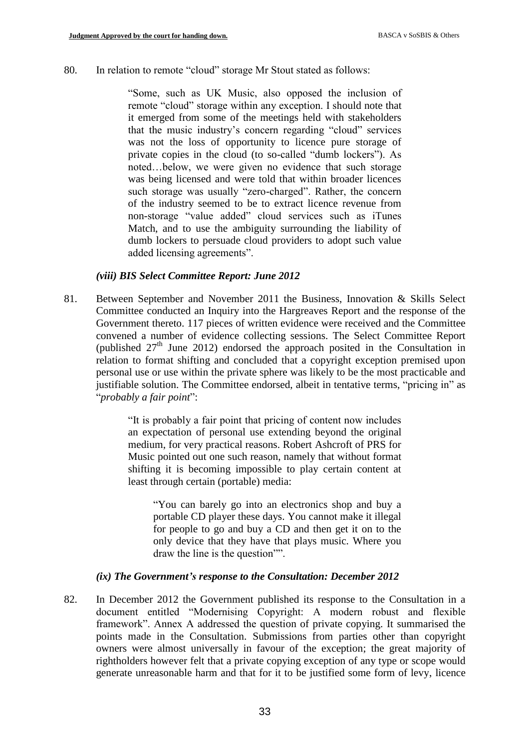#### 80. In relation to remote "cloud" storage Mr Stout stated as follows:

"Some, such as UK Music, also opposed the inclusion of remote "cloud" storage within any exception. I should note that it emerged from some of the meetings held with stakeholders that the music industry's concern regarding "cloud" services was not the loss of opportunity to licence pure storage of private copies in the cloud (to so-called "dumb lockers"). As noted…below, we were given no evidence that such storage was being licensed and were told that within broader licences such storage was usually "zero-charged". Rather, the concern of the industry seemed to be to extract licence revenue from non-storage "value added" cloud services such as iTunes Match, and to use the ambiguity surrounding the liability of dumb lockers to persuade cloud providers to adopt such value added licensing agreements".

#### *(viii) BIS Select Committee Report: June 2012*

81. Between September and November 2011 the Business, Innovation & Skills Select Committee conducted an Inquiry into the Hargreaves Report and the response of the Government thereto. 117 pieces of written evidence were received and the Committee convened a number of evidence collecting sessions. The Select Committee Report (published  $27<sup>th</sup>$  June 2012) endorsed the approach posited in the Consultation in relation to format shifting and concluded that a copyright exception premised upon personal use or use within the private sphere was likely to be the most practicable and justifiable solution. The Committee endorsed, albeit in tentative terms, "pricing in" as "*probably a fair point*":

> "It is probably a fair point that pricing of content now includes an expectation of personal use extending beyond the original medium, for very practical reasons. Robert Ashcroft of PRS for Music pointed out one such reason, namely that without format shifting it is becoming impossible to play certain content at least through certain (portable) media:

"You can barely go into an electronics shop and buy a portable CD player these days. You cannot make it illegal for people to go and buy a CD and then get it on to the only device that they have that plays music. Where you draw the line is the question"".

#### *(ix) The Government's response to the Consultation: December 2012*

82. In December 2012 the Government published its response to the Consultation in a document entitled "Modernising Copyright: A modern robust and flexible framework". Annex A addressed the question of private copying. It summarised the points made in the Consultation. Submissions from parties other than copyright owners were almost universally in favour of the exception; the great majority of rightholders however felt that a private copying exception of any type or scope would generate unreasonable harm and that for it to be justified some form of levy, licence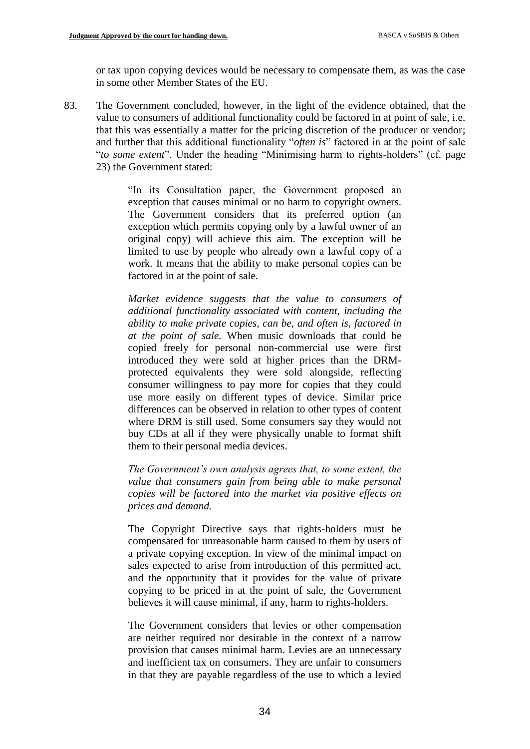or tax upon copying devices would be necessary to compensate them, as was the case in some other Member States of the EU.

83. The Government concluded, however, in the light of the evidence obtained, that the value to consumers of additional functionality could be factored in at point of sale, i.e. that this was essentially a matter for the pricing discretion of the producer or vendor; and further that this additional functionality "*often is*" factored in at the point of sale "*to some extent*". Under the heading "Minimising harm to rights-holders" (cf. page 23) the Government stated:

> "In its Consultation paper, the Government proposed an exception that causes minimal or no harm to copyright owners. The Government considers that its preferred option (an exception which permits copying only by a lawful owner of an original copy) will achieve this aim. The exception will be limited to use by people who already own a lawful copy of a work. It means that the ability to make personal copies can be factored in at the point of sale.

> *Market evidence suggests that the value to consumers of additional functionality associated with content, including the ability to make private copies, can be, and often is, factored in at the point of sale.* When music downloads that could be copied freely for personal non-commercial use were first introduced they were sold at higher prices than the DRMprotected equivalents they were sold alongside, reflecting consumer willingness to pay more for copies that they could use more easily on different types of device. Similar price differences can be observed in relation to other types of content where DRM is still used. Some consumers say they would not buy CDs at all if they were physically unable to format shift them to their personal media devices.

> *The Government's own analysis agrees that, to some extent, the value that consumers gain from being able to make personal copies will be factored into the market via positive effects on prices and demand.*

> The Copyright Directive says that rights-holders must be compensated for unreasonable harm caused to them by users of a private copying exception. In view of the minimal impact on sales expected to arise from introduction of this permitted act, and the opportunity that it provides for the value of private copying to be priced in at the point of sale, the Government believes it will cause minimal, if any, harm to rights-holders.

> The Government considers that levies or other compensation are neither required nor desirable in the context of a narrow provision that causes minimal harm. Levies are an unnecessary and inefficient tax on consumers. They are unfair to consumers in that they are payable regardless of the use to which a levied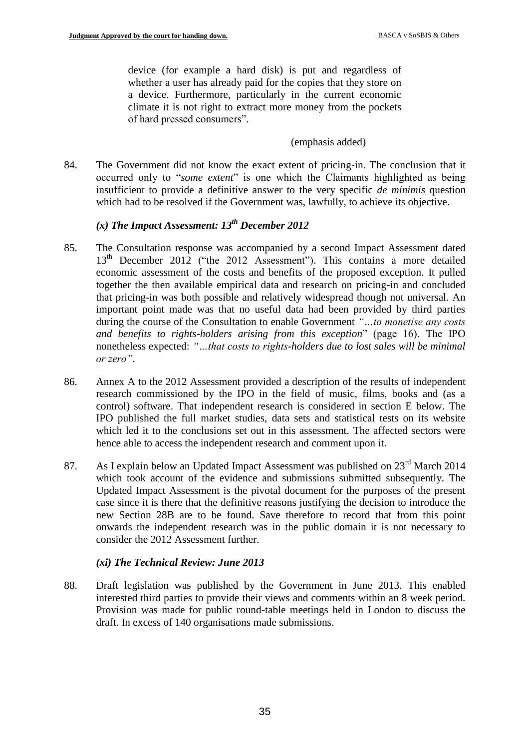device (for example a hard disk) is put and regardless of whether a user has already paid for the copies that they store on a device. Furthermore, particularly in the current economic climate it is not right to extract more money from the pockets of hard pressed consumers".

#### (emphasis added)

84. The Government did not know the exact extent of pricing-in. The conclusion that it occurred only to "*some extent*" is one which the Claimants highlighted as being insufficient to provide a definitive answer to the very specific *de minimis* question which had to be resolved if the Government was, lawfully, to achieve its objective.

# *(x) The Impact Assessment: 13th December 2012*

- 85. The Consultation response was accompanied by a second Impact Assessment dated 13<sup>th</sup> December 2012 ("the 2012 Assessment"). This contains a more detailed economic assessment of the costs and benefits of the proposed exception. It pulled together the then available empirical data and research on pricing-in and concluded that pricing-in was both possible and relatively widespread though not universal. An important point made was that no useful data had been provided by third parties during the course of the Consultation to enable Government *"…to monetise any costs and benefits to rights-holders arising from this exception*" (page 16). The IPO nonetheless expected: *"…that costs to rights-holders due to lost sales will be minimal or zero"*.
- 86. Annex A to the 2012 Assessment provided a description of the results of independent research commissioned by the IPO in the field of music, films, books and (as a control) software. That independent research is considered in section E below. The IPO published the full market studies, data sets and statistical tests on its website which led it to the conclusions set out in this assessment. The affected sectors were hence able to access the independent research and comment upon it.
- 87. As I explain below an Updated Impact Assessment was published on 23<sup>rd</sup> March 2014 which took account of the evidence and submissions submitted subsequently. The Updated Impact Assessment is the pivotal document for the purposes of the present case since it is there that the definitive reasons justifying the decision to introduce the new Section 28B are to be found. Save therefore to record that from this point onwards the independent research was in the public domain it is not necessary to consider the 2012 Assessment further.

### *(xi) The Technical Review: June 2013*

88. Draft legislation was published by the Government in June 2013. This enabled interested third parties to provide their views and comments within an 8 week period. Provision was made for public round-table meetings held in London to discuss the draft. In excess of 140 organisations made submissions.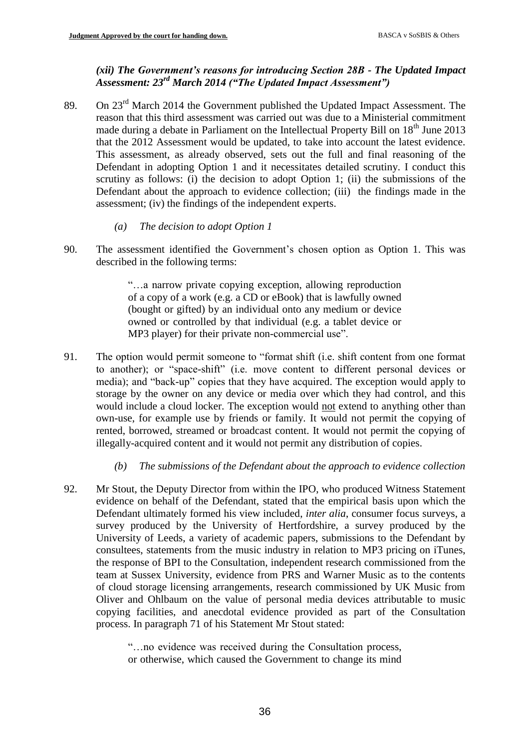### *(xii) The Government's reasons for introducing Section 28B - The Updated Impact Assessment: 23rd March 2014 ("The Updated Impact Assessment")*

- 89. On 23<sup>rd</sup> March 2014 the Government published the Updated Impact Assessment. The reason that this third assessment was carried out was due to a Ministerial commitment made during a debate in Parliament on the Intellectual Property Bill on  $18<sup>th</sup>$  June 2013 that the 2012 Assessment would be updated, to take into account the latest evidence. This assessment, as already observed, sets out the full and final reasoning of the Defendant in adopting Option 1 and it necessitates detailed scrutiny. I conduct this scrutiny as follows: (i) the decision to adopt Option 1; (ii) the submissions of the Defendant about the approach to evidence collection; (iii) the findings made in the assessment; (iv) the findings of the independent experts.
	- *(a) The decision to adopt Option 1*
- 90. The assessment identified the Government's chosen option as Option 1. This was described in the following terms:

"…a narrow private copying exception, allowing reproduction of a copy of a work (e.g. a CD or eBook) that is lawfully owned (bought or gifted) by an individual onto any medium or device owned or controlled by that individual (e.g. a tablet device or MP3 player) for their private non-commercial use".

- 91. The option would permit someone to "format shift (i.e. shift content from one format to another); or "space-shift" (i.e. move content to different personal devices or media); and "back-up" copies that they have acquired. The exception would apply to storage by the owner on any device or media over which they had control, and this would include a cloud locker. The exception would not extend to anything other than own-use, for example use by friends or family. It would not permit the copying of rented, borrowed, streamed or broadcast content. It would not permit the copying of illegally-acquired content and it would not permit any distribution of copies.
	- *(b) The submissions of the Defendant about the approach to evidence collection*
- 92. Mr Stout, the Deputy Director from within the IPO, who produced Witness Statement evidence on behalf of the Defendant, stated that the empirical basis upon which the Defendant ultimately formed his view included, *inter alia*, consumer focus surveys, a survey produced by the University of Hertfordshire, a survey produced by the University of Leeds, a variety of academic papers, submissions to the Defendant by consultees, statements from the music industry in relation to MP3 pricing on iTunes, the response of BPI to the Consultation, independent research commissioned from the team at Sussex University, evidence from PRS and Warner Music as to the contents of cloud storage licensing arrangements, research commissioned by UK Music from Oliver and Ohlbaum on the value of personal media devices attributable to music copying facilities, and anecdotal evidence provided as part of the Consultation process. In paragraph 71 of his Statement Mr Stout stated:

"…no evidence was received during the Consultation process, or otherwise, which caused the Government to change its mind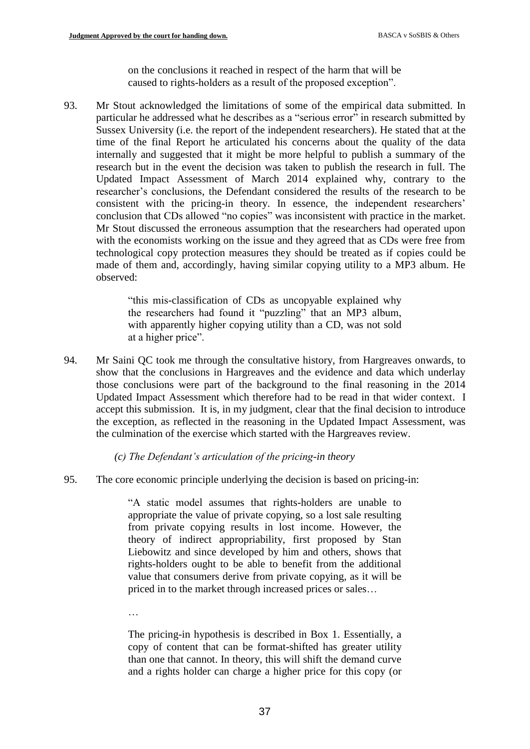on the conclusions it reached in respect of the harm that will be caused to rights-holders as a result of the proposed exception".

93. Mr Stout acknowledged the limitations of some of the empirical data submitted. In particular he addressed what he describes as a "serious error" in research submitted by Sussex University (i.e. the report of the independent researchers). He stated that at the time of the final Report he articulated his concerns about the quality of the data internally and suggested that it might be more helpful to publish a summary of the research but in the event the decision was taken to publish the research in full. The Updated Impact Assessment of March 2014 explained why, contrary to the researcher's conclusions, the Defendant considered the results of the research to be consistent with the pricing-in theory. In essence, the independent researchers' conclusion that CDs allowed "no copies" was inconsistent with practice in the market. Mr Stout discussed the erroneous assumption that the researchers had operated upon with the economists working on the issue and they agreed that as CDs were free from technological copy protection measures they should be treated as if copies could be made of them and, accordingly, having similar copying utility to a MP3 album. He observed:

> "this mis-classification of CDs as uncopyable explained why the researchers had found it "puzzling" that an MP3 album, with apparently higher copying utility than a CD, was not sold at a higher price".

94. Mr Saini QC took me through the consultative history, from Hargreaves onwards, to show that the conclusions in Hargreaves and the evidence and data which underlay those conclusions were part of the background to the final reasoning in the 2014 Updated Impact Assessment which therefore had to be read in that wider context. I accept this submission. It is, in my judgment, clear that the final decision to introduce the exception, as reflected in the reasoning in the Updated Impact Assessment, was the culmination of the exercise which started with the Hargreaves review.

*(c) The Defendant's articulation of the pricing-in theory*

95. The core economic principle underlying the decision is based on pricing-in:

"A static model assumes that rights-holders are unable to appropriate the value of private copying, so a lost sale resulting from private copying results in lost income. However, the theory of indirect appropriability, first proposed by Stan Liebowitz and since developed by him and others, shows that rights-holders ought to be able to benefit from the additional value that consumers derive from private copying, as it will be priced in to the market through increased prices or sales…

…

The pricing-in hypothesis is described in Box 1. Essentially, a copy of content that can be format-shifted has greater utility than one that cannot. In theory, this will shift the demand curve and a rights holder can charge a higher price for this copy (or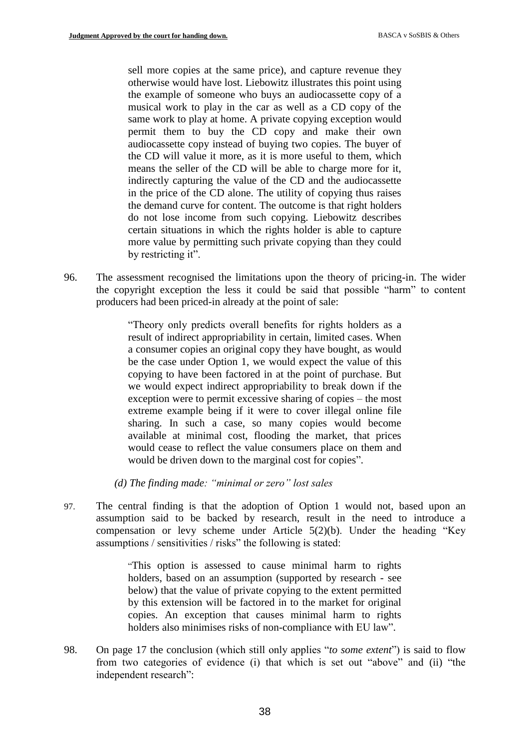sell more copies at the same price), and capture revenue they otherwise would have lost. Liebowitz illustrates this point using the example of someone who buys an audiocassette copy of a musical work to play in the car as well as a CD copy of the same work to play at home. A private copying exception would permit them to buy the CD copy and make their own audiocassette copy instead of buying two copies. The buyer of the CD will value it more, as it is more useful to them, which means the seller of the CD will be able to charge more for it, indirectly capturing the value of the CD and the audiocassette in the price of the CD alone. The utility of copying thus raises the demand curve for content. The outcome is that right holders do not lose income from such copying. Liebowitz describes certain situations in which the rights holder is able to capture more value by permitting such private copying than they could by restricting it".

96. The assessment recognised the limitations upon the theory of pricing-in. The wider the copyright exception the less it could be said that possible "harm" to content producers had been priced-in already at the point of sale:

> "Theory only predicts overall benefits for rights holders as a result of indirect appropriability in certain, limited cases. When a consumer copies an original copy they have bought, as would be the case under Option 1, we would expect the value of this copying to have been factored in at the point of purchase. But we would expect indirect appropriability to break down if the exception were to permit excessive sharing of copies – the most extreme example being if it were to cover illegal online file sharing. In such a case, so many copies would become available at minimal cost, flooding the market, that prices would cease to reflect the value consumers place on them and would be driven down to the marginal cost for copies".

*(d) The finding made: "minimal or zero" lost sales*

97. The central finding is that the adoption of Option 1 would not, based upon an assumption said to be backed by research, result in the need to introduce a compensation or levy scheme under Article 5(2)(b). Under the heading "Key assumptions / sensitivities / risks" the following is stated:

> "This option is assessed to cause minimal harm to rights holders, based on an assumption (supported by research - see below) that the value of private copying to the extent permitted by this extension will be factored in to the market for original copies. An exception that causes minimal harm to rights holders also minimises risks of non-compliance with EU law".

98. On page 17 the conclusion (which still only applies "*to some extent*") is said to flow from two categories of evidence (i) that which is set out "above" and (ii) "the independent research":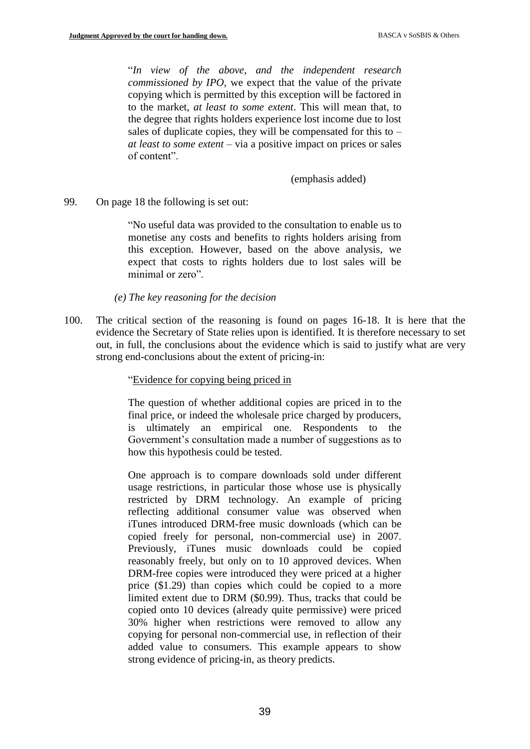"*In view of the above, and the independent research commissioned by IPO*, we expect that the value of the private copying which is permitted by this exception will be factored in to the market, *at least to some extent*. This will mean that, to the degree that rights holders experience lost income due to lost sales of duplicate copies, they will be compensated for this to  $$ *at least to some extent* – via a positive impact on prices or sales of content".

(emphasis added)

99. On page 18 the following is set out:

"No useful data was provided to the consultation to enable us to monetise any costs and benefits to rights holders arising from this exception. However, based on the above analysis, we expect that costs to rights holders due to lost sales will be minimal or zero".

*(e) The key reasoning for the decision*

100. The critical section of the reasoning is found on pages 16-18. It is here that the evidence the Secretary of State relies upon is identified. It is therefore necessary to set out, in full, the conclusions about the evidence which is said to justify what are very strong end-conclusions about the extent of pricing-in:

#### "Evidence for copying being priced in

The question of whether additional copies are priced in to the final price, or indeed the wholesale price charged by producers, is ultimately an empirical one. Respondents to the Government's consultation made a number of suggestions as to how this hypothesis could be tested.

One approach is to compare downloads sold under different usage restrictions, in particular those whose use is physically restricted by DRM technology. An example of pricing reflecting additional consumer value was observed when iTunes introduced DRM-free music downloads (which can be copied freely for personal, non-commercial use) in 2007. Previously, iTunes music downloads could be copied reasonably freely, but only on to 10 approved devices. When DRM-free copies were introduced they were priced at a higher price (\$1.29) than copies which could be copied to a more limited extent due to DRM (\$0.99). Thus, tracks that could be copied onto 10 devices (already quite permissive) were priced 30% higher when restrictions were removed to allow any copying for personal non-commercial use, in reflection of their added value to consumers. This example appears to show strong evidence of pricing-in, as theory predicts.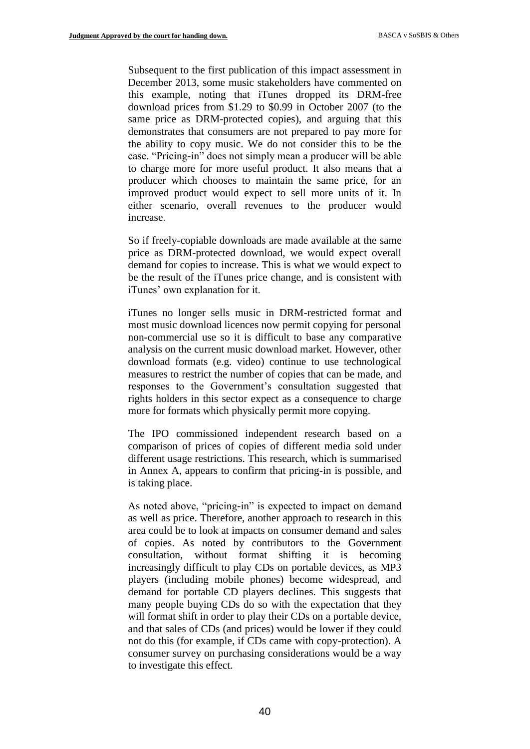Subsequent to the first publication of this impact assessment in December 2013, some music stakeholders have commented on this example, noting that iTunes dropped its DRM-free download prices from \$1.29 to \$0.99 in October 2007 (to the same price as DRM-protected copies), and arguing that this demonstrates that consumers are not prepared to pay more for the ability to copy music. We do not consider this to be the case. "Pricing-in" does not simply mean a producer will be able to charge more for more useful product. It also means that a producer which chooses to maintain the same price, for an improved product would expect to sell more units of it. In either scenario, overall revenues to the producer would increase.

So if freely-copiable downloads are made available at the same price as DRM-protected download, we would expect overall demand for copies to increase. This is what we would expect to be the result of the iTunes price change, and is consistent with iTunes' own explanation for it.

iTunes no longer sells music in DRM-restricted format and most music download licences now permit copying for personal non-commercial use so it is difficult to base any comparative analysis on the current music download market. However, other download formats (e.g. video) continue to use technological measures to restrict the number of copies that can be made, and responses to the Government's consultation suggested that rights holders in this sector expect as a consequence to charge more for formats which physically permit more copying.

The IPO commissioned independent research based on a comparison of prices of copies of different media sold under different usage restrictions. This research, which is summarised in Annex A, appears to confirm that pricing-in is possible, and is taking place.

As noted above, "pricing-in" is expected to impact on demand as well as price. Therefore, another approach to research in this area could be to look at impacts on consumer demand and sales of copies. As noted by contributors to the Government consultation, without format shifting it is becoming increasingly difficult to play CDs on portable devices, as MP3 players (including mobile phones) become widespread, and demand for portable CD players declines. This suggests that many people buying CDs do so with the expectation that they will format shift in order to play their CDs on a portable device, and that sales of CDs (and prices) would be lower if they could not do this (for example, if CDs came with copy-protection). A consumer survey on purchasing considerations would be a way to investigate this effect.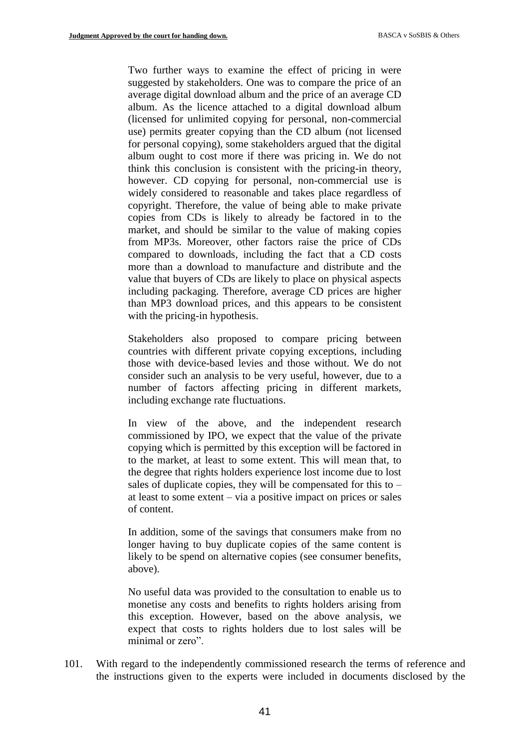Two further ways to examine the effect of pricing in were suggested by stakeholders. One was to compare the price of an average digital download album and the price of an average CD album. As the licence attached to a digital download album (licensed for unlimited copying for personal, non-commercial use) permits greater copying than the CD album (not licensed for personal copying), some stakeholders argued that the digital album ought to cost more if there was pricing in. We do not think this conclusion is consistent with the pricing-in theory, however. CD copying for personal, non-commercial use is widely considered to reasonable and takes place regardless of copyright. Therefore, the value of being able to make private copies from CDs is likely to already be factored in to the market, and should be similar to the value of making copies from MP3s. Moreover, other factors raise the price of CDs compared to downloads, including the fact that a CD costs more than a download to manufacture and distribute and the value that buyers of CDs are likely to place on physical aspects including packaging. Therefore, average CD prices are higher than MP3 download prices, and this appears to be consistent with the pricing-in hypothesis.

Stakeholders also proposed to compare pricing between countries with different private copying exceptions, including those with device-based levies and those without. We do not consider such an analysis to be very useful, however, due to a number of factors affecting pricing in different markets, including exchange rate fluctuations.

In view of the above, and the independent research commissioned by IPO, we expect that the value of the private copying which is permitted by this exception will be factored in to the market, at least to some extent. This will mean that, to the degree that rights holders experience lost income due to lost sales of duplicate copies, they will be compensated for this to  $$ at least to some extent – via a positive impact on prices or sales of content.

In addition, some of the savings that consumers make from no longer having to buy duplicate copies of the same content is likely to be spend on alternative copies (see consumer benefits, above).

No useful data was provided to the consultation to enable us to monetise any costs and benefits to rights holders arising from this exception. However, based on the above analysis, we expect that costs to rights holders due to lost sales will be minimal or zero".

101. With regard to the independently commissioned research the terms of reference and the instructions given to the experts were included in documents disclosed by the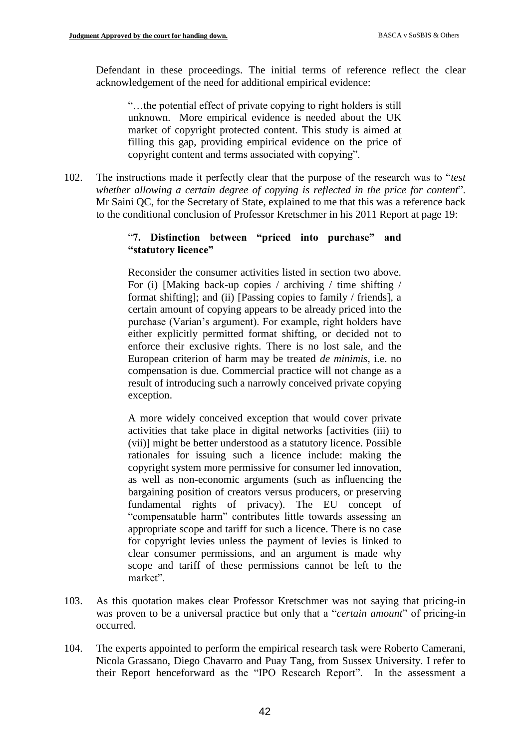Defendant in these proceedings. The initial terms of reference reflect the clear acknowledgement of the need for additional empirical evidence:

"…the potential effect of private copying to right holders is still unknown. More empirical evidence is needed about the UK market of copyright protected content. This study is aimed at filling this gap, providing empirical evidence on the price of copyright content and terms associated with copying".

102. The instructions made it perfectly clear that the purpose of the research was to "*test whether allowing a certain degree of copying is reflected in the price for content*". Mr Saini QC, for the Secretary of State, explained to me that this was a reference back to the conditional conclusion of Professor Kretschmer in his 2011 Report at page 19:

# "**7. Distinction between "priced into purchase" and "statutory licence"**

Reconsider the consumer activities listed in section two above. For (i) [Making back-up copies / archiving / time shifting / format shifting]; and (ii) [Passing copies to family / friends], a certain amount of copying appears to be already priced into the purchase (Varian's argument). For example, right holders have either explicitly permitted format shifting, or decided not to enforce their exclusive rights. There is no lost sale, and the European criterion of harm may be treated *de minimis*, i.e. no compensation is due. Commercial practice will not change as a result of introducing such a narrowly conceived private copying exception.

A more widely conceived exception that would cover private activities that take place in digital networks [activities (iii) to (vii)] might be better understood as a statutory licence. Possible rationales for issuing such a licence include: making the copyright system more permissive for consumer led innovation, as well as non-economic arguments (such as influencing the bargaining position of creators versus producers, or preserving fundamental rights of privacy). The EU concept of "compensatable harm" contributes little towards assessing an appropriate scope and tariff for such a licence. There is no case for copyright levies unless the payment of levies is linked to clear consumer permissions, and an argument is made why scope and tariff of these permissions cannot be left to the market".

- 103. As this quotation makes clear Professor Kretschmer was not saying that pricing-in was proven to be a universal practice but only that a "*certain amount*" of pricing-in occurred.
- 104. The experts appointed to perform the empirical research task were Roberto Camerani, Nicola Grassano, Diego Chavarro and Puay Tang, from Sussex University. I refer to their Report henceforward as the "IPO Research Report". In the assessment a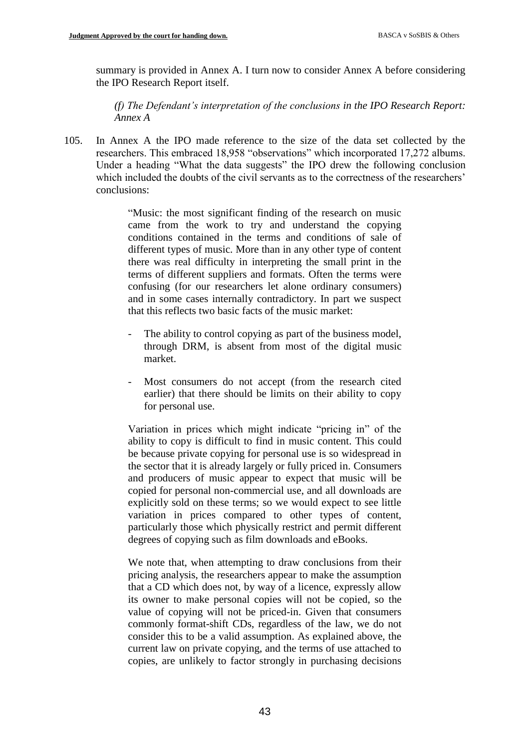summary is provided in Annex A. I turn now to consider Annex A before considering the IPO Research Report itself.

*(f) The Defendant's interpretation of the conclusions in the IPO Research Report: Annex A*

105. In Annex A the IPO made reference to the size of the data set collected by the researchers. This embraced 18,958 "observations" which incorporated 17,272 albums. Under a heading "What the data suggests" the IPO drew the following conclusion which included the doubts of the civil servants as to the correctness of the researchers' conclusions:

> "Music: the most significant finding of the research on music came from the work to try and understand the copying conditions contained in the terms and conditions of sale of different types of music. More than in any other type of content there was real difficulty in interpreting the small print in the terms of different suppliers and formats. Often the terms were confusing (for our researchers let alone ordinary consumers) and in some cases internally contradictory. In part we suspect that this reflects two basic facts of the music market:

- The ability to control copying as part of the business model, through DRM, is absent from most of the digital music market.
- Most consumers do not accept (from the research cited earlier) that there should be limits on their ability to copy for personal use.

Variation in prices which might indicate "pricing in" of the ability to copy is difficult to find in music content. This could be because private copying for personal use is so widespread in the sector that it is already largely or fully priced in. Consumers and producers of music appear to expect that music will be copied for personal non-commercial use, and all downloads are explicitly sold on these terms; so we would expect to see little variation in prices compared to other types of content, particularly those which physically restrict and permit different degrees of copying such as film downloads and eBooks.

We note that, when attempting to draw conclusions from their pricing analysis, the researchers appear to make the assumption that a CD which does not, by way of a licence, expressly allow its owner to make personal copies will not be copied, so the value of copying will not be priced-in. Given that consumers commonly format-shift CDs, regardless of the law, we do not consider this to be a valid assumption. As explained above, the current law on private copying, and the terms of use attached to copies, are unlikely to factor strongly in purchasing decisions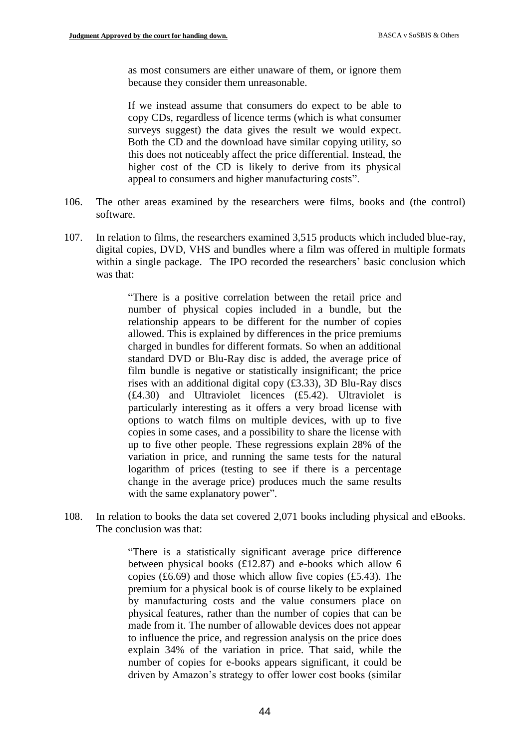as most consumers are either unaware of them, or ignore them because they consider them unreasonable.

If we instead assume that consumers do expect to be able to copy CDs, regardless of licence terms (which is what consumer surveys suggest) the data gives the result we would expect. Both the CD and the download have similar copying utility, so this does not noticeably affect the price differential. Instead, the higher cost of the CD is likely to derive from its physical appeal to consumers and higher manufacturing costs".

- 106. The other areas examined by the researchers were films, books and (the control) software.
- 107. In relation to films, the researchers examined 3,515 products which included blue-ray, digital copies, DVD, VHS and bundles where a film was offered in multiple formats within a single package. The IPO recorded the researchers' basic conclusion which was that:

"There is a positive correlation between the retail price and number of physical copies included in a bundle, but the relationship appears to be different for the number of copies allowed. This is explained by differences in the price premiums charged in bundles for different formats. So when an additional standard DVD or Blu-Ray disc is added, the average price of film bundle is negative or statistically insignificant; the price rises with an additional digital copy (£3.33), 3D Blu-Ray discs (£4.30) and Ultraviolet licences (£5.42). Ultraviolet is particularly interesting as it offers a very broad license with options to watch films on multiple devices, with up to five copies in some cases, and a possibility to share the license with up to five other people. These regressions explain 28% of the variation in price, and running the same tests for the natural logarithm of prices (testing to see if there is a percentage change in the average price) produces much the same results with the same explanatory power".

108. In relation to books the data set covered 2,071 books including physical and eBooks. The conclusion was that:

> "There is a statistically significant average price difference between physical books (£12.87) and e-books which allow 6 copies (£6.69) and those which allow five copies (£5.43). The premium for a physical book is of course likely to be explained by manufacturing costs and the value consumers place on physical features, rather than the number of copies that can be made from it. The number of allowable devices does not appear to influence the price, and regression analysis on the price does explain 34% of the variation in price. That said, while the number of copies for e-books appears significant, it could be driven by Amazon's strategy to offer lower cost books (similar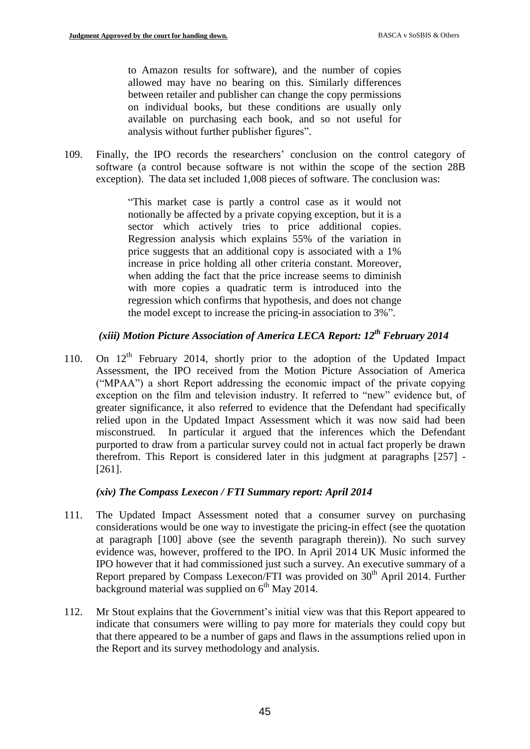to Amazon results for software), and the number of copies allowed may have no bearing on this. Similarly differences between retailer and publisher can change the copy permissions on individual books, but these conditions are usually only available on purchasing each book, and so not useful for analysis without further publisher figures".

109. Finally, the IPO records the researchers' conclusion on the control category of software (a control because software is not within the scope of the section 28B exception). The data set included 1,008 pieces of software. The conclusion was:

> "This market case is partly a control case as it would not notionally be affected by a private copying exception, but it is a sector which actively tries to price additional copies. Regression analysis which explains 55% of the variation in price suggests that an additional copy is associated with a 1% increase in price holding all other criteria constant. Moreover, when adding the fact that the price increase seems to diminish with more copies a quadratic term is introduced into the regression which confirms that hypothesis, and does not change the model except to increase the pricing-in association to 3%".

# *(xiii) Motion Picture Association of America LECA Report: 12th February 2014*

110. On  $12<sup>th</sup>$  February 2014, shortly prior to the adoption of the Updated Impact Assessment, the IPO received from the Motion Picture Association of America ("MPAA") a short Report addressing the economic impact of the private copying exception on the film and television industry. It referred to "new" evidence but, of greater significance, it also referred to evidence that the Defendant had specifically relied upon in the Updated Impact Assessment which it was now said had been misconstrued. In particular it argued that the inferences which the Defendant purported to draw from a particular survey could not in actual fact properly be drawn therefrom. This Report is considered later in this judgment at paragraphs [257] - [261].

# *(xiv) The Compass Lexecon / FTI Summary report: April 2014*

- 111. The Updated Impact Assessment noted that a consumer survey on purchasing considerations would be one way to investigate the pricing-in effect (see the quotation at paragraph [100] above (see the seventh paragraph therein)). No such survey evidence was, however, proffered to the IPO. In April 2014 UK Music informed the IPO however that it had commissioned just such a survey. An executive summary of a Report prepared by Compass Lexecon/FTI was provided on  $30<sup>th</sup>$  April 2014. Further background material was supplied on  $6<sup>th</sup>$  May 2014.
- 112. Mr Stout explains that the Government's initial view was that this Report appeared to indicate that consumers were willing to pay more for materials they could copy but that there appeared to be a number of gaps and flaws in the assumptions relied upon in the Report and its survey methodology and analysis.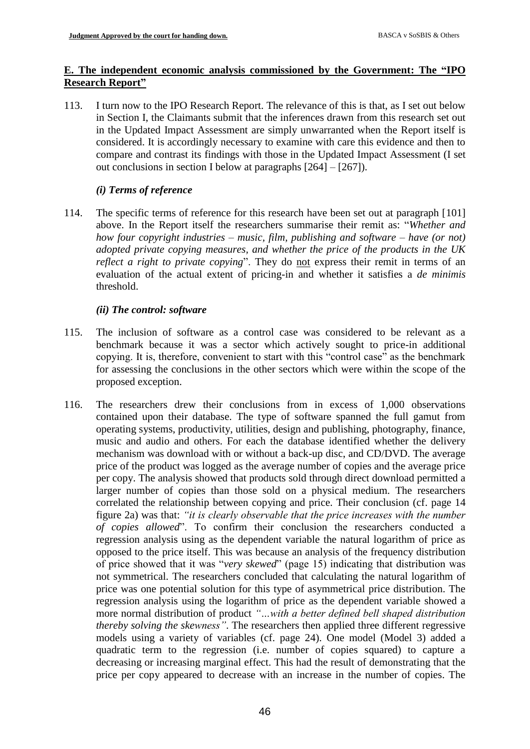# **E. The independent economic analysis commissioned by the Government: The "IPO Research Report"**

113. I turn now to the IPO Research Report. The relevance of this is that, as I set out below in Section I, the Claimants submit that the inferences drawn from this research set out in the Updated Impact Assessment are simply unwarranted when the Report itself is considered. It is accordingly necessary to examine with care this evidence and then to compare and contrast its findings with those in the Updated Impact Assessment (I set out conclusions in section I below at paragraphs [264] – [267]).

# *(i) Terms of reference*

114. The specific terms of reference for this research have been set out at paragraph [101] above. In the Report itself the researchers summarise their remit as: "*Whether and how four copyright industries – music, film, publishing and software – have (or not) adopted private copying measures, and whether the price of the products in the UK reflect a right to private copying*". They do not express their remit in terms of an evaluation of the actual extent of pricing-in and whether it satisfies a *de minimis* threshold.

# *(ii) The control: software*

- 115. The inclusion of software as a control case was considered to be relevant as a benchmark because it was a sector which actively sought to price-in additional copying. It is, therefore, convenient to start with this "control case" as the benchmark for assessing the conclusions in the other sectors which were within the scope of the proposed exception.
- 116. The researchers drew their conclusions from in excess of 1,000 observations contained upon their database. The type of software spanned the full gamut from operating systems, productivity, utilities, design and publishing, photography, finance, music and audio and others. For each the database identified whether the delivery mechanism was download with or without a back-up disc, and CD/DVD. The average price of the product was logged as the average number of copies and the average price per copy. The analysis showed that products sold through direct download permitted a larger number of copies than those sold on a physical medium. The researchers correlated the relationship between copying and price. Their conclusion (cf. page 14 figure 2a) was that: *"it is clearly observable that the price increases with the number of copies allowed*". To confirm their conclusion the researchers conducted a regression analysis using as the dependent variable the natural logarithm of price as opposed to the price itself. This was because an analysis of the frequency distribution of price showed that it was "*very skewed*" (page 15) indicating that distribution was not symmetrical. The researchers concluded that calculating the natural logarithm of price was one potential solution for this type of asymmetrical price distribution. The regression analysis using the logarithm of price as the dependent variable showed a more normal distribution of product *"…with a better defined bell shaped distribution thereby solving the skewness"*. The researchers then applied three different regressive models using a variety of variables (cf. page 24). One model (Model 3) added a quadratic term to the regression (i.e. number of copies squared) to capture a decreasing or increasing marginal effect. This had the result of demonstrating that the price per copy appeared to decrease with an increase in the number of copies. The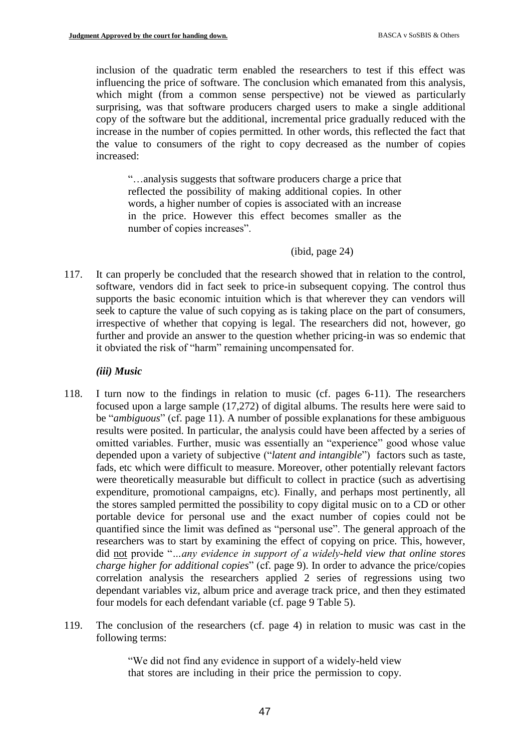inclusion of the quadratic term enabled the researchers to test if this effect was influencing the price of software. The conclusion which emanated from this analysis, which might (from a common sense perspective) not be viewed as particularly surprising, was that software producers charged users to make a single additional copy of the software but the additional, incremental price gradually reduced with the increase in the number of copies permitted. In other words, this reflected the fact that the value to consumers of the right to copy decreased as the number of copies increased:

"…analysis suggests that software producers charge a price that reflected the possibility of making additional copies. In other words, a higher number of copies is associated with an increase in the price. However this effect becomes smaller as the number of copies increases".

(ibid, page 24)

117. It can properly be concluded that the research showed that in relation to the control, software, vendors did in fact seek to price-in subsequent copying. The control thus supports the basic economic intuition which is that wherever they can vendors will seek to capture the value of such copying as is taking place on the part of consumers, irrespective of whether that copying is legal. The researchers did not, however, go further and provide an answer to the question whether pricing-in was so endemic that it obviated the risk of "harm" remaining uncompensated for.

## *(iii) Music*

- 118. I turn now to the findings in relation to music (cf. pages 6-11). The researchers focused upon a large sample (17,272) of digital albums. The results here were said to be "*ambiguous*" (cf. page 11). A number of possible explanations for these ambiguous results were posited. In particular, the analysis could have been affected by a series of omitted variables. Further, music was essentially an "experience" good whose value depended upon a variety of subjective ("*latent and intangible*") factors such as taste, fads, etc which were difficult to measure. Moreover, other potentially relevant factors were theoretically measurable but difficult to collect in practice (such as advertising expenditure, promotional campaigns, etc). Finally, and perhaps most pertinently, all the stores sampled permitted the possibility to copy digital music on to a CD or other portable device for personal use and the exact number of copies could not be quantified since the limit was defined as "personal use". The general approach of the researchers was to start by examining the effect of copying on price. This, however, did not provide "*…any evidence in support of a widely-held view that online stores charge higher for additional copies*" (cf. page 9). In order to advance the price/copies correlation analysis the researchers applied 2 series of regressions using two dependant variables viz, album price and average track price, and then they estimated four models for each defendant variable (cf. page 9 Table 5).
- 119. The conclusion of the researchers (cf. page 4) in relation to music was cast in the following terms:

"We did not find any evidence in support of a widely-held view that stores are including in their price the permission to copy.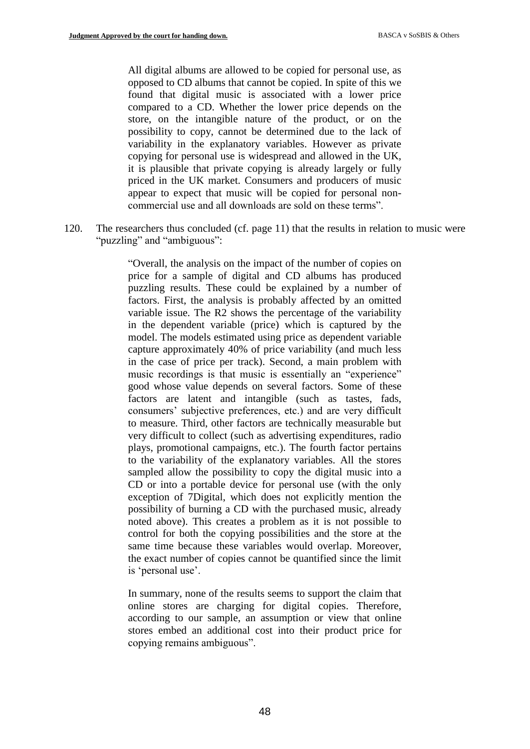All digital albums are allowed to be copied for personal use, as opposed to CD albums that cannot be copied. In spite of this we found that digital music is associated with a lower price compared to a CD. Whether the lower price depends on the store, on the intangible nature of the product, or on the possibility to copy, cannot be determined due to the lack of variability in the explanatory variables. However as private copying for personal use is widespread and allowed in the UK, it is plausible that private copying is already largely or fully priced in the UK market. Consumers and producers of music appear to expect that music will be copied for personal noncommercial use and all downloads are sold on these terms".

120. The researchers thus concluded (cf. page 11) that the results in relation to music were "puzzling" and "ambiguous":

> "Overall, the analysis on the impact of the number of copies on price for a sample of digital and CD albums has produced puzzling results. These could be explained by a number of factors. First, the analysis is probably affected by an omitted variable issue. The R2 shows the percentage of the variability in the dependent variable (price) which is captured by the model. The models estimated using price as dependent variable capture approximately 40% of price variability (and much less in the case of price per track). Second, a main problem with music recordings is that music is essentially an "experience" good whose value depends on several factors. Some of these factors are latent and intangible (such as tastes, fads, consumers' subjective preferences, etc.) and are very difficult to measure. Third, other factors are technically measurable but very difficult to collect (such as advertising expenditures, radio plays, promotional campaigns, etc.). The fourth factor pertains to the variability of the explanatory variables. All the stores sampled allow the possibility to copy the digital music into a CD or into a portable device for personal use (with the only exception of 7Digital, which does not explicitly mention the possibility of burning a CD with the purchased music, already noted above). This creates a problem as it is not possible to control for both the copying possibilities and the store at the same time because these variables would overlap. Moreover, the exact number of copies cannot be quantified since the limit is 'personal use'.

> In summary, none of the results seems to support the claim that online stores are charging for digital copies. Therefore, according to our sample, an assumption or view that online stores embed an additional cost into their product price for copying remains ambiguous".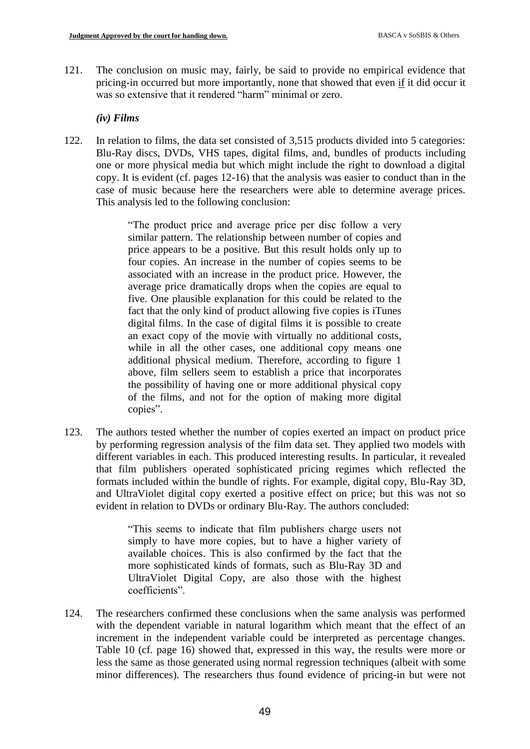121. The conclusion on music may, fairly, be said to provide no empirical evidence that pricing-in occurred but more importantly, none that showed that even if it did occur it was so extensive that it rendered "harm" minimal or zero.

#### *(iv) Films*

122. In relation to films, the data set consisted of 3,515 products divided into 5 categories: Blu-Ray discs, DVDs, VHS tapes, digital films, and, bundles of products including one or more physical media but which might include the right to download a digital copy. It is evident (cf. pages 12-16) that the analysis was easier to conduct than in the case of music because here the researchers were able to determine average prices. This analysis led to the following conclusion:

> "The product price and average price per disc follow a very similar pattern. The relationship between number of copies and price appears to be a positive. But this result holds only up to four copies. An increase in the number of copies seems to be associated with an increase in the product price. However, the average price dramatically drops when the copies are equal to five. One plausible explanation for this could be related to the fact that the only kind of product allowing five copies is iTunes digital films. In the case of digital films it is possible to create an exact copy of the movie with virtually no additional costs, while in all the other cases, one additional copy means one additional physical medium. Therefore, according to figure 1 above, film sellers seem to establish a price that incorporates the possibility of having one or more additional physical copy of the films, and not for the option of making more digital copies".

123. The authors tested whether the number of copies exerted an impact on product price by performing regression analysis of the film data set. They applied two models with different variables in each. This produced interesting results. In particular, it revealed that film publishers operated sophisticated pricing regimes which reflected the formats included within the bundle of rights. For example, digital copy, Blu-Ray 3D, and UltraViolet digital copy exerted a positive effect on price; but this was not so evident in relation to DVDs or ordinary Blu-Ray. The authors concluded:

> "This seems to indicate that film publishers charge users not simply to have more copies, but to have a higher variety of available choices. This is also confirmed by the fact that the more sophisticated kinds of formats, such as Blu-Ray 3D and UltraViolet Digital Copy, are also those with the highest coefficients".

124. The researchers confirmed these conclusions when the same analysis was performed with the dependent variable in natural logarithm which meant that the effect of an increment in the independent variable could be interpreted as percentage changes. Table 10 (cf. page 16) showed that, expressed in this way, the results were more or less the same as those generated using normal regression techniques (albeit with some minor differences). The researchers thus found evidence of pricing-in but were not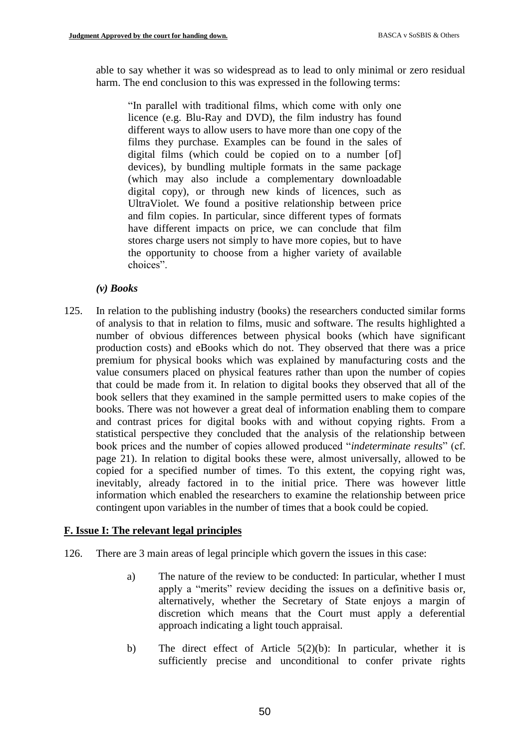able to say whether it was so widespread as to lead to only minimal or zero residual harm. The end conclusion to this was expressed in the following terms:

"In parallel with traditional films, which come with only one licence (e.g. Blu-Ray and DVD), the film industry has found different ways to allow users to have more than one copy of the films they purchase. Examples can be found in the sales of digital films (which could be copied on to a number [of] devices), by bundling multiple formats in the same package (which may also include a complementary downloadable digital copy), or through new kinds of licences, such as UltraViolet. We found a positive relationship between price and film copies. In particular, since different types of formats have different impacts on price, we can conclude that film stores charge users not simply to have more copies, but to have the opportunity to choose from a higher variety of available choices".

#### *(v) Books*

125. In relation to the publishing industry (books) the researchers conducted similar forms of analysis to that in relation to films, music and software. The results highlighted a number of obvious differences between physical books (which have significant production costs) and eBooks which do not. They observed that there was a price premium for physical books which was explained by manufacturing costs and the value consumers placed on physical features rather than upon the number of copies that could be made from it. In relation to digital books they observed that all of the book sellers that they examined in the sample permitted users to make copies of the books. There was not however a great deal of information enabling them to compare and contrast prices for digital books with and without copying rights. From a statistical perspective they concluded that the analysis of the relationship between book prices and the number of copies allowed produced "*indeterminate results*" (cf. page 21). In relation to digital books these were, almost universally, allowed to be copied for a specified number of times. To this extent, the copying right was, inevitably, already factored in to the initial price. There was however little information which enabled the researchers to examine the relationship between price contingent upon variables in the number of times that a book could be copied.

#### **F. Issue I: The relevant legal principles**

- 126. There are 3 main areas of legal principle which govern the issues in this case:
	- a) The nature of the review to be conducted: In particular, whether I must apply a "merits" review deciding the issues on a definitive basis or, alternatively, whether the Secretary of State enjoys a margin of discretion which means that the Court must apply a deferential approach indicating a light touch appraisal.
	- b) The direct effect of Article 5(2)(b): In particular, whether it is sufficiently precise and unconditional to confer private rights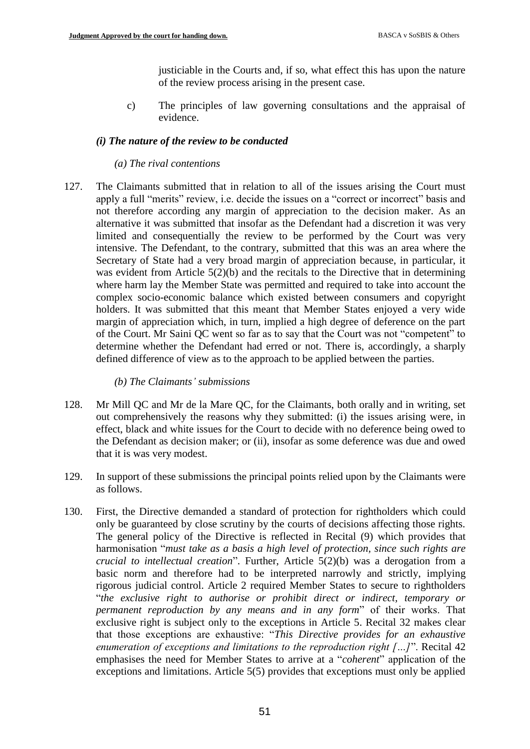justiciable in the Courts and, if so, what effect this has upon the nature of the review process arising in the present case.

c) The principles of law governing consultations and the appraisal of evidence.

#### *(i) The nature of the review to be conducted*

#### *(a) The rival contentions*

127. The Claimants submitted that in relation to all of the issues arising the Court must apply a full "merits" review, i.e. decide the issues on a "correct or incorrect" basis and not therefore according any margin of appreciation to the decision maker. As an alternative it was submitted that insofar as the Defendant had a discretion it was very limited and consequentially the review to be performed by the Court was very intensive. The Defendant, to the contrary, submitted that this was an area where the Secretary of State had a very broad margin of appreciation because, in particular, it was evident from Article 5(2)(b) and the recitals to the Directive that in determining where harm lay the Member State was permitted and required to take into account the complex socio-economic balance which existed between consumers and copyright holders. It was submitted that this meant that Member States enjoyed a very wide margin of appreciation which, in turn, implied a high degree of deference on the part of the Court. Mr Saini QC went so far as to say that the Court was not "competent" to determine whether the Defendant had erred or not. There is, accordingly, a sharply defined difference of view as to the approach to be applied between the parties.

#### *(b) The Claimants' submissions*

- 128. Mr Mill QC and Mr de la Mare QC, for the Claimants, both orally and in writing, set out comprehensively the reasons why they submitted: (i) the issues arising were, in effect, black and white issues for the Court to decide with no deference being owed to the Defendant as decision maker; or (ii), insofar as some deference was due and owed that it is was very modest.
- 129. In support of these submissions the principal points relied upon by the Claimants were as follows.
- 130. First, the Directive demanded a standard of protection for rightholders which could only be guaranteed by close scrutiny by the courts of decisions affecting those rights. The general policy of the Directive is reflected in Recital (9) which provides that harmonisation "*must take as a basis a high level of protection, since such rights are crucial to intellectual creation*". Further, Article 5(2)(b) was a derogation from a basic norm and therefore had to be interpreted narrowly and strictly, implying rigorous judicial control. Article 2 required Member States to secure to rightholders "*the exclusive right to authorise or prohibit direct or indirect, temporary or permanent reproduction by any means and in any form*" of their works. That exclusive right is subject only to the exceptions in Article 5. Recital 32 makes clear that those exceptions are exhaustive: "*This Directive provides for an exhaustive enumeration of exceptions and limitations to the reproduction right […]*". Recital 42 emphasises the need for Member States to arrive at a "*coherent*" application of the exceptions and limitations. Article 5(5) provides that exceptions must only be applied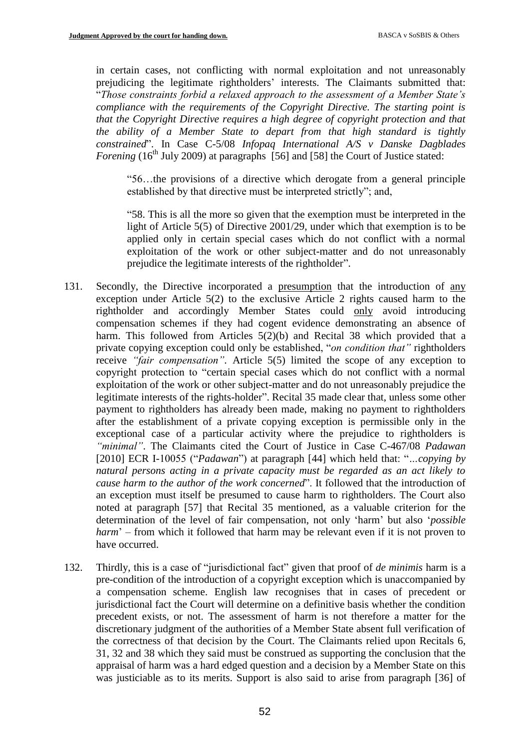in certain cases, not conflicting with normal exploitation and not unreasonably prejudicing the legitimate rightholders' interests. The Claimants submitted that: "*Those constraints forbid a relaxed approach to the assessment of a Member State's compliance with the requirements of the Copyright Directive. The starting point is that the Copyright Directive requires a high degree of copyright protection and that the ability of a Member State to depart from that high standard is tightly constrained*". In Case C-5/08 *Infopaq International A/S v Danske Dagblades Forening* (16<sup>th</sup> July 2009) at paragraphs [56] and [58] the Court of Justice stated:

"56…the provisions of a directive which derogate from a general principle established by that directive must be interpreted strictly"; and,

"58. This is all the more so given that the exemption must be interpreted in the light of Article 5(5) of Directive 2001/29, under which that exemption is to be applied only in certain special cases which do not conflict with a normal exploitation of the work or other subject-matter and do not unreasonably prejudice the legitimate interests of the rightholder".

- 131. Secondly, the Directive incorporated a presumption that the introduction of any exception under Article 5(2) to the exclusive Article 2 rights caused harm to the rightholder and accordingly Member States could only avoid introducing compensation schemes if they had cogent evidence demonstrating an absence of harm. This followed from Articles 5(2)(b) and Recital 38 which provided that a private copying exception could only be established, "*on condition that"* rightholders receive *"fair compensation".* Article 5(5) limited the scope of any exception to copyright protection to "certain special cases which do not conflict with a normal exploitation of the work or other subject-matter and do not unreasonably prejudice the legitimate interests of the rights-holder". Recital 35 made clear that, unless some other payment to rightholders has already been made, making no payment to rightholders after the establishment of a private copying exception is permissible only in the exceptional case of a particular activity where the prejudice to rightholders is *"minimal"*. The Claimants cited the Court of Justice in Case C-467/08 *Padawan* [2010] ECR I-10055 ("*Padawan*") at paragraph [44] which held that: "*…copying by natural persons acting in a private capacity must be regarded as an act likely to cause harm to the author of the work concerned*". It followed that the introduction of an exception must itself be presumed to cause harm to rightholders. The Court also noted at paragraph [57] that Recital 35 mentioned, as a valuable criterion for the determination of the level of fair compensation, not only 'harm' but also '*possible harm*' – from which it followed that harm may be relevant even if it is not proven to have occurred.
- 132. Thirdly, this is a case of "jurisdictional fact" given that proof of *de minimis* harm is a pre-condition of the introduction of a copyright exception which is unaccompanied by a compensation scheme. English law recognises that in cases of precedent or jurisdictional fact the Court will determine on a definitive basis whether the condition precedent exists, or not. The assessment of harm is not therefore a matter for the discretionary judgment of the authorities of a Member State absent full verification of the correctness of that decision by the Court. The Claimants relied upon Recitals 6, 31, 32 and 38 which they said must be construed as supporting the conclusion that the appraisal of harm was a hard edged question and a decision by a Member State on this was justiciable as to its merits. Support is also said to arise from paragraph [36] of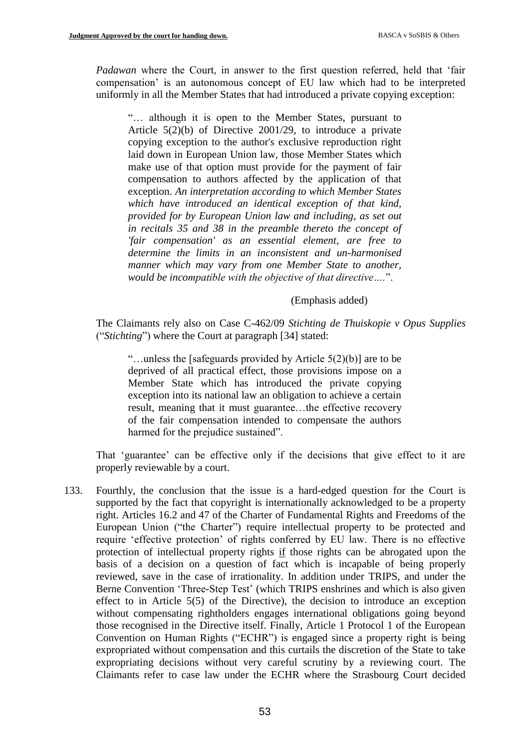*Padawan* where the Court, in answer to the first question referred, held that 'fair compensation' is an autonomous concept of EU law which had to be interpreted uniformly in all the Member States that had introduced a private copying exception:

"… although it is open to the Member States, pursuant to Article 5(2)(b) of Directive 2001/29, to introduce a private copying exception to the author's exclusive reproduction right laid down in European Union law, those Member States which make use of that option must provide for the payment of fair compensation to authors affected by the application of that exception. *An interpretation according to which Member States which have introduced an identical exception of that kind, provided for by European Union law and including, as set out in recitals 35 and 38 in the preamble thereto the concept of 'fair compensation' as an essential element, are free to determine the limits in an inconsistent and un-harmonised manner which may vary from one Member State to another, would be incompatible with the objective of that directive….*".

#### (Emphasis added)

The Claimants rely also on Case C-462/09 *Stichting de Thuiskopie v Opus Supplies* ("*Stichting*") where the Court at paragraph [34] stated:

"...unless the [safeguards provided by Article  $5(2)(b)$ ] are to be deprived of all practical effect, those provisions impose on a Member State which has introduced the private copying exception into its national law an obligation to achieve a certain result, meaning that it must guarantee…the effective recovery of the fair compensation intended to compensate the authors harmed for the prejudice sustained".

That 'guarantee' can be effective only if the decisions that give effect to it are properly reviewable by a court.

133. Fourthly, the conclusion that the issue is a hard-edged question for the Court is supported by the fact that copyright is internationally acknowledged to be a property right. Articles 16.2 and 47 of the Charter of Fundamental Rights and Freedoms of the European Union ("the Charter") require intellectual property to be protected and require 'effective protection' of rights conferred by EU law. There is no effective protection of intellectual property rights if those rights can be abrogated upon the basis of a decision on a question of fact which is incapable of being properly reviewed, save in the case of irrationality. In addition under TRIPS, and under the Berne Convention 'Three-Step Test' (which TRIPS enshrines and which is also given effect to in Article 5(5) of the Directive), the decision to introduce an exception without compensating rightholders engages international obligations going beyond those recognised in the Directive itself. Finally, Article 1 Protocol 1 of the European Convention on Human Rights ("ECHR") is engaged since a property right is being expropriated without compensation and this curtails the discretion of the State to take expropriating decisions without very careful scrutiny by a reviewing court. The Claimants refer to case law under the ECHR where the Strasbourg Court decided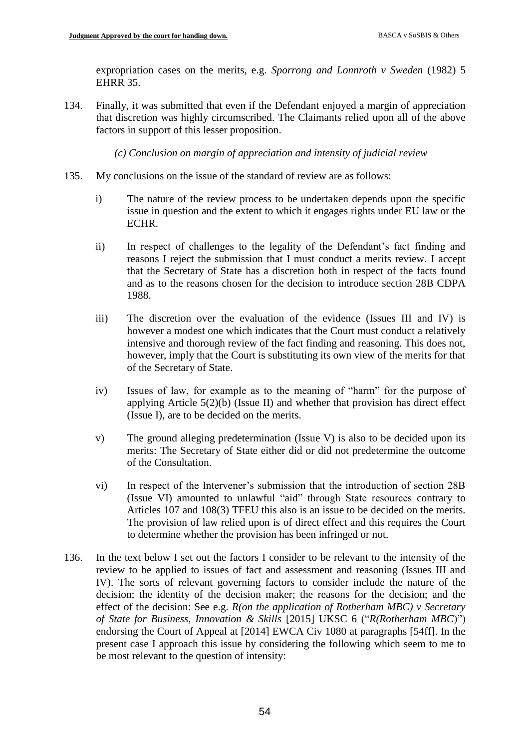expropriation cases on the merits, e.g. *Sporrong and Lonnroth v Sweden* (1982) 5 EHRR 35.

134. Finally, it was submitted that even if the Defendant enjoyed a margin of appreciation that discretion was highly circumscribed. The Claimants relied upon all of the above factors in support of this lesser proposition.

*(c) Conclusion on margin of appreciation and intensity of judicial review*

- 135. My conclusions on the issue of the standard of review are as follows:
	- i) The nature of the review process to be undertaken depends upon the specific issue in question and the extent to which it engages rights under EU law or the ECHR.
	- ii) In respect of challenges to the legality of the Defendant's fact finding and reasons I reject the submission that I must conduct a merits review. I accept that the Secretary of State has a discretion both in respect of the facts found and as to the reasons chosen for the decision to introduce section 28B CDPA 1988.
	- iii) The discretion over the evaluation of the evidence (Issues III and IV) is however a modest one which indicates that the Court must conduct a relatively intensive and thorough review of the fact finding and reasoning. This does not, however, imply that the Court is substituting its own view of the merits for that of the Secretary of State.
	- iv) Issues of law, for example as to the meaning of "harm" for the purpose of applying Article 5(2)(b) (Issue II) and whether that provision has direct effect (Issue I), are to be decided on the merits.
	- v) The ground alleging predetermination (Issue V) is also to be decided upon its merits: The Secretary of State either did or did not predetermine the outcome of the Consultation.
	- vi) In respect of the Intervener's submission that the introduction of section 28B (Issue VI) amounted to unlawful "aid" through State resources contrary to Articles 107 and 108(3) TFEU this also is an issue to be decided on the merits. The provision of law relied upon is of direct effect and this requires the Court to determine whether the provision has been infringed or not.
- 136. In the text below I set out the factors I consider to be relevant to the intensity of the review to be applied to issues of fact and assessment and reasoning (Issues III and IV). The sorts of relevant governing factors to consider include the nature of the decision; the identity of the decision maker; the reasons for the decision; and the effect of the decision: See e.g. *R(on the application of Rotherham MBC) v Secretary of State for Business, Innovation & Skills* [2015] UKSC 6 ("*R(Rotherham MBC*)") endorsing the Court of Appeal at [2014] EWCA Civ 1080 at paragraphs [54ff]. In the present case I approach this issue by considering the following which seem to me to be most relevant to the question of intensity: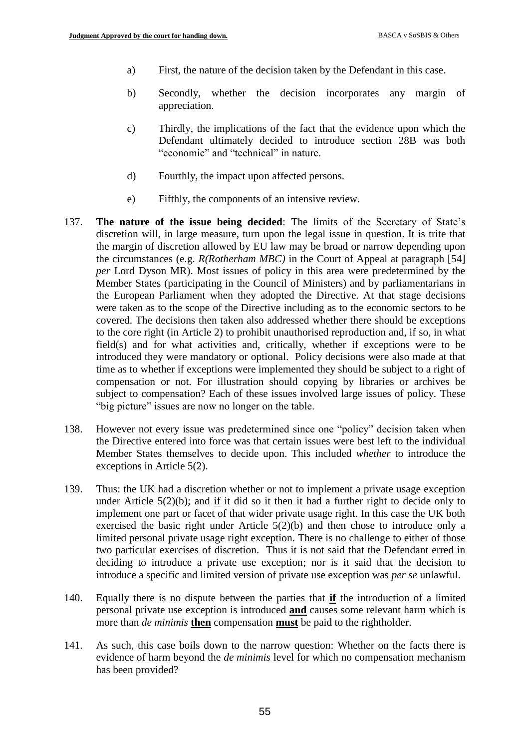- a) First, the nature of the decision taken by the Defendant in this case.
- b) Secondly, whether the decision incorporates any margin of appreciation.
- c) Thirdly, the implications of the fact that the evidence upon which the Defendant ultimately decided to introduce section 28B was both "economic" and "technical" in nature.
- d) Fourthly, the impact upon affected persons.
- e) Fifthly, the components of an intensive review.
- 137. **The nature of the issue being decided**: The limits of the Secretary of State's discretion will, in large measure, turn upon the legal issue in question. It is trite that the margin of discretion allowed by EU law may be broad or narrow depending upon the circumstances (e.g. *R(Rotherham MBC)* in the Court of Appeal at paragraph [54] *per* Lord Dyson MR). Most issues of policy in this area were predetermined by the Member States (participating in the Council of Ministers) and by parliamentarians in the European Parliament when they adopted the Directive. At that stage decisions were taken as to the scope of the Directive including as to the economic sectors to be covered. The decisions then taken also addressed whether there should be exceptions to the core right (in Article 2) to prohibit unauthorised reproduction and, if so, in what field(s) and for what activities and, critically, whether if exceptions were to be introduced they were mandatory or optional. Policy decisions were also made at that time as to whether if exceptions were implemented they should be subject to a right of compensation or not. For illustration should copying by libraries or archives be subject to compensation? Each of these issues involved large issues of policy. These "big picture" issues are now no longer on the table.
- 138. However not every issue was predetermined since one "policy" decision taken when the Directive entered into force was that certain issues were best left to the individual Member States themselves to decide upon. This included *whether* to introduce the exceptions in Article 5(2).
- 139. Thus: the UK had a discretion whether or not to implement a private usage exception under Article 5(2)(b); and if it did so it then it had a further right to decide only to implement one part or facet of that wider private usage right. In this case the UK both exercised the basic right under Article 5(2)(b) and then chose to introduce only a limited personal private usage right exception. There is no challenge to either of those two particular exercises of discretion. Thus it is not said that the Defendant erred in deciding to introduce a private use exception; nor is it said that the decision to introduce a specific and limited version of private use exception was *per se* unlawful.
- 140. Equally there is no dispute between the parties that **if** the introduction of a limited personal private use exception is introduced **and** causes some relevant harm which is more than *de minimis* **then** compensation **must** be paid to the rightholder.
- 141. As such, this case boils down to the narrow question: Whether on the facts there is evidence of harm beyond the *de minimis* level for which no compensation mechanism has been provided?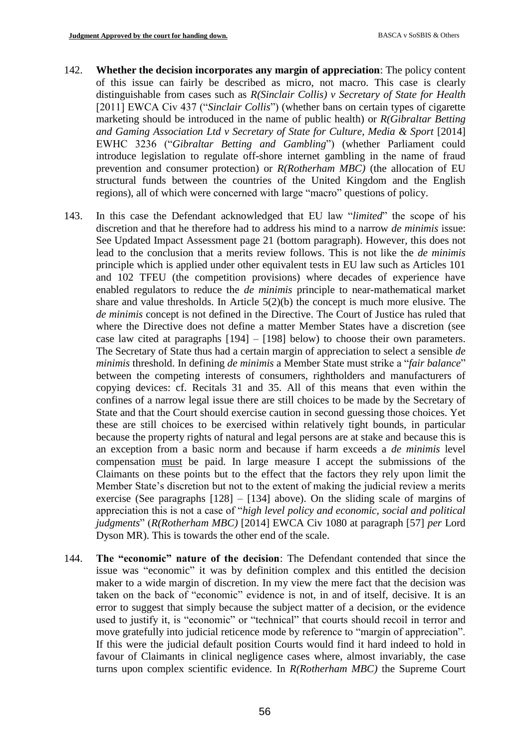- 142. **Whether the decision incorporates any margin of appreciation**: The policy content of this issue can fairly be described as micro, not macro. This case is clearly distinguishable from cases such as *R(Sinclair Collis) v Secretary of State for Health*  [2011] EWCA Civ 437 ("Sinclair Collis") (whether bans on certain types of cigarette marketing should be introduced in the name of public health) or *R(Gibraltar Betting and Gaming Association Ltd v Secretary of State for Culture, Media & Sport* [2014] EWHC 3236 ("*Gibraltar Betting and Gambling*") (whether Parliament could introduce legislation to regulate off-shore internet gambling in the name of fraud prevention and consumer protection) or *R(Rotherham MBC)* (the allocation of EU structural funds between the countries of the United Kingdom and the English regions), all of which were concerned with large "macro" questions of policy.
- 143. In this case the Defendant acknowledged that EU law "*limited*" the scope of his discretion and that he therefore had to address his mind to a narrow *de minimis* issue: See Updated Impact Assessment page 21 (bottom paragraph). However, this does not lead to the conclusion that a merits review follows. This is not like the *de minimis* principle which is applied under other equivalent tests in EU law such as Articles 101 and 102 TFEU (the competition provisions) where decades of experience have enabled regulators to reduce the *de minimis* principle to near-mathematical market share and value thresholds. In Article 5(2)(b) the concept is much more elusive. The *de minimis* concept is not defined in the Directive. The Court of Justice has ruled that where the Directive does not define a matter Member States have a discretion (see case law cited at paragraphs [194] – [198] below) to choose their own parameters. The Secretary of State thus had a certain margin of appreciation to select a sensible *de minimis* threshold. In defining *de minimis* a Member State must strike a "*fair balance*" between the competing interests of consumers, rightholders and manufacturers of copying devices: cf. Recitals 31 and 35. All of this means that even within the confines of a narrow legal issue there are still choices to be made by the Secretary of State and that the Court should exercise caution in second guessing those choices. Yet these are still choices to be exercised within relatively tight bounds, in particular because the property rights of natural and legal persons are at stake and because this is an exception from a basic norm and because if harm exceeds a *de minimis* level compensation must be paid. In large measure I accept the submissions of the Claimants on these points but to the effect that the factors they rely upon limit the Member State's discretion but not to the extent of making the judicial review a merits exercise (See paragraphs  $[128] - [134]$  above). On the sliding scale of margins of appreciation this is not a case of "*high level policy and economic, social and political judgments*" (*R(Rotherham MBC)* [2014] EWCA Civ 1080 at paragraph [57] *per* Lord Dyson MR). This is towards the other end of the scale.
- 144. **The "economic" nature of the decision**: The Defendant contended that since the issue was "economic" it was by definition complex and this entitled the decision maker to a wide margin of discretion. In my view the mere fact that the decision was taken on the back of "economic" evidence is not, in and of itself, decisive. It is an error to suggest that simply because the subject matter of a decision, or the evidence used to justify it, is "economic" or "technical" that courts should recoil in terror and move gratefully into judicial reticence mode by reference to "margin of appreciation". If this were the judicial default position Courts would find it hard indeed to hold in favour of Claimants in clinical negligence cases where, almost invariably, the case turns upon complex scientific evidence. In *R(Rotherham MBC)* the Supreme Court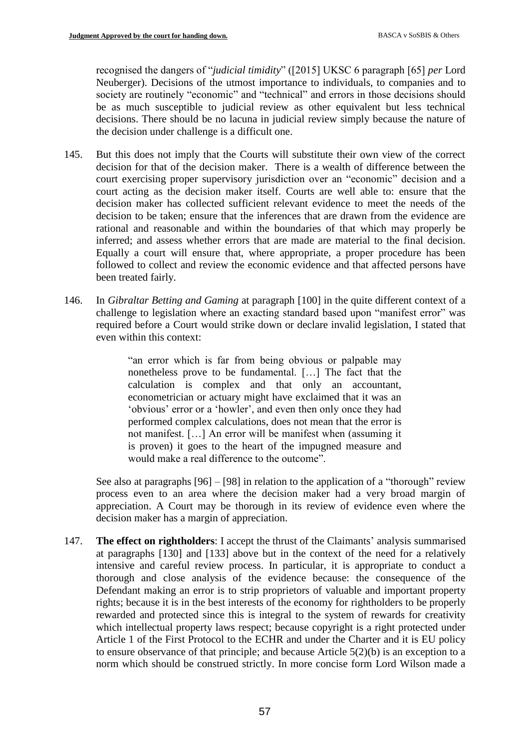recognised the dangers of "*judicial timidity*" ([2015] UKSC 6 paragraph [65] *per* Lord Neuberger). Decisions of the utmost importance to individuals, to companies and to society are routinely "economic" and "technical" and errors in those decisions should be as much susceptible to judicial review as other equivalent but less technical decisions. There should be no lacuna in judicial review simply because the nature of the decision under challenge is a difficult one.

- 145. But this does not imply that the Courts will substitute their own view of the correct decision for that of the decision maker. There is a wealth of difference between the court exercising proper supervisory jurisdiction over an "economic" decision and a court acting as the decision maker itself. Courts are well able to: ensure that the decision maker has collected sufficient relevant evidence to meet the needs of the decision to be taken; ensure that the inferences that are drawn from the evidence are rational and reasonable and within the boundaries of that which may properly be inferred; and assess whether errors that are made are material to the final decision. Equally a court will ensure that, where appropriate, a proper procedure has been followed to collect and review the economic evidence and that affected persons have been treated fairly.
- 146. In *Gibraltar Betting and Gaming* at paragraph [100] in the quite different context of a challenge to legislation where an exacting standard based upon "manifest error" was required before a Court would strike down or declare invalid legislation, I stated that even within this context:

"an error which is far from being obvious or palpable may nonetheless prove to be fundamental. […] The fact that the calculation is complex and that only an accountant, econometrician or actuary might have exclaimed that it was an 'obvious' error or a 'howler', and even then only once they had performed complex calculations, does not mean that the error is not manifest. […] An error will be manifest when (assuming it is proven) it goes to the heart of the impugned measure and would make a real difference to the outcome".

See also at paragraphs  $[96] - [98]$  in relation to the application of a "thorough" review process even to an area where the decision maker had a very broad margin of appreciation. A Court may be thorough in its review of evidence even where the decision maker has a margin of appreciation.

147. **The effect on rightholders**: I accept the thrust of the Claimants' analysis summarised at paragraphs [130] and [133] above but in the context of the need for a relatively intensive and careful review process. In particular, it is appropriate to conduct a thorough and close analysis of the evidence because: the consequence of the Defendant making an error is to strip proprietors of valuable and important property rights; because it is in the best interests of the economy for rightholders to be properly rewarded and protected since this is integral to the system of rewards for creativity which intellectual property laws respect; because copyright is a right protected under Article 1 of the First Protocol to the ECHR and under the Charter and it is EU policy to ensure observance of that principle; and because Article 5(2)(b) is an exception to a norm which should be construed strictly. In more concise form Lord Wilson made a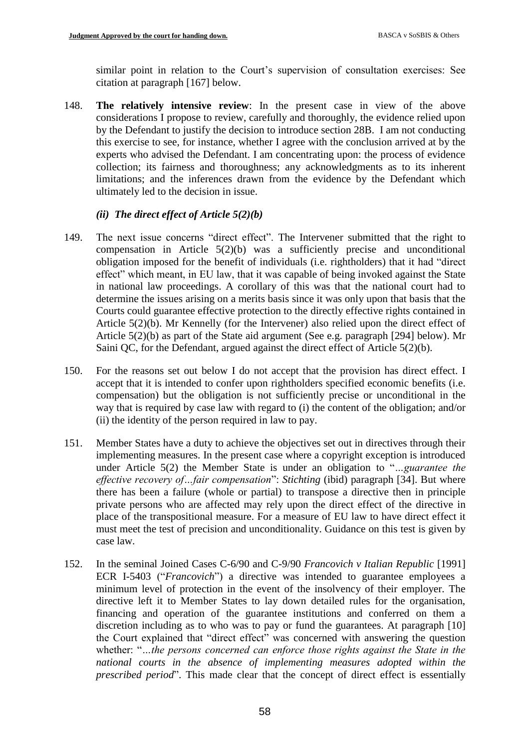similar point in relation to the Court's supervision of consultation exercises: See citation at paragraph [167] below.

148. **The relatively intensive review**: In the present case in view of the above considerations I propose to review, carefully and thoroughly, the evidence relied upon by the Defendant to justify the decision to introduce section 28B. I am not conducting this exercise to see, for instance, whether I agree with the conclusion arrived at by the experts who advised the Defendant. I am concentrating upon: the process of evidence collection; its fairness and thoroughness; any acknowledgments as to its inherent limitations; and the inferences drawn from the evidence by the Defendant which ultimately led to the decision in issue.

# *(ii) The direct effect of Article 5(2)(b)*

- 149. The next issue concerns "direct effect". The Intervener submitted that the right to compensation in Article 5(2)(b) was a sufficiently precise and unconditional obligation imposed for the benefit of individuals (i.e. rightholders) that it had "direct effect" which meant, in EU law, that it was capable of being invoked against the State in national law proceedings. A corollary of this was that the national court had to determine the issues arising on a merits basis since it was only upon that basis that the Courts could guarantee effective protection to the directly effective rights contained in Article 5(2)(b). Mr Kennelly (for the Intervener) also relied upon the direct effect of Article 5(2)(b) as part of the State aid argument (See e.g. paragraph [294] below). Mr Saini QC, for the Defendant, argued against the direct effect of Article 5(2)(b).
- 150. For the reasons set out below I do not accept that the provision has direct effect. I accept that it is intended to confer upon rightholders specified economic benefits (i.e. compensation) but the obligation is not sufficiently precise or unconditional in the way that is required by case law with regard to (i) the content of the obligation; and/or (ii) the identity of the person required in law to pay.
- 151. Member States have a duty to achieve the objectives set out in directives through their implementing measures. In the present case where a copyright exception is introduced under Article 5(2) the Member State is under an obligation to "*…guarantee the effective recovery of…fair compensation*": *Stichting* (ibid) paragraph [34]. But where there has been a failure (whole or partial) to transpose a directive then in principle private persons who are affected may rely upon the direct effect of the directive in place of the transpositional measure. For a measure of EU law to have direct effect it must meet the test of precision and unconditionality. Guidance on this test is given by case law.
- 152. In the seminal Joined Cases C-6/90 and C-9/90 *Francovich v Italian Republic* [1991] ECR I-5403 ("*Francovich*") a directive was intended to guarantee employees a minimum level of protection in the event of the insolvency of their employer. The directive left it to Member States to lay down detailed rules for the organisation, financing and operation of the guarantee institutions and conferred on them a discretion including as to who was to pay or fund the guarantees. At paragraph [10] the Court explained that "direct effect" was concerned with answering the question whether: "*…the persons concerned can enforce those rights against the State in the national courts in the absence of implementing measures adopted within the prescribed period*". This made clear that the concept of direct effect is essentially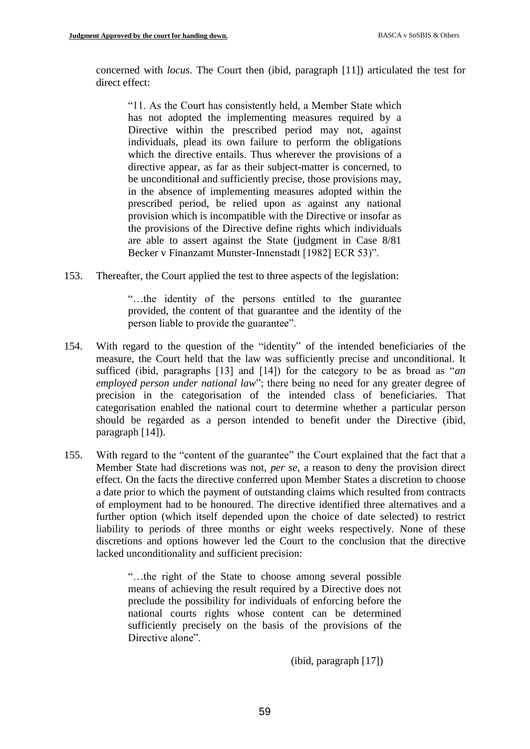concerned with *locus*. The Court then (ibid, paragraph [11]) articulated the test for direct effect:

"11. As the Court has consistently held, a Member State which has not adopted the implementing measures required by a Directive within the prescribed period may not, against individuals, plead its own failure to perform the obligations which the directive entails. Thus wherever the provisions of a directive appear, as far as their subject-matter is concerned, to be unconditional and sufficiently precise, those provisions may, in the absence of implementing measures adopted within the prescribed period, be relied upon as against any national provision which is incompatible with the Directive or insofar as the provisions of the Directive define rights which individuals are able to assert against the State (judgment in Case 8/81 Becker v Finanzamt Munster-Innenstadt [1982] ECR 53)".

153. Thereafter, the Court applied the test to three aspects of the legislation:

"…the identity of the persons entitled to the guarantee provided, the content of that guarantee and the identity of the person liable to provide the guarantee".

- 154. With regard to the question of the "identity" of the intended beneficiaries of the measure, the Court held that the law was sufficiently precise and unconditional. It sufficed (ibid, paragraphs [13] and [14]) for the category to be as broad as "*an employed person under national law*"; there being no need for any greater degree of precision in the categorisation of the intended class of beneficiaries. That categorisation enabled the national court to determine whether a particular person should be regarded as a person intended to benefit under the Directive (ibid, paragraph [14]).
- 155. With regard to the "content of the guarantee" the Court explained that the fact that a Member State had discretions was not, *per se*, a reason to deny the provision direct effect. On the facts the directive conferred upon Member States a discretion to choose a date prior to which the payment of outstanding claims which resulted from contracts of employment had to be honoured. The directive identified three alternatives and a further option (which itself depended upon the choice of date selected) to restrict liability to periods of three months or eight weeks respectively. None of these discretions and options however led the Court to the conclusion that the directive lacked unconditionality and sufficient precision:

"…the right of the State to choose among several possible means of achieving the result required by a Directive does not preclude the possibility for individuals of enforcing before the national courts rights whose content can be determined sufficiently precisely on the basis of the provisions of the Directive alone".

(ibid, paragraph [17])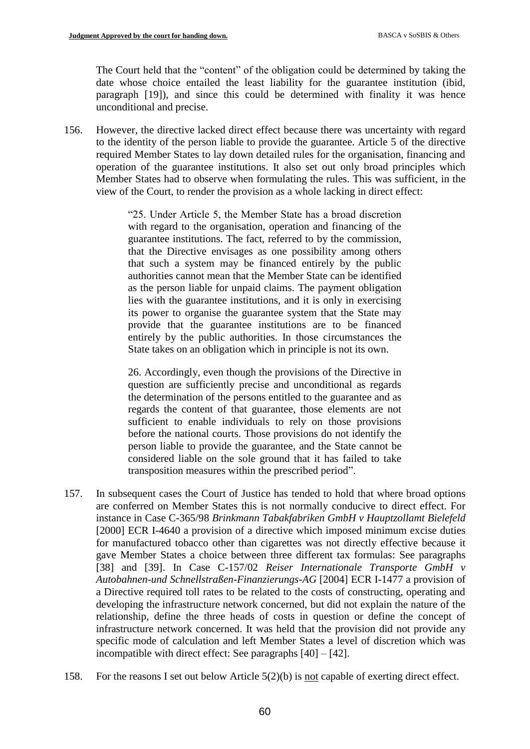The Court held that the "content" of the obligation could be determined by taking the date whose choice entailed the least liability for the guarantee institution (ibid, paragraph [19]), and since this could be determined with finality it was hence unconditional and precise.

156. However, the directive lacked direct effect because there was uncertainty with regard to the identity of the person liable to provide the guarantee. Article 5 of the directive required Member States to lay down detailed rules for the organisation, financing and operation of the guarantee institutions. It also set out only broad principles which Member States had to observe when formulating the rules. This was sufficient, in the view of the Court, to render the provision as a whole lacking in direct effect:

> "25. Under Article 5, the Member State has a broad discretion with regard to the organisation, operation and financing of the guarantee institutions. The fact, referred to by the commission, that the Directive envisages as one possibility among others that such a system may be financed entirely by the public authorities cannot mean that the Member State can be identified as the person liable for unpaid claims. The payment obligation lies with the guarantee institutions, and it is only in exercising its power to organise the guarantee system that the State may provide that the guarantee institutions are to be financed entirely by the public authorities. In those circumstances the State takes on an obligation which in principle is not its own.

> 26. Accordingly, even though the provisions of the Directive in question are sufficiently precise and unconditional as regards the determination of the persons entitled to the guarantee and as regards the content of that guarantee, those elements are not sufficient to enable individuals to rely on those provisions before the national courts. Those provisions do not identify the person liable to provide the guarantee, and the State cannot be considered liable on the sole ground that it has failed to take transposition measures within the prescribed period".

- 157. In subsequent cases the Court of Justice has tended to hold that where broad options are conferred on Member States this is not normally conducive to direct effect. For instance in Case C-365/98 *Brinkmann Tabakfabriken GmbH v Hauptzollamt Bielefeld* [2000] ECR I-4640 a provision of a directive which imposed minimum excise duties for manufactured tobacco other than cigarettes was not directly effective because it gave Member States a choice between three different tax formulas: See paragraphs [38] and [39]. In Case C-157/02 *Reiser Internationale Transporte GmbH v Autobahnen-und Schnellstraßen-Finanzierungs-AG* [2004] ECR I-1477 a provision of a Directive required toll rates to be related to the costs of constructing, operating and developing the infrastructure network concerned, but did not explain the nature of the relationship, define the three heads of costs in question or define the concept of infrastructure network concerned. It was held that the provision did not provide any specific mode of calculation and left Member States a level of discretion which was incompatible with direct effect: See paragraphs [40] – [42].
- 158. For the reasons I set out below Article 5(2)(b) is not capable of exerting direct effect.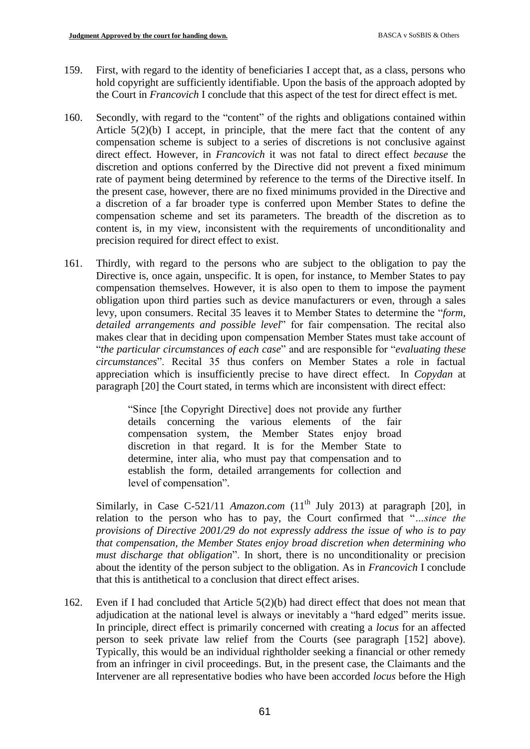- 159. First, with regard to the identity of beneficiaries I accept that, as a class, persons who hold copyright are sufficiently identifiable. Upon the basis of the approach adopted by the Court in *Francovich* I conclude that this aspect of the test for direct effect is met.
- 160. Secondly, with regard to the "content" of the rights and obligations contained within Article  $5(2)(b)$  I accept, in principle, that the mere fact that the content of any compensation scheme is subject to a series of discretions is not conclusive against direct effect. However, in *Francovich* it was not fatal to direct effect *because* the discretion and options conferred by the Directive did not prevent a fixed minimum rate of payment being determined by reference to the terms of the Directive itself. In the present case, however, there are no fixed minimums provided in the Directive and a discretion of a far broader type is conferred upon Member States to define the compensation scheme and set its parameters. The breadth of the discretion as to content is, in my view, inconsistent with the requirements of unconditionality and precision required for direct effect to exist.
- 161. Thirdly, with regard to the persons who are subject to the obligation to pay the Directive is, once again, unspecific. It is open, for instance, to Member States to pay compensation themselves. However, it is also open to them to impose the payment obligation upon third parties such as device manufacturers or even, through a sales levy, upon consumers. Recital 35 leaves it to Member States to determine the "*form, detailed arrangements and possible level*" for fair compensation. The recital also makes clear that in deciding upon compensation Member States must take account of "*the particular circumstances of each case*" and are responsible for "*evaluating these circumstances*". Recital 35 thus confers on Member States a role in factual appreciation which is insufficiently precise to have direct effect. In *Copydan* at paragraph [20] the Court stated, in terms which are inconsistent with direct effect:

"Since [the Copyright Directive] does not provide any further details concerning the various elements of the fair compensation system, the Member States enjoy broad discretion in that regard. It is for the Member State to determine, inter alia, who must pay that compensation and to establish the form, detailed arrangements for collection and level of compensation".

Similarly, in Case C-521/11 *Amazon.com*  $(11<sup>th</sup>$  July 2013) at paragraph [20], in relation to the person who has to pay, the Court confirmed that "*…since the provisions of Directive 2001/29 do not expressly address the issue of who is to pay that compensation, the Member States enjoy broad discretion when determining who must discharge that obligation*". In short, there is no unconditionality or precision about the identity of the person subject to the obligation. As in *Francovich* I conclude that this is antithetical to a conclusion that direct effect arises.

162. Even if I had concluded that Article 5(2)(b) had direct effect that does not mean that adjudication at the national level is always or inevitably a "hard edged" merits issue. In principle, direct effect is primarily concerned with creating a *locus* for an affected person to seek private law relief from the Courts (see paragraph [152] above). Typically, this would be an individual rightholder seeking a financial or other remedy from an infringer in civil proceedings. But, in the present case, the Claimants and the Intervener are all representative bodies who have been accorded *locus* before the High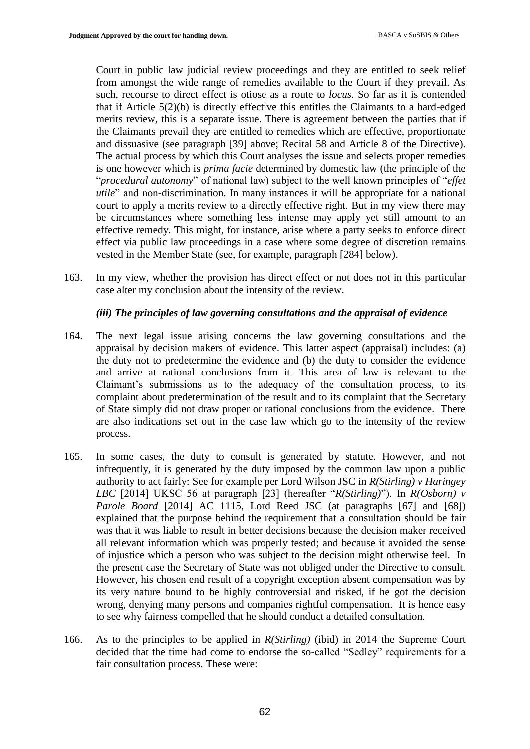Court in public law judicial review proceedings and they are entitled to seek relief from amongst the wide range of remedies available to the Court if they prevail. As such, recourse to direct effect is otiose as a route to *locus*. So far as it is contended that if Article 5(2)(b) is directly effective this entitles the Claimants to a hard-edged merits review, this is a separate issue. There is agreement between the parties that if the Claimants prevail they are entitled to remedies which are effective, proportionate and dissuasive (see paragraph [39] above; Recital 58 and Article 8 of the Directive). The actual process by which this Court analyses the issue and selects proper remedies is one however which is *prima facie* determined by domestic law (the principle of the "*procedural autonomy*" of national law) subject to the well known principles of "*effet utile*" and non-discrimination. In many instances it will be appropriate for a national court to apply a merits review to a directly effective right. But in my view there may be circumstances where something less intense may apply yet still amount to an effective remedy. This might, for instance, arise where a party seeks to enforce direct effect via public law proceedings in a case where some degree of discretion remains vested in the Member State (see, for example, paragraph [284] below).

163. In my view, whether the provision has direct effect or not does not in this particular case alter my conclusion about the intensity of the review.

## *(iii) The principles of law governing consultations and the appraisal of evidence*

- 164. The next legal issue arising concerns the law governing consultations and the appraisal by decision makers of evidence. This latter aspect (appraisal) includes: (a) the duty not to predetermine the evidence and (b) the duty to consider the evidence and arrive at rational conclusions from it. This area of law is relevant to the Claimant's submissions as to the adequacy of the consultation process, to its complaint about predetermination of the result and to its complaint that the Secretary of State simply did not draw proper or rational conclusions from the evidence. There are also indications set out in the case law which go to the intensity of the review process.
- 165. In some cases, the duty to consult is generated by statute. However, and not infrequently, it is generated by the duty imposed by the common law upon a public authority to act fairly: See for example per Lord Wilson JSC in *R(Stirling) v Haringey LBC* [2014] UKSC 56 at paragraph [23] (hereafter "*R(Stirling)*"). In *R(Osborn) v Parole Board* [2014] AC 1115, Lord Reed JSC (at paragraphs [67] and [68]) explained that the purpose behind the requirement that a consultation should be fair was that it was liable to result in better decisions because the decision maker received all relevant information which was properly tested; and because it avoided the sense of injustice which a person who was subject to the decision might otherwise feel. In the present case the Secretary of State was not obliged under the Directive to consult. However, his chosen end result of a copyright exception absent compensation was by its very nature bound to be highly controversial and risked, if he got the decision wrong, denying many persons and companies rightful compensation. It is hence easy to see why fairness compelled that he should conduct a detailed consultation.
- 166. As to the principles to be applied in *R(Stirling)* (ibid) in 2014 the Supreme Court decided that the time had come to endorse the so-called "Sedley" requirements for a fair consultation process. These were: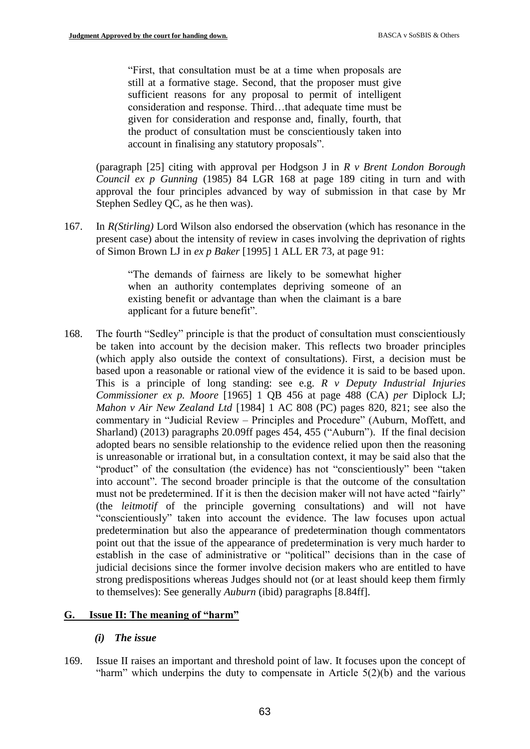"First, that consultation must be at a time when proposals are still at a formative stage. Second, that the proposer must give sufficient reasons for any proposal to permit of intelligent consideration and response. Third…that adequate time must be given for consideration and response and, finally, fourth, that the product of consultation must be conscientiously taken into account in finalising any statutory proposals".

(paragraph [25] citing with approval per Hodgson J in *R v Brent London Borough Council ex p Gunning* (1985) 84 LGR 168 at page 189 citing in turn and with approval the four principles advanced by way of submission in that case by Mr Stephen Sedley QC, as he then was).

167. In *R(Stirling)* Lord Wilson also endorsed the observation (which has resonance in the present case) about the intensity of review in cases involving the deprivation of rights of Simon Brown LJ in *ex p Baker* [1995] 1 ALL ER 73, at page 91:

> "The demands of fairness are likely to be somewhat higher when an authority contemplates depriving someone of an existing benefit or advantage than when the claimant is a bare applicant for a future benefit".

168. The fourth "Sedley" principle is that the product of consultation must conscientiously be taken into account by the decision maker. This reflects two broader principles (which apply also outside the context of consultations). First, a decision must be based upon a reasonable or rational view of the evidence it is said to be based upon. This is a principle of long standing: see e.g. *R v Deputy Industrial Injuries Commissioner ex p. Moore* [1965] 1 QB 456 at page 488 (CA) *per* Diplock LJ; *Mahon v Air New Zealand Ltd* [1984] 1 AC 808 (PC) pages 820, 821; see also the commentary in "Judicial Review – Principles and Procedure" (Auburn, Moffett, and Sharland) (2013) paragraphs 20.09ff pages 454, 455 ("Auburn"). If the final decision adopted bears no sensible relationship to the evidence relied upon then the reasoning is unreasonable or irrational but, in a consultation context, it may be said also that the "product" of the consultation (the evidence) has not "conscientiously" been "taken into account". The second broader principle is that the outcome of the consultation must not be predetermined. If it is then the decision maker will not have acted "fairly" (the *leitmotif* of the principle governing consultations) and will not have "conscientiously" taken into account the evidence. The law focuses upon actual predetermination but also the appearance of predetermination though commentators point out that the issue of the appearance of predetermination is very much harder to establish in the case of administrative or "political" decisions than in the case of judicial decisions since the former involve decision makers who are entitled to have strong predispositions whereas Judges should not (or at least should keep them firmly to themselves): See generally *Auburn* (ibid) paragraphs [8.84ff].

# **G. Issue II: The meaning of "harm"**

# *(i) The issue*

169. Issue II raises an important and threshold point of law. It focuses upon the concept of "harm" which underpins the duty to compensate in Article  $5(2)(b)$  and the various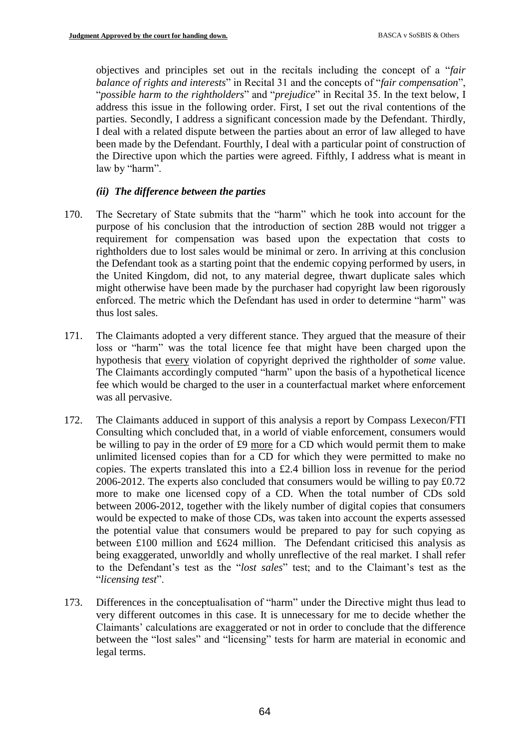objectives and principles set out in the recitals including the concept of a "*fair balance of rights and interests*" in Recital 31 and the concepts of "*fair compensation*", "*possible harm to the rightholders*" and "*prejudice*" in Recital 35. In the text below, I address this issue in the following order. First, I set out the rival contentions of the parties. Secondly, I address a significant concession made by the Defendant. Thirdly, I deal with a related dispute between the parties about an error of law alleged to have been made by the Defendant. Fourthly, I deal with a particular point of construction of the Directive upon which the parties were agreed. Fifthly, I address what is meant in law by "harm".

## *(ii) The difference between the parties*

- 170. The Secretary of State submits that the "harm" which he took into account for the purpose of his conclusion that the introduction of section 28B would not trigger a requirement for compensation was based upon the expectation that costs to rightholders due to lost sales would be minimal or zero. In arriving at this conclusion the Defendant took as a starting point that the endemic copying performed by users, in the United Kingdom, did not, to any material degree, thwart duplicate sales which might otherwise have been made by the purchaser had copyright law been rigorously enforced. The metric which the Defendant has used in order to determine "harm" was thus lost sales.
- 171. The Claimants adopted a very different stance. They argued that the measure of their loss or "harm" was the total licence fee that might have been charged upon the hypothesis that every violation of copyright deprived the rightholder of *some* value. The Claimants accordingly computed "harm" upon the basis of a hypothetical licence fee which would be charged to the user in a counterfactual market where enforcement was all pervasive.
- 172. The Claimants adduced in support of this analysis a report by Compass Lexecon/FTI Consulting which concluded that, in a world of viable enforcement, consumers would be willing to pay in the order of £9 more for a CD which would permit them to make unlimited licensed copies than for a CD for which they were permitted to make no copies. The experts translated this into a  $£2.4$  billion loss in revenue for the period 2006-2012. The experts also concluded that consumers would be willing to pay £0.72 more to make one licensed copy of a CD. When the total number of CDs sold between 2006-2012, together with the likely number of digital copies that consumers would be expected to make of those CDs, was taken into account the experts assessed the potential value that consumers would be prepared to pay for such copying as between £100 million and £624 million. The Defendant criticised this analysis as being exaggerated, unworldly and wholly unreflective of the real market. I shall refer to the Defendant's test as the "*lost sales*" test; and to the Claimant's test as the "*licensing test*".
- 173. Differences in the conceptualisation of "harm" under the Directive might thus lead to very different outcomes in this case. It is unnecessary for me to decide whether the Claimants' calculations are exaggerated or not in order to conclude that the difference between the "lost sales" and "licensing" tests for harm are material in economic and legal terms.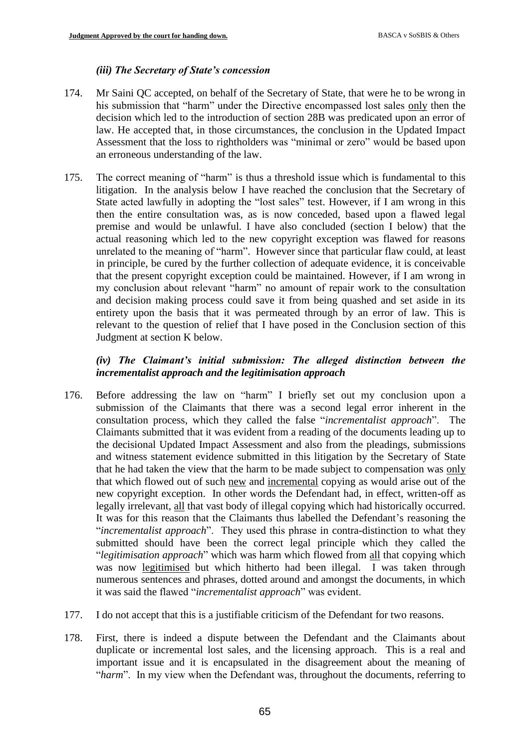## *(iii) The Secretary of State's concession*

- 174. Mr Saini QC accepted, on behalf of the Secretary of State, that were he to be wrong in his submission that "harm" under the Directive encompassed lost sales only then the decision which led to the introduction of section 28B was predicated upon an error of law. He accepted that, in those circumstances, the conclusion in the Updated Impact Assessment that the loss to rightholders was "minimal or zero" would be based upon an erroneous understanding of the law.
- 175. The correct meaning of "harm" is thus a threshold issue which is fundamental to this litigation. In the analysis below I have reached the conclusion that the Secretary of State acted lawfully in adopting the "lost sales" test. However, if I am wrong in this then the entire consultation was, as is now conceded, based upon a flawed legal premise and would be unlawful. I have also concluded (section I below) that the actual reasoning which led to the new copyright exception was flawed for reasons unrelated to the meaning of "harm". However since that particular flaw could, at least in principle, be cured by the further collection of adequate evidence, it is conceivable that the present copyright exception could be maintained. However, if I am wrong in my conclusion about relevant "harm" no amount of repair work to the consultation and decision making process could save it from being quashed and set aside in its entirety upon the basis that it was permeated through by an error of law. This is relevant to the question of relief that I have posed in the Conclusion section of this Judgment at section K below.

# *(iv) The Claimant's initial submission: The alleged distinction between the incrementalist approach and the legitimisation approach*

- 176. Before addressing the law on "harm" I briefly set out my conclusion upon a submission of the Claimants that there was a second legal error inherent in the consultation process, which they called the false "*incrementalist approach*". The Claimants submitted that it was evident from a reading of the documents leading up to the decisional Updated Impact Assessment and also from the pleadings, submissions and witness statement evidence submitted in this litigation by the Secretary of State that he had taken the view that the harm to be made subject to compensation was only that which flowed out of such new and incremental copying as would arise out of the new copyright exception. In other words the Defendant had, in effect, written-off as legally irrelevant, all that vast body of illegal copying which had historically occurred. It was for this reason that the Claimants thus labelled the Defendant's reasoning the "*incrementalist approach*". They used this phrase in contra-distinction to what they submitted should have been the correct legal principle which they called the "*legitimisation approach*" which was harm which flowed from all that copying which was now legitimised but which hitherto had been illegal. I was taken through numerous sentences and phrases, dotted around and amongst the documents, in which it was said the flawed "*incrementalist approach*" was evident.
- 177. I do not accept that this is a justifiable criticism of the Defendant for two reasons.
- 178. First, there is indeed a dispute between the Defendant and the Claimants about duplicate or incremental lost sales, and the licensing approach. This is a real and important issue and it is encapsulated in the disagreement about the meaning of "*harm*". In my view when the Defendant was, throughout the documents, referring to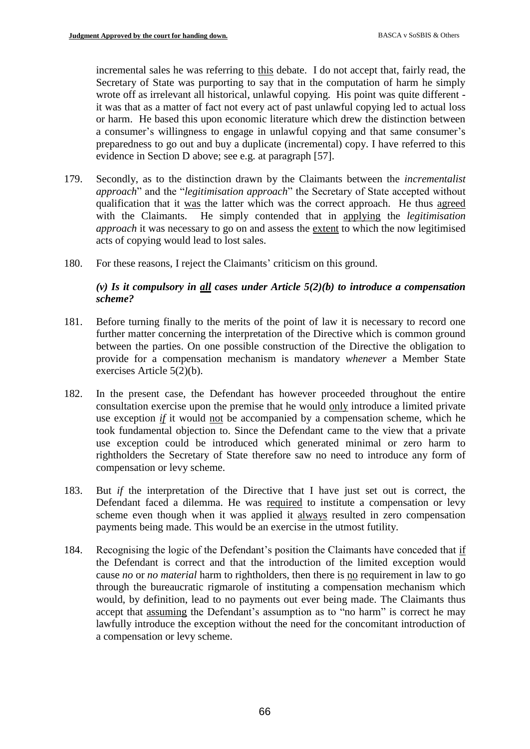incremental sales he was referring to this debate. I do not accept that, fairly read, the Secretary of State was purporting to say that in the computation of harm he simply wrote off as irrelevant all historical, unlawful copying. His point was quite different it was that as a matter of fact not every act of past unlawful copying led to actual loss or harm. He based this upon economic literature which drew the distinction between a consumer's willingness to engage in unlawful copying and that same consumer's preparedness to go out and buy a duplicate (incremental) copy. I have referred to this evidence in Section D above; see e.g. at paragraph [57].

- 179. Secondly, as to the distinction drawn by the Claimants between the *incrementalist approach*" and the "*legitimisation approach*" the Secretary of State accepted without qualification that it was the latter which was the correct approach. He thus agreed with the Claimants. He simply contended that in applying the *legitimisation approach* it was necessary to go on and assess the extent to which the now legitimised acts of copying would lead to lost sales.
- 180. For these reasons, I reject the Claimants' criticism on this ground.

## *(v) Is it compulsory in all cases under Article 5(2)(b) to introduce a compensation scheme?*

- 181. Before turning finally to the merits of the point of law it is necessary to record one further matter concerning the interpretation of the Directive which is common ground between the parties. On one possible construction of the Directive the obligation to provide for a compensation mechanism is mandatory *whenever* a Member State exercises Article 5(2)(b).
- 182. In the present case, the Defendant has however proceeded throughout the entire consultation exercise upon the premise that he would only introduce a limited private use exception *if* it would not be accompanied by a compensation scheme, which he took fundamental objection to. Since the Defendant came to the view that a private use exception could be introduced which generated minimal or zero harm to rightholders the Secretary of State therefore saw no need to introduce any form of compensation or levy scheme.
- 183. But *if* the interpretation of the Directive that I have just set out is correct, the Defendant faced a dilemma. He was required to institute a compensation or levy scheme even though when it was applied it always resulted in zero compensation payments being made. This would be an exercise in the utmost futility.
- 184. Recognising the logic of the Defendant's position the Claimants have conceded that if the Defendant is correct and that the introduction of the limited exception would cause *no* or *no material* harm to rightholders, then there is no requirement in law to go through the bureaucratic rigmarole of instituting a compensation mechanism which would, by definition, lead to no payments out ever being made. The Claimants thus accept that assuming the Defendant's assumption as to "no harm" is correct he may lawfully introduce the exception without the need for the concomitant introduction of a compensation or levy scheme.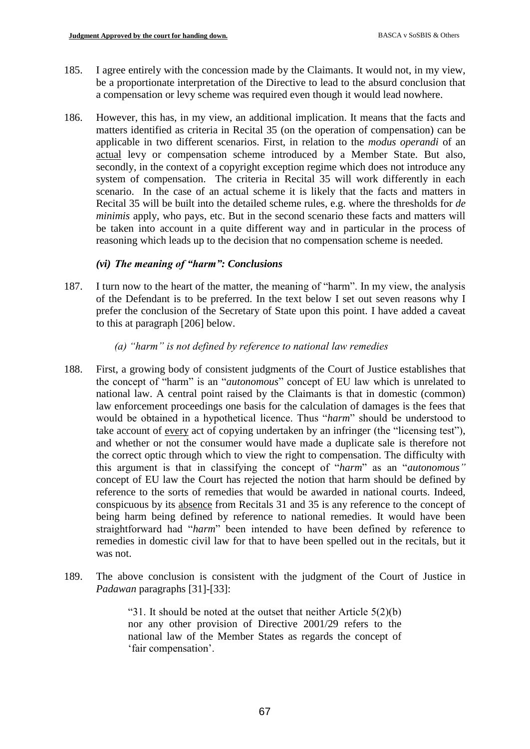- 185. I agree entirely with the concession made by the Claimants. It would not, in my view, be a proportionate interpretation of the Directive to lead to the absurd conclusion that a compensation or levy scheme was required even though it would lead nowhere.
- 186. However, this has, in my view, an additional implication. It means that the facts and matters identified as criteria in Recital 35 (on the operation of compensation) can be applicable in two different scenarios. First, in relation to the *modus operandi* of an actual levy or compensation scheme introduced by a Member State. But also, secondly, in the context of a copyright exception regime which does not introduce any system of compensation. The criteria in Recital 35 will work differently in each scenario. In the case of an actual scheme it is likely that the facts and matters in Recital 35 will be built into the detailed scheme rules, e.g. where the thresholds for *de minimis* apply, who pays, etc. But in the second scenario these facts and matters will be taken into account in a quite different way and in particular in the process of reasoning which leads up to the decision that no compensation scheme is needed.

# *(vi) The meaning of "harm": Conclusions*

187. I turn now to the heart of the matter, the meaning of "harm". In my view, the analysis of the Defendant is to be preferred. In the text below I set out seven reasons why I prefer the conclusion of the Secretary of State upon this point. I have added a caveat to this at paragraph [206] below.

## *(a) "harm" is not defined by reference to national law remedies*

- 188. First, a growing body of consistent judgments of the Court of Justice establishes that the concept of "harm" is an "*autonomous*" concept of EU law which is unrelated to national law. A central point raised by the Claimants is that in domestic (common) law enforcement proceedings one basis for the calculation of damages is the fees that would be obtained in a hypothetical licence. Thus "*harm*" should be understood to take account of every act of copying undertaken by an infringer (the "licensing test"), and whether or not the consumer would have made a duplicate sale is therefore not the correct optic through which to view the right to compensation. The difficulty with this argument is that in classifying the concept of "*harm*" as an "*autonomous"* concept of EU law the Court has rejected the notion that harm should be defined by reference to the sorts of remedies that would be awarded in national courts. Indeed, conspicuous by its absence from Recitals 31 and 35 is any reference to the concept of being harm being defined by reference to national remedies. It would have been straightforward had "*harm*" been intended to have been defined by reference to remedies in domestic civil law for that to have been spelled out in the recitals, but it was not.
- 189. The above conclusion is consistent with the judgment of the Court of Justice in *Padawan* paragraphs [31]-[33]:

"31. It should be noted at the outset that neither Article  $5(2)(b)$ nor any other provision of Directive 2001/29 refers to the national law of the Member States as regards the concept of 'fair compensation'.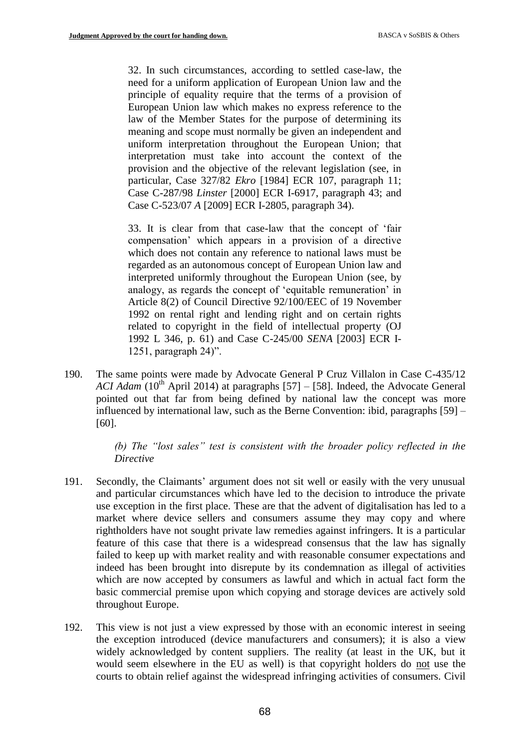32. In such circumstances, according to settled case-law, the need for a uniform application of European Union law and the principle of equality require that the terms of a provision of European Union law which makes no express reference to the law of the Member States for the purpose of determining its meaning and scope must normally be given an independent and uniform interpretation throughout the European Union; that interpretation must take into account the context of the provision and the objective of the relevant legislation (see, in particular, Case 327/82 *Ekro* [1984] ECR 107, paragraph 11; Case C-287/98 *Linster* [2000] ECR I-6917, paragraph 43; and Case C-523/07 *A* [2009] ECR I-2805, paragraph 34).

33. It is clear from that case-law that the concept of 'fair compensation' which appears in a provision of a directive which does not contain any reference to national laws must be regarded as an autonomous concept of European Union law and interpreted uniformly throughout the European Union (see, by analogy, as regards the concept of 'equitable remuneration' in Article 8(2) of Council Directive 92/100/EEC of 19 November 1992 on rental right and lending right and on certain rights related to copyright in the field of intellectual property (OJ 1992 L 346, p. 61) and Case C-245/00 *SENA* [2003] ECR I-1251, paragraph 24)".

190. The same points were made by Advocate General P Cruz Villalon in Case C-435/12 *ACI Adam* (10<sup>th</sup> April 2014) at paragraphs [57] – [58]. Indeed, the Advocate General pointed out that far from being defined by national law the concept was more influenced by international law, such as the Berne Convention: ibid, paragraphs [59] – [60].

> *(b) The "lost sales" test is consistent with the broader policy reflected in the Directive*

- 191. Secondly, the Claimants' argument does not sit well or easily with the very unusual and particular circumstances which have led to the decision to introduce the private use exception in the first place. These are that the advent of digitalisation has led to a market where device sellers and consumers assume they may copy and where rightholders have not sought private law remedies against infringers. It is a particular feature of this case that there is a widespread consensus that the law has signally failed to keep up with market reality and with reasonable consumer expectations and indeed has been brought into disrepute by its condemnation as illegal of activities which are now accepted by consumers as lawful and which in actual fact form the basic commercial premise upon which copying and storage devices are actively sold throughout Europe.
- 192. This view is not just a view expressed by those with an economic interest in seeing the exception introduced (device manufacturers and consumers); it is also a view widely acknowledged by content suppliers. The reality (at least in the UK, but it would seem elsewhere in the EU as well) is that copyright holders do not use the courts to obtain relief against the widespread infringing activities of consumers. Civil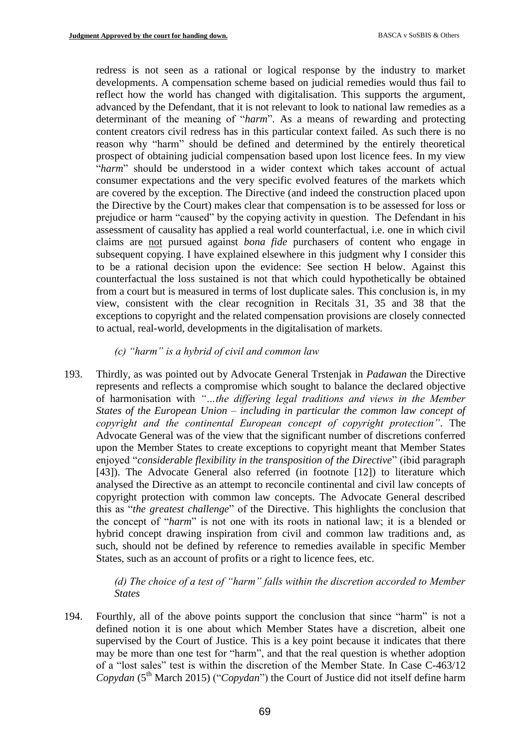redress is not seen as a rational or logical response by the industry to market developments. A compensation scheme based on judicial remedies would thus fail to reflect how the world has changed with digitalisation. This supports the argument, advanced by the Defendant, that it is not relevant to look to national law remedies as a determinant of the meaning of "*harm*". As a means of rewarding and protecting content creators civil redress has in this particular context failed. As such there is no reason why "harm" should be defined and determined by the entirely theoretical prospect of obtaining judicial compensation based upon lost licence fees. In my view "*harm*" should be understood in a wider context which takes account of actual consumer expectations and the very specific evolved features of the markets which are covered by the exception. The Directive (and indeed the construction placed upon the Directive by the Court) makes clear that compensation is to be assessed for loss or prejudice or harm "caused" by the copying activity in question. The Defendant in his assessment of causality has applied a real world counterfactual, i.e. one in which civil claims are not pursued against *bona fide* purchasers of content who engage in subsequent copying. I have explained elsewhere in this judgment why I consider this to be a rational decision upon the evidence: See section H below. Against this counterfactual the loss sustained is not that which could hypothetically be obtained from a court but is measured in terms of lost duplicate sales. This conclusion is, in my view, consistent with the clear recognition in Recitals 31, 35 and 38 that the exceptions to copyright and the related compensation provisions are closely connected to actual, real-world, developments in the digitalisation of markets.

#### *(c) "harm" is a hybrid of civil and common law*

193. Thirdly, as was pointed out by Advocate General Trstenjak in *Padawan* the Directive represents and reflects a compromise which sought to balance the declared objective of harmonisation with *"…the differing legal traditions and views in the Member States of the European Union – including in particular the common law concept of copyright and the continental European concept of copyright protection"*. The Advocate General was of the view that the significant number of discretions conferred upon the Member States to create exceptions to copyright meant that Member States enjoyed "*considerable flexibility in the transposition of the Directive*" (ibid paragraph [43]). The Advocate General also referred (in footnote [12]) to literature which analysed the Directive as an attempt to reconcile continental and civil law concepts of copyright protection with common law concepts. The Advocate General described this as "*the greatest challenge*" of the Directive. This highlights the conclusion that the concept of "*harm*" is not one with its roots in national law; it is a blended or hybrid concept drawing inspiration from civil and common law traditions and, as such, should not be defined by reference to remedies available in specific Member States, such as an account of profits or a right to licence fees, etc.

> *(d) The choice of a test of "harm" falls within the discretion accorded to Member States*

194. Fourthly, all of the above points support the conclusion that since "harm" is not a defined notion it is one about which Member States have a discretion, albeit one supervised by the Court of Justice. This is a key point because it indicates that there may be more than one test for "harm", and that the real question is whether adoption of a "lost sales" test is within the discretion of the Member State. In Case C-463/12 *Copydan* (5<sup>th</sup> March 2015) ("*Copydan*") the Court of Justice did not itself define harm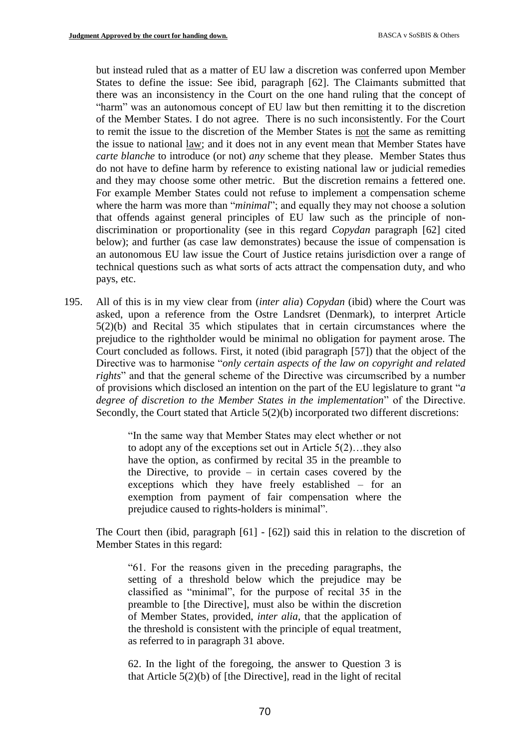but instead ruled that as a matter of EU law a discretion was conferred upon Member States to define the issue: See ibid, paragraph [62]. The Claimants submitted that there was an inconsistency in the Court on the one hand ruling that the concept of "harm" was an autonomous concept of EU law but then remitting it to the discretion of the Member States. I do not agree. There is no such inconsistently. For the Court to remit the issue to the discretion of the Member States is not the same as remitting the issue to national law; and it does not in any event mean that Member States have *carte blanche* to introduce (or not) *any* scheme that they please. Member States thus do not have to define harm by reference to existing national law or judicial remedies and they may choose some other metric. But the discretion remains a fettered one. For example Member States could not refuse to implement a compensation scheme where the harm was more than "*minimal*"; and equally they may not choose a solution that offends against general principles of EU law such as the principle of nondiscrimination or proportionality (see in this regard *Copydan* paragraph [62] cited below); and further (as case law demonstrates) because the issue of compensation is an autonomous EU law issue the Court of Justice retains jurisdiction over a range of technical questions such as what sorts of acts attract the compensation duty, and who pays, etc.

195. All of this is in my view clear from (*inter alia*) *Copydan* (ibid) where the Court was asked, upon a reference from the Ostre Landsret (Denmark), to interpret Article 5(2)(b) and Recital 35 which stipulates that in certain circumstances where the prejudice to the rightholder would be minimal no obligation for payment arose. The Court concluded as follows. First, it noted (ibid paragraph [57]) that the object of the Directive was to harmonise "*only certain aspects of the law on copyright and related rights*" and that the general scheme of the Directive was circumscribed by a number of provisions which disclosed an intention on the part of the EU legislature to grant "*a degree of discretion to the Member States in the implementation*" of the Directive. Secondly, the Court stated that Article 5(2)(b) incorporated two different discretions:

> "In the same way that Member States may elect whether or not to adopt any of the exceptions set out in Article 5(2)…they also have the option, as confirmed by recital 35 in the preamble to the Directive, to provide  $-$  in certain cases covered by the exceptions which they have freely established – for an exemption from payment of fair compensation where the prejudice caused to rights-holders is minimal".

The Court then (ibid, paragraph [61] - [62]) said this in relation to the discretion of Member States in this regard:

"61. For the reasons given in the preceding paragraphs, the setting of a threshold below which the prejudice may be classified as "minimal", for the purpose of recital 35 in the preamble to [the Directive], must also be within the discretion of Member States, provided, *inter alia*, that the application of the threshold is consistent with the principle of equal treatment, as referred to in paragraph 31 above.

62. In the light of the foregoing, the answer to Question 3 is that Article 5(2)(b) of [the Directive], read in the light of recital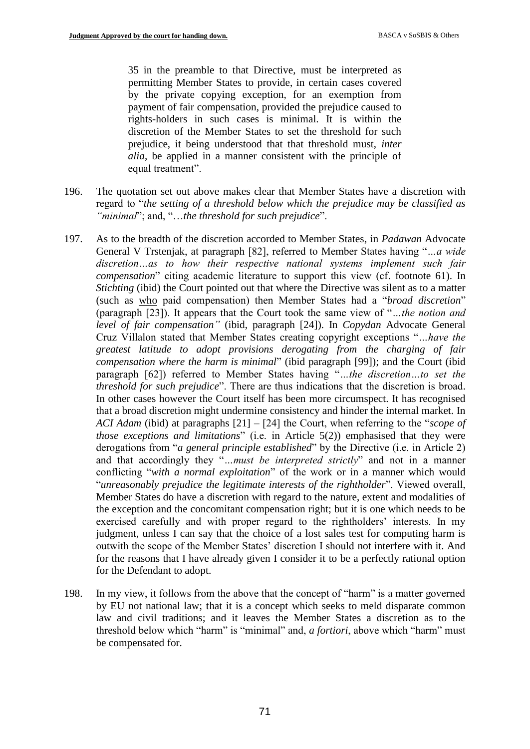35 in the preamble to that Directive, must be interpreted as permitting Member States to provide, in certain cases covered by the private copying exception, for an exemption from payment of fair compensation, provided the prejudice caused to rights-holders in such cases is minimal. It is within the discretion of the Member States to set the threshold for such prejudice, it being understood that that threshold must, *inter alia*, be applied in a manner consistent with the principle of equal treatment".

- 196. The quotation set out above makes clear that Member States have a discretion with regard to "*the setting of a threshold below which the prejudice may be classified as "minimal*"; and, "…*the threshold for such prejudice*".
- 197. As to the breadth of the discretion accorded to Member States, in *Padawan* Advocate General V Trstenjak, at paragraph [82], referred to Member States having "*…a wide discretion…as to how their respective national systems implement such fair compensation*" citing academic literature to support this view (cf. footnote 61). In *Stichting* (ibid) the Court pointed out that where the Directive was silent as to a matter (such as who paid compensation) then Member States had a "*broad discretion*" (paragraph [23]). It appears that the Court took the same view of "*…the notion and level of fair compensation"* (ibid, paragraph [24]). In *Copydan* Advocate General Cruz Villalon stated that Member States creating copyright exceptions "*…have the greatest latitude to adopt provisions derogating from the charging of fair compensation where the harm is minimal*" (ibid paragraph [99]); and the Court (ibid paragraph [62]) referred to Member States having "*…the discretion…to set the threshold for such prejudice*". There are thus indications that the discretion is broad. In other cases however the Court itself has been more circumspect. It has recognised that a broad discretion might undermine consistency and hinder the internal market. In *ACI Adam* (ibid) at paragraphs [21] – [24] the Court, when referring to the "*scope of those exceptions and limitations*" (i.e. in Article 5(2)) emphasised that they were derogations from "*a general principle established*" by the Directive (i.e. in Article 2) and that accordingly they "*…must be interpreted strictly*" and not in a manner conflicting "*with a normal exploitation*" of the work or in a manner which would "*unreasonably prejudice the legitimate interests of the rightholder*". Viewed overall, Member States do have a discretion with regard to the nature, extent and modalities of the exception and the concomitant compensation right; but it is one which needs to be exercised carefully and with proper regard to the rightholders' interests. In my judgment, unless I can say that the choice of a lost sales test for computing harm is outwith the scope of the Member States' discretion I should not interfere with it. And for the reasons that I have already given I consider it to be a perfectly rational option for the Defendant to adopt.
- 198. In my view, it follows from the above that the concept of "harm" is a matter governed by EU not national law; that it is a concept which seeks to meld disparate common law and civil traditions; and it leaves the Member States a discretion as to the threshold below which "harm" is "minimal" and, *a fortiori*, above which "harm" must be compensated for.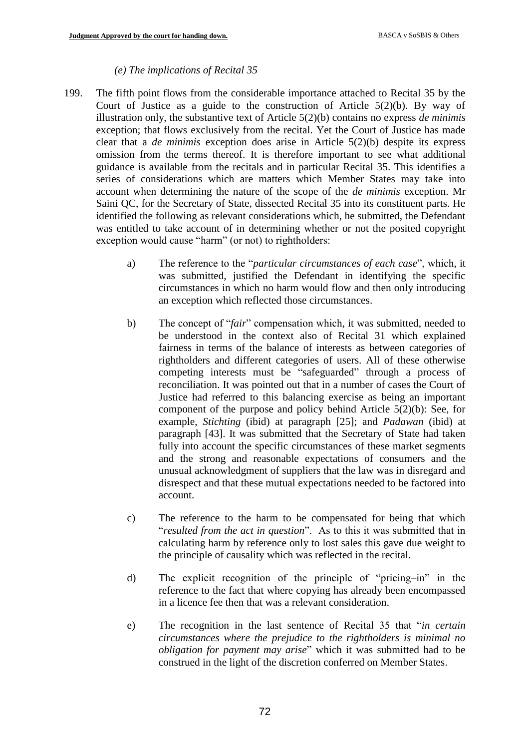#### *(e) The implications of Recital 35*

- 199. The fifth point flows from the considerable importance attached to Recital 35 by the Court of Justice as a guide to the construction of Article  $5(2)(b)$ . By way of illustration only, the substantive text of Article 5(2)(b) contains no express *de minimis* exception; that flows exclusively from the recital. Yet the Court of Justice has made clear that a *de minimis* exception does arise in Article 5(2)(b) despite its express omission from the terms thereof. It is therefore important to see what additional guidance is available from the recitals and in particular Recital 35. This identifies a series of considerations which are matters which Member States may take into account when determining the nature of the scope of the *de minimis* exception. Mr Saini QC, for the Secretary of State, dissected Recital 35 into its constituent parts. He identified the following as relevant considerations which, he submitted, the Defendant was entitled to take account of in determining whether or not the posited copyright exception would cause "harm" (or not) to rightholders:
	- a) The reference to the "*particular circumstances of each case*", which, it was submitted, justified the Defendant in identifying the specific circumstances in which no harm would flow and then only introducing an exception which reflected those circumstances.
	- b) The concept of "*fair*" compensation which, it was submitted, needed to be understood in the context also of Recital 31 which explained fairness in terms of the balance of interests as between categories of rightholders and different categories of users. All of these otherwise competing interests must be "safeguarded" through a process of reconciliation. It was pointed out that in a number of cases the Court of Justice had referred to this balancing exercise as being an important component of the purpose and policy behind Article 5(2)(b): See, for example, *Stichting* (ibid) at paragraph [25]; and *Padawan* (ibid) at paragraph [43]. It was submitted that the Secretary of State had taken fully into account the specific circumstances of these market segments and the strong and reasonable expectations of consumers and the unusual acknowledgment of suppliers that the law was in disregard and disrespect and that these mutual expectations needed to be factored into account.
	- c) The reference to the harm to be compensated for being that which "*resulted from the act in question*". As to this it was submitted that in calculating harm by reference only to lost sales this gave due weight to the principle of causality which was reflected in the recital.
	- d) The explicit recognition of the principle of "pricing–in" in the reference to the fact that where copying has already been encompassed in a licence fee then that was a relevant consideration.
	- e) The recognition in the last sentence of Recital 35 that "*in certain circumstances where the prejudice to the rightholders is minimal no obligation for payment may arise*" which it was submitted had to be construed in the light of the discretion conferred on Member States.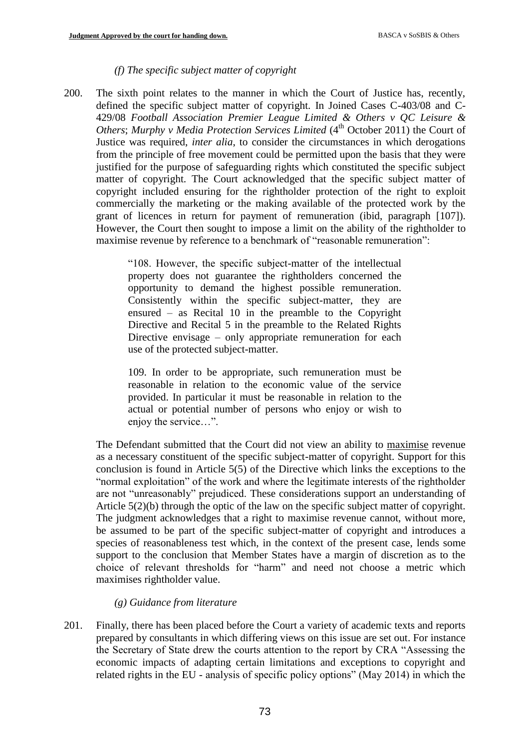#### *(f) The specific subject matter of copyright*

200. The sixth point relates to the manner in which the Court of Justice has, recently, defined the specific subject matter of copyright. In Joined Cases C-403/08 and C-429/08 *Football Association Premier League Limited & Others v QC Leisure & Others*; *Murphy v Media Protection Services Limited* (4<sup>th</sup> October 2011) the Court of Justice was required, *inter alia*, to consider the circumstances in which derogations from the principle of free movement could be permitted upon the basis that they were justified for the purpose of safeguarding rights which constituted the specific subject matter of copyright. The Court acknowledged that the specific subject matter of copyright included ensuring for the rightholder protection of the right to exploit commercially the marketing or the making available of the protected work by the grant of licences in return for payment of remuneration (ibid, paragraph [107]). However, the Court then sought to impose a limit on the ability of the rightholder to maximise revenue by reference to a benchmark of "reasonable remuneration":

> "108. However, the specific subject-matter of the intellectual property does not guarantee the rightholders concerned the opportunity to demand the highest possible remuneration. Consistently within the specific subject-matter, they are ensured – as Recital 10 in the preamble to the Copyright Directive and Recital 5 in the preamble to the Related Rights Directive envisage – only appropriate remuneration for each use of the protected subject-matter.

> 109. In order to be appropriate, such remuneration must be reasonable in relation to the economic value of the service provided. In particular it must be reasonable in relation to the actual or potential number of persons who enjoy or wish to enjoy the service…".

The Defendant submitted that the Court did not view an ability to maximise revenue as a necessary constituent of the specific subject-matter of copyright. Support for this conclusion is found in Article 5(5) of the Directive which links the exceptions to the "normal exploitation" of the work and where the legitimate interests of the rightholder are not "unreasonably" prejudiced. These considerations support an understanding of Article 5(2)(b) through the optic of the law on the specific subject matter of copyright. The judgment acknowledges that a right to maximise revenue cannot, without more, be assumed to be part of the specific subject-matter of copyright and introduces a species of reasonableness test which, in the context of the present case, lends some support to the conclusion that Member States have a margin of discretion as to the choice of relevant thresholds for "harm" and need not choose a metric which maximises rightholder value.

### *(g) Guidance from literature*

201. Finally, there has been placed before the Court a variety of academic texts and reports prepared by consultants in which differing views on this issue are set out. For instance the Secretary of State drew the courts attention to the report by CRA "Assessing the economic impacts of adapting certain limitations and exceptions to copyright and related rights in the EU - analysis of specific policy options" (May 2014) in which the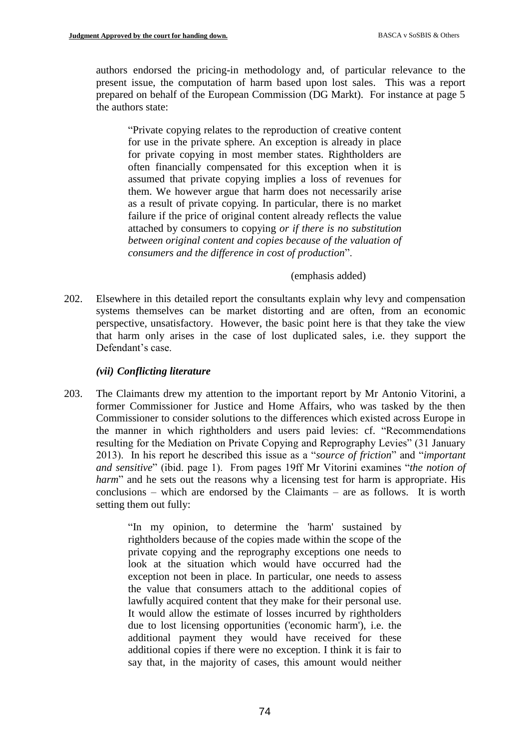authors endorsed the pricing-in methodology and, of particular relevance to the present issue, the computation of harm based upon lost sales. This was a report prepared on behalf of the European Commission (DG Markt). For instance at page 5 the authors state:

"Private copying relates to the reproduction of creative content for use in the private sphere. An exception is already in place for private copying in most member states. Rightholders are often financially compensated for this exception when it is assumed that private copying implies a loss of revenues for them. We however argue that harm does not necessarily arise as a result of private copying. In particular, there is no market failure if the price of original content already reflects the value attached by consumers to copying *or if there is no substitution between original content and copies because of the valuation of consumers and the difference in cost of production*".

#### (emphasis added)

202. Elsewhere in this detailed report the consultants explain why levy and compensation systems themselves can be market distorting and are often, from an economic perspective, unsatisfactory. However, the basic point here is that they take the view that harm only arises in the case of lost duplicated sales, i.e. they support the Defendant's case.

### *(vii) Conflicting literature*

203. The Claimants drew my attention to the important report by Mr Antonio Vitorini, a former Commissioner for Justice and Home Affairs, who was tasked by the then Commissioner to consider solutions to the differences which existed across Europe in the manner in which rightholders and users paid levies: cf. "Recommendations resulting for the Mediation on Private Copying and Reprography Levies" (31 January 2013). In his report he described this issue as a "*source of friction*" and "*important and sensitive*" (ibid. page 1). From pages 19ff Mr Vitorini examines "*the notion of harm*" and he sets out the reasons why a licensing test for harm is appropriate. His conclusions – which are endorsed by the Claimants – are as follows. It is worth setting them out fully:

> "In my opinion, to determine the 'harm' sustained by rightholders because of the copies made within the scope of the private copying and the reprography exceptions one needs to look at the situation which would have occurred had the exception not been in place. In particular, one needs to assess the value that consumers attach to the additional copies of lawfully acquired content that they make for their personal use. It would allow the estimate of losses incurred by rightholders due to lost licensing opportunities ('economic harm'), i.e. the additional payment they would have received for these additional copies if there were no exception. I think it is fair to say that, in the majority of cases, this amount would neither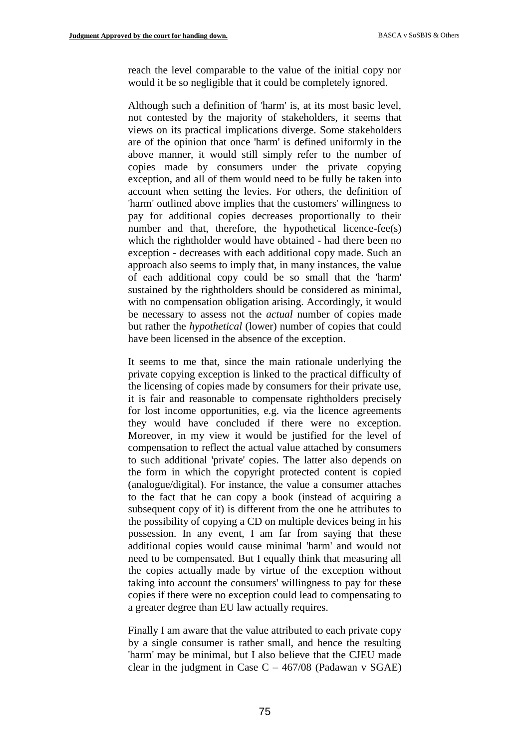reach the level comparable to the value of the initial copy nor would it be so negligible that it could be completely ignored.

Although such a definition of 'harm' is, at its most basic level, not contested by the majority of stakeholders, it seems that views on its practical implications diverge. Some stakeholders are of the opinion that once 'harm' is defined uniformly in the above manner, it would still simply refer to the number of copies made by consumers under the private copying exception, and all of them would need to be fully be taken into account when setting the levies. For others, the definition of 'harm' outlined above implies that the customers' willingness to pay for additional copies decreases proportionally to their number and that, therefore, the hypothetical licence-fee(s) which the rightholder would have obtained - had there been no exception - decreases with each additional copy made. Such an approach also seems to imply that, in many instances, the value of each additional copy could be so small that the 'harm' sustained by the rightholders should be considered as minimal, with no compensation obligation arising. Accordingly, it would be necessary to assess not the *actual* number of copies made but rather the *hypothetical* (lower) number of copies that could have been licensed in the absence of the exception.

It seems to me that, since the main rationale underlying the private copying exception is linked to the practical difficulty of the licensing of copies made by consumers for their private use, it is fair and reasonable to compensate rightholders precisely for lost income opportunities, e.g. via the licence agreements they would have concluded if there were no exception. Moreover, in my view it would be justified for the level of compensation to reflect the actual value attached by consumers to such additional 'private' copies. The latter also depends on the form in which the copyright protected content is copied (analogue/digital). For instance, the value a consumer attaches to the fact that he can copy a book (instead of acquiring a subsequent copy of it) is different from the one he attributes to the possibility of copying a CD on multiple devices being in his possession. In any event, I am far from saying that these additional copies would cause minimal 'harm' and would not need to be compensated. But I equally think that measuring all the copies actually made by virtue of the exception without taking into account the consumers' willingness to pay for these copies if there were no exception could lead to compensating to a greater degree than EU law actually requires.

Finally I am aware that the value attributed to each private copy by a single consumer is rather small, and hence the resulting 'harm' may be minimal, but I also believe that the CJEU made clear in the judgment in Case  $C - 467/08$  (Padawan v SGAE)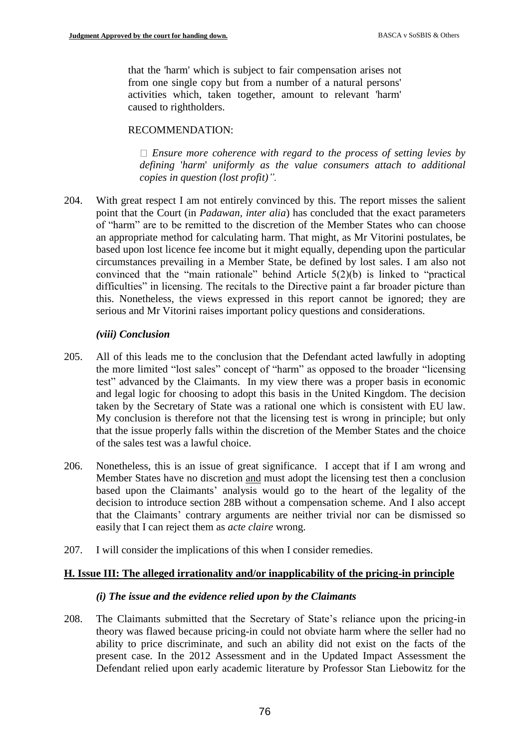that the 'harm' which is subject to fair compensation arises not from one single copy but from a number of a natural persons' activities which, taken together, amount to relevant 'harm' caused to rightholders.

### RECOMMENDATION:

*Ensure more coherence with regard to the process of setting levies by defining* '*harm*' *uniformly as the value consumers attach to additional copies in question (lost profit)".*

204. With great respect I am not entirely convinced by this. The report misses the salient point that the Court (in *Padawan, inter alia*) has concluded that the exact parameters of "harm" are to be remitted to the discretion of the Member States who can choose an appropriate method for calculating harm. That might, as Mr Vitorini postulates, be based upon lost licence fee income but it might equally, depending upon the particular circumstances prevailing in a Member State, be defined by lost sales. I am also not convinced that the "main rationale" behind Article 5(2)(b) is linked to "practical difficulties" in licensing. The recitals to the Directive paint a far broader picture than this. Nonetheless, the views expressed in this report cannot be ignored; they are serious and Mr Vitorini raises important policy questions and considerations.

#### *(viii) Conclusion*

- 205. All of this leads me to the conclusion that the Defendant acted lawfully in adopting the more limited "lost sales" concept of "harm" as opposed to the broader "licensing test" advanced by the Claimants. In my view there was a proper basis in economic and legal logic for choosing to adopt this basis in the United Kingdom. The decision taken by the Secretary of State was a rational one which is consistent with EU law. My conclusion is therefore not that the licensing test is wrong in principle; but only that the issue properly falls within the discretion of the Member States and the choice of the sales test was a lawful choice.
- 206. Nonetheless, this is an issue of great significance. I accept that if I am wrong and Member States have no discretion and must adopt the licensing test then a conclusion based upon the Claimants' analysis would go to the heart of the legality of the decision to introduce section 28B without a compensation scheme. And I also accept that the Claimants' contrary arguments are neither trivial nor can be dismissed so easily that I can reject them as *acte claire* wrong.
- 207. I will consider the implications of this when I consider remedies.

### **H. Issue III: The alleged irrationality and/or inapplicability of the pricing-in principle**

#### *(i) The issue and the evidence relied upon by the Claimants*

208. The Claimants submitted that the Secretary of State's reliance upon the pricing-in theory was flawed because pricing-in could not obviate harm where the seller had no ability to price discriminate, and such an ability did not exist on the facts of the present case. In the 2012 Assessment and in the Updated Impact Assessment the Defendant relied upon early academic literature by Professor Stan Liebowitz for the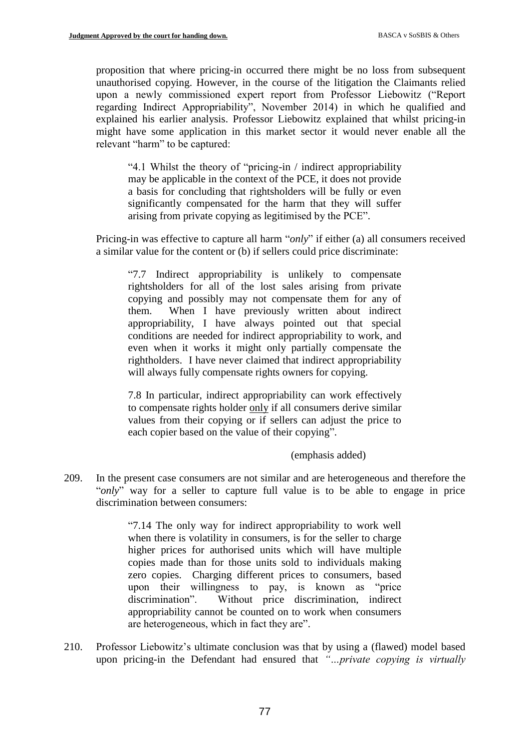proposition that where pricing-in occurred there might be no loss from subsequent unauthorised copying. However, in the course of the litigation the Claimants relied upon a newly commissioned expert report from Professor Liebowitz ("Report regarding Indirect Appropriability", November 2014) in which he qualified and explained his earlier analysis. Professor Liebowitz explained that whilst pricing-in might have some application in this market sector it would never enable all the relevant "harm" to be captured:

"4.1 Whilst the theory of "pricing-in / indirect appropriability may be applicable in the context of the PCE, it does not provide a basis for concluding that rightsholders will be fully or even significantly compensated for the harm that they will suffer arising from private copying as legitimised by the PCE".

Pricing-in was effective to capture all harm "*only*" if either (a) all consumers received a similar value for the content or (b) if sellers could price discriminate:

"7.7 Indirect appropriability is unlikely to compensate rightsholders for all of the lost sales arising from private copying and possibly may not compensate them for any of them. When I have previously written about indirect appropriability, I have always pointed out that special conditions are needed for indirect appropriability to work, and even when it works it might only partially compensate the rightholders. I have never claimed that indirect appropriability will always fully compensate rights owners for copying.

7.8 In particular, indirect appropriability can work effectively to compensate rights holder only if all consumers derive similar values from their copying or if sellers can adjust the price to each copier based on the value of their copying".

### (emphasis added)

209. In the present case consumers are not similar and are heterogeneous and therefore the "only" way for a seller to capture full value is to be able to engage in price discrimination between consumers:

> "7.14 The only way for indirect appropriability to work well when there is volatility in consumers, is for the seller to charge higher prices for authorised units which will have multiple copies made than for those units sold to individuals making zero copies. Charging different prices to consumers, based upon their willingness to pay, is known as "price discrimination". Without price discrimination, indirect appropriability cannot be counted on to work when consumers are heterogeneous, which in fact they are".

210. Professor Liebowitz's ultimate conclusion was that by using a (flawed) model based upon pricing-in the Defendant had ensured that *"…private copying is virtually*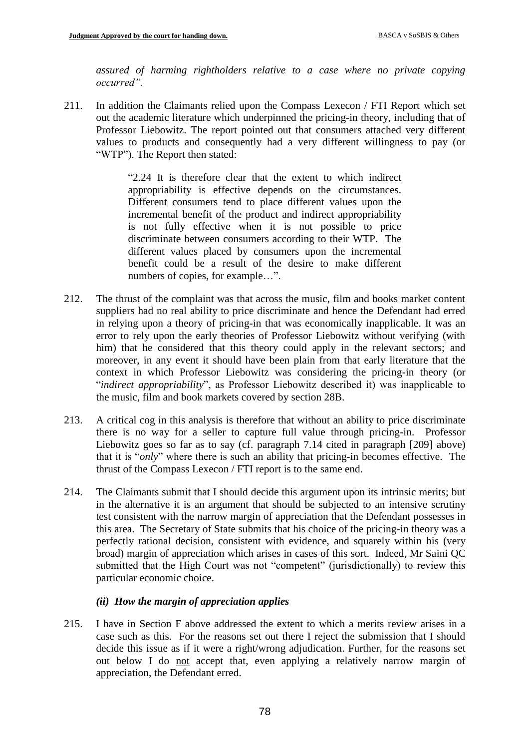*assured of harming rightholders relative to a case where no private copying occurred".*

211. In addition the Claimants relied upon the Compass Lexecon / FTI Report which set out the academic literature which underpinned the pricing-in theory, including that of Professor Liebowitz. The report pointed out that consumers attached very different values to products and consequently had a very different willingness to pay (or "WTP"). The Report then stated:

> "2.24 It is therefore clear that the extent to which indirect appropriability is effective depends on the circumstances. Different consumers tend to place different values upon the incremental benefit of the product and indirect appropriability is not fully effective when it is not possible to price discriminate between consumers according to their WTP. The different values placed by consumers upon the incremental benefit could be a result of the desire to make different numbers of copies, for example…".

- 212. The thrust of the complaint was that across the music, film and books market content suppliers had no real ability to price discriminate and hence the Defendant had erred in relying upon a theory of pricing-in that was economically inapplicable. It was an error to rely upon the early theories of Professor Liebowitz without verifying (with him) that he considered that this theory could apply in the relevant sectors; and moreover, in any event it should have been plain from that early literature that the context in which Professor Liebowitz was considering the pricing-in theory (or "*indirect appropriability*", as Professor Liebowitz described it) was inapplicable to the music, film and book markets covered by section 28B.
- 213. A critical cog in this analysis is therefore that without an ability to price discriminate there is no way for a seller to capture full value through pricing-in. Professor Liebowitz goes so far as to say (cf. paragraph 7.14 cited in paragraph [209] above) that it is "*only*" where there is such an ability that pricing-in becomes effective. The thrust of the Compass Lexecon / FTI report is to the same end.
- 214. The Claimants submit that I should decide this argument upon its intrinsic merits; but in the alternative it is an argument that should be subjected to an intensive scrutiny test consistent with the narrow margin of appreciation that the Defendant possesses in this area. The Secretary of State submits that his choice of the pricing-in theory was a perfectly rational decision, consistent with evidence, and squarely within his (very broad) margin of appreciation which arises in cases of this sort. Indeed, Mr Saini QC submitted that the High Court was not "competent" (jurisdictionally) to review this particular economic choice.

# *(ii) How the margin of appreciation applies*

215. I have in Section F above addressed the extent to which a merits review arises in a case such as this. For the reasons set out there I reject the submission that I should decide this issue as if it were a right/wrong adjudication. Further, for the reasons set out below I do not accept that, even applying a relatively narrow margin of appreciation, the Defendant erred.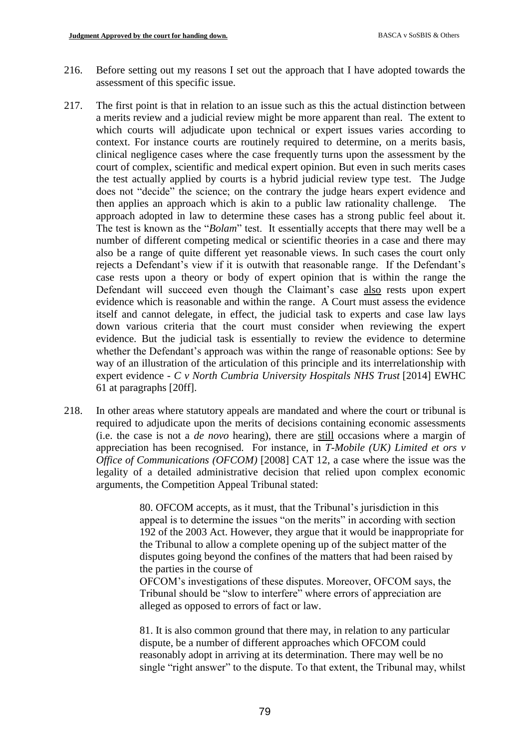- 216. Before setting out my reasons I set out the approach that I have adopted towards the assessment of this specific issue.
- 217. The first point is that in relation to an issue such as this the actual distinction between a merits review and a judicial review might be more apparent than real. The extent to which courts will adjudicate upon technical or expert issues varies according to context. For instance courts are routinely required to determine, on a merits basis, clinical negligence cases where the case frequently turns upon the assessment by the court of complex, scientific and medical expert opinion. But even in such merits cases the test actually applied by courts is a hybrid judicial review type test. The Judge does not "decide" the science; on the contrary the judge hears expert evidence and then applies an approach which is akin to a public law rationality challenge. The approach adopted in law to determine these cases has a strong public feel about it. The test is known as the "*Bolam*" test. It essentially accepts that there may well be a number of different competing medical or scientific theories in a case and there may also be a range of quite different yet reasonable views. In such cases the court only rejects a Defendant's view if it is outwith that reasonable range. If the Defendant's case rests upon a theory or body of expert opinion that is within the range the Defendant will succeed even though the Claimant's case also rests upon expert evidence which is reasonable and within the range. A Court must assess the evidence itself and cannot delegate, in effect, the judicial task to experts and case law lays down various criteria that the court must consider when reviewing the expert evidence. But the judicial task is essentially to review the evidence to determine whether the Defendant's approach was within the range of reasonable options: See by way of an illustration of the articulation of this principle and its interrelationship with expert evidence - *C v North Cumbria University Hospitals NHS Trust* [2014] EWHC 61 at paragraphs [20ff].
- 218. In other areas where statutory appeals are mandated and where the court or tribunal is required to adjudicate upon the merits of decisions containing economic assessments (i.e. the case is not a *de novo* hearing), there are still occasions where a margin of appreciation has been recognised. For instance, in *T-Mobile (UK) Limited et ors v Office of Communications (OFCOM)* [2008] CAT 12, a case where the issue was the legality of a detailed administrative decision that relied upon complex economic arguments, the Competition Appeal Tribunal stated:

80. OFCOM accepts, as it must, that the Tribunal's jurisdiction in this appeal is to determine the issues "on the merits" in according with section 192 of the 2003 Act. However, they argue that it would be inappropriate for the Tribunal to allow a complete opening up of the subject matter of the disputes going beyond the confines of the matters that had been raised by the parties in the course of

OFCOM's investigations of these disputes. Moreover, OFCOM says, the Tribunal should be "slow to interfere" where errors of appreciation are alleged as opposed to errors of fact or law.

81. It is also common ground that there may, in relation to any particular dispute, be a number of different approaches which OFCOM could reasonably adopt in arriving at its determination. There may well be no single "right answer" to the dispute. To that extent, the Tribunal may, whilst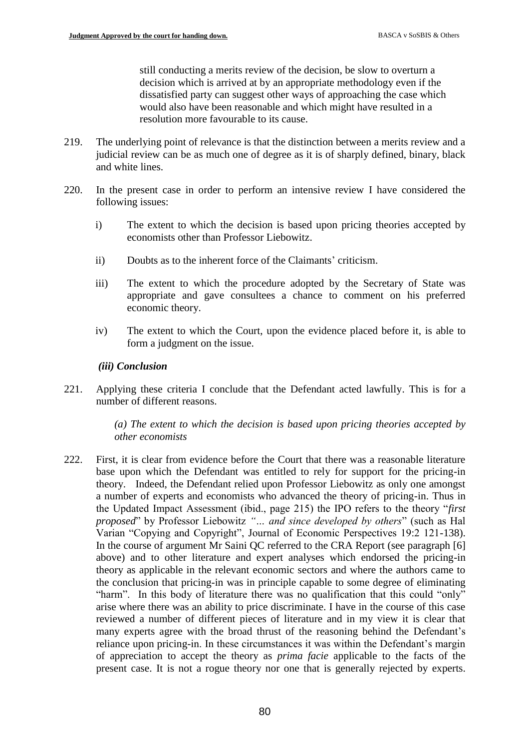still conducting a merits review of the decision, be slow to overturn a decision which is arrived at by an appropriate methodology even if the dissatisfied party can suggest other ways of approaching the case which would also have been reasonable and which might have resulted in a resolution more favourable to its cause.

- 219. The underlying point of relevance is that the distinction between a merits review and a judicial review can be as much one of degree as it is of sharply defined, binary, black and white lines.
- 220. In the present case in order to perform an intensive review I have considered the following issues:
	- i) The extent to which the decision is based upon pricing theories accepted by economists other than Professor Liebowitz.
	- ii) Doubts as to the inherent force of the Claimants' criticism.
	- iii) The extent to which the procedure adopted by the Secretary of State was appropriate and gave consultees a chance to comment on his preferred economic theory.
	- iv) The extent to which the Court, upon the evidence placed before it, is able to form a judgment on the issue.

#### *(iii) Conclusion*

221. Applying these criteria I conclude that the Defendant acted lawfully. This is for a number of different reasons.

> *(a) The extent to which the decision is based upon pricing theories accepted by other economists*

222. First, it is clear from evidence before the Court that there was a reasonable literature base upon which the Defendant was entitled to rely for support for the pricing-in theory. Indeed, the Defendant relied upon Professor Liebowitz as only one amongst a number of experts and economists who advanced the theory of pricing-in. Thus in the Updated Impact Assessment (ibid., page 215) the IPO refers to the theory "*first proposed*" by Professor Liebowitz *"… and since developed by others*" (such as Hal Varian "Copying and Copyright", Journal of Economic Perspectives 19:2 121-138). In the course of argument Mr Saini QC referred to the CRA Report (see paragraph [6] above) and to other literature and expert analyses which endorsed the pricing-in theory as applicable in the relevant economic sectors and where the authors came to the conclusion that pricing-in was in principle capable to some degree of eliminating "harm". In this body of literature there was no qualification that this could "only" arise where there was an ability to price discriminate. I have in the course of this case reviewed a number of different pieces of literature and in my view it is clear that many experts agree with the broad thrust of the reasoning behind the Defendant's reliance upon pricing-in. In these circumstances it was within the Defendant's margin of appreciation to accept the theory as *prima facie* applicable to the facts of the present case. It is not a rogue theory nor one that is generally rejected by experts.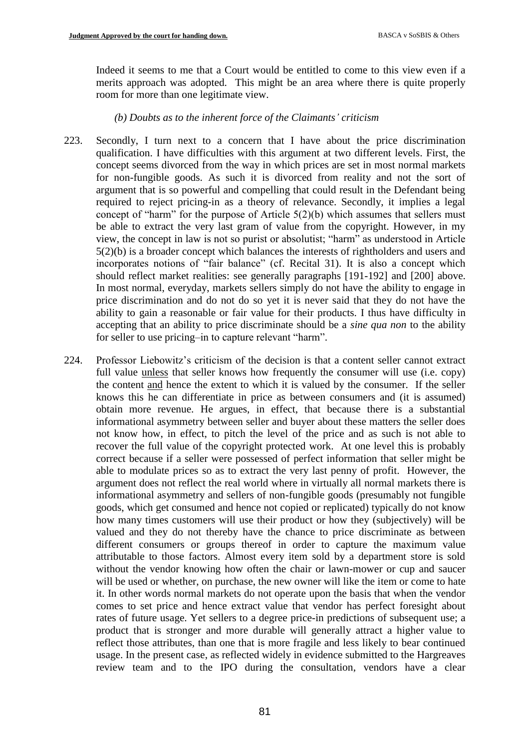Indeed it seems to me that a Court would be entitled to come to this view even if a merits approach was adopted. This might be an area where there is quite properly room for more than one legitimate view.

#### *(b) Doubts as to the inherent force of the Claimants' criticism*

- 223. Secondly, I turn next to a concern that I have about the price discrimination qualification. I have difficulties with this argument at two different levels. First, the concept seems divorced from the way in which prices are set in most normal markets for non-fungible goods. As such it is divorced from reality and not the sort of argument that is so powerful and compelling that could result in the Defendant being required to reject pricing-in as a theory of relevance. Secondly, it implies a legal concept of "harm" for the purpose of Article 5(2)(b) which assumes that sellers must be able to extract the very last gram of value from the copyright. However, in my view, the concept in law is not so purist or absolutist; "harm" as understood in Article 5(2)(b) is a broader concept which balances the interests of rightholders and users and incorporates notions of "fair balance" (cf. Recital 31). It is also a concept which should reflect market realities: see generally paragraphs [191-192] and [200] above. In most normal, everyday, markets sellers simply do not have the ability to engage in price discrimination and do not do so yet it is never said that they do not have the ability to gain a reasonable or fair value for their products. I thus have difficulty in accepting that an ability to price discriminate should be a *sine qua non* to the ability for seller to use pricing–in to capture relevant "harm".
- 224. Professor Liebowitz's criticism of the decision is that a content seller cannot extract full value unless that seller knows how frequently the consumer will use (i.e. copy) the content and hence the extent to which it is valued by the consumer. If the seller knows this he can differentiate in price as between consumers and (it is assumed) obtain more revenue. He argues, in effect, that because there is a substantial informational asymmetry between seller and buyer about these matters the seller does not know how, in effect, to pitch the level of the price and as such is not able to recover the full value of the copyright protected work. At one level this is probably correct because if a seller were possessed of perfect information that seller might be able to modulate prices so as to extract the very last penny of profit. However, the argument does not reflect the real world where in virtually all normal markets there is informational asymmetry and sellers of non-fungible goods (presumably not fungible goods, which get consumed and hence not copied or replicated) typically do not know how many times customers will use their product or how they (subjectively) will be valued and they do not thereby have the chance to price discriminate as between different consumers or groups thereof in order to capture the maximum value attributable to those factors. Almost every item sold by a department store is sold without the vendor knowing how often the chair or lawn-mower or cup and saucer will be used or whether, on purchase, the new owner will like the item or come to hate it. In other words normal markets do not operate upon the basis that when the vendor comes to set price and hence extract value that vendor has perfect foresight about rates of future usage. Yet sellers to a degree price-in predictions of subsequent use; a product that is stronger and more durable will generally attract a higher value to reflect those attributes, than one that is more fragile and less likely to bear continued usage. In the present case, as reflected widely in evidence submitted to the Hargreaves review team and to the IPO during the consultation, vendors have a clear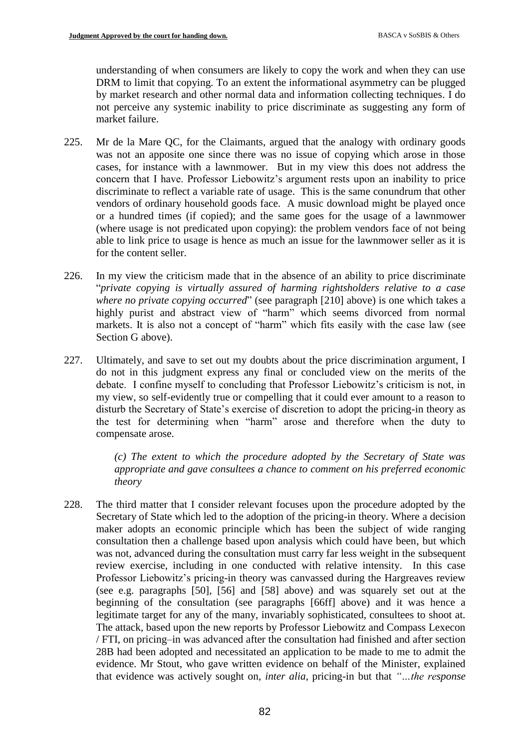understanding of when consumers are likely to copy the work and when they can use DRM to limit that copying. To an extent the informational asymmetry can be plugged by market research and other normal data and information collecting techniques. I do not perceive any systemic inability to price discriminate as suggesting any form of market failure.

- 225. Mr de la Mare QC, for the Claimants, argued that the analogy with ordinary goods was not an apposite one since there was no issue of copying which arose in those cases, for instance with a lawnmower. But in my view this does not address the concern that I have. Professor Liebowitz's argument rests upon an inability to price discriminate to reflect a variable rate of usage. This is the same conundrum that other vendors of ordinary household goods face. A music download might be played once or a hundred times (if copied); and the same goes for the usage of a lawnmower (where usage is not predicated upon copying): the problem vendors face of not being able to link price to usage is hence as much an issue for the lawnmower seller as it is for the content seller.
- 226. In my view the criticism made that in the absence of an ability to price discriminate "*private copying is virtually assured of harming rightsholders relative to a case where no private copying occurred*" (see paragraph [210] above) is one which takes a highly purist and abstract view of "harm" which seems divorced from normal markets. It is also not a concept of "harm" which fits easily with the case law (see Section G above).
- 227. Ultimately, and save to set out my doubts about the price discrimination argument, I do not in this judgment express any final or concluded view on the merits of the debate. I confine myself to concluding that Professor Liebowitz's criticism is not, in my view, so self-evidently true or compelling that it could ever amount to a reason to disturb the Secretary of State's exercise of discretion to adopt the pricing-in theory as the test for determining when "harm" arose and therefore when the duty to compensate arose.

*(c) The extent to which the procedure adopted by the Secretary of State was appropriate and gave consultees a chance to comment on his preferred economic theory*

228. The third matter that I consider relevant focuses upon the procedure adopted by the Secretary of State which led to the adoption of the pricing-in theory. Where a decision maker adopts an economic principle which has been the subject of wide ranging consultation then a challenge based upon analysis which could have been, but which was not, advanced during the consultation must carry far less weight in the subsequent review exercise, including in one conducted with relative intensity. In this case Professor Liebowitz's pricing-in theory was canvassed during the Hargreaves review (see e.g. paragraphs [50], [56] and [58] above) and was squarely set out at the beginning of the consultation (see paragraphs [66ff] above) and it was hence a legitimate target for any of the many, invariably sophisticated, consultees to shoot at. The attack, based upon the new reports by Professor Liebowitz and Compass Lexecon / FTI, on pricing–in was advanced after the consultation had finished and after section 28B had been adopted and necessitated an application to be made to me to admit the evidence. Mr Stout, who gave written evidence on behalf of the Minister, explained that evidence was actively sought on, *inter alia*, pricing-in but that *"…the response*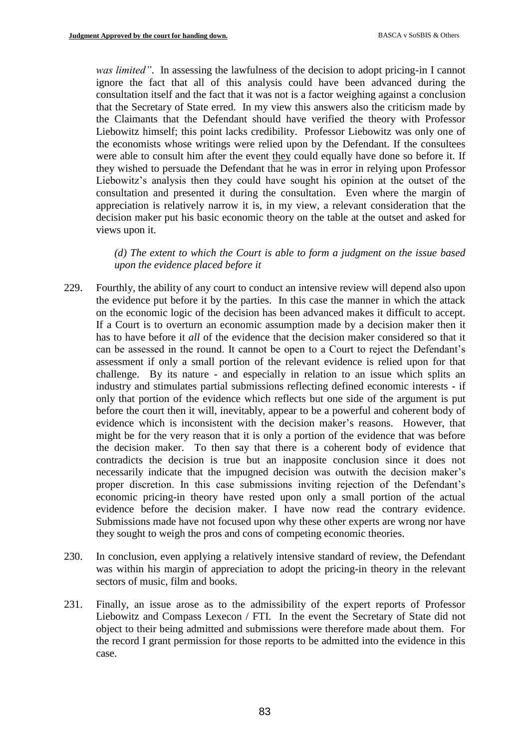*was limited"*. In assessing the lawfulness of the decision to adopt pricing-in I cannot ignore the fact that all of this analysis could have been advanced during the consultation itself and the fact that it was not is a factor weighing against a conclusion that the Secretary of State erred. In my view this answers also the criticism made by the Claimants that the Defendant should have verified the theory with Professor Liebowitz himself; this point lacks credibility. Professor Liebowitz was only one of the economists whose writings were relied upon by the Defendant. If the consultees were able to consult him after the event they could equally have done so before it. If they wished to persuade the Defendant that he was in error in relying upon Professor Liebowitz's analysis then they could have sought his opinion at the outset of the consultation and presented it during the consultation. Even where the margin of appreciation is relatively narrow it is, in my view, a relevant consideration that the decision maker put his basic economic theory on the table at the outset and asked for views upon it.

*(d) The extent to which the Court is able to form a judgment on the issue based upon the evidence placed before it*

- 229. Fourthly, the ability of any court to conduct an intensive review will depend also upon the evidence put before it by the parties. In this case the manner in which the attack on the economic logic of the decision has been advanced makes it difficult to accept. If a Court is to overturn an economic assumption made by a decision maker then it has to have before it *all* of the evidence that the decision maker considered so that it can be assessed in the round. It cannot be open to a Court to reject the Defendant's assessment if only a small portion of the relevant evidence is relied upon for that challenge. By its nature - and especially in relation to an issue which splits an industry and stimulates partial submissions reflecting defined economic interests - if only that portion of the evidence which reflects but one side of the argument is put before the court then it will, inevitably, appear to be a powerful and coherent body of evidence which is inconsistent with the decision maker's reasons. However, that might be for the very reason that it is only a portion of the evidence that was before the decision maker. To then say that there is a coherent body of evidence that contradicts the decision is true but an inapposite conclusion since it does not necessarily indicate that the impugned decision was outwith the decision maker's proper discretion. In this case submissions inviting rejection of the Defendant's economic pricing-in theory have rested upon only a small portion of the actual evidence before the decision maker. I have now read the contrary evidence. Submissions made have not focused upon why these other experts are wrong nor have they sought to weigh the pros and cons of competing economic theories.
- 230. In conclusion, even applying a relatively intensive standard of review, the Defendant was within his margin of appreciation to adopt the pricing-in theory in the relevant sectors of music, film and books.
- 231. Finally, an issue arose as to the admissibility of the expert reports of Professor Liebowitz and Compass Lexecon / FTI. In the event the Secretary of State did not object to their being admitted and submissions were therefore made about them. For the record I grant permission for those reports to be admitted into the evidence in this case.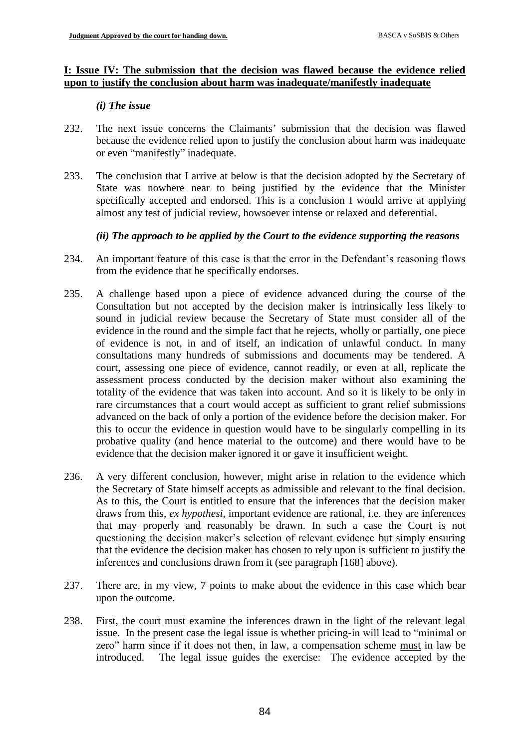## **I: Issue IV: The submission that the decision was flawed because the evidence relied upon to justify the conclusion about harm was inadequate/manifestly inadequate**

## *(i) The issue*

- 232. The next issue concerns the Claimants' submission that the decision was flawed because the evidence relied upon to justify the conclusion about harm was inadequate or even "manifestly" inadequate.
- 233. The conclusion that I arrive at below is that the decision adopted by the Secretary of State was nowhere near to being justified by the evidence that the Minister specifically accepted and endorsed. This is a conclusion I would arrive at applying almost any test of judicial review, howsoever intense or relaxed and deferential.

# *(ii) The approach to be applied by the Court to the evidence supporting the reasons*

- 234. An important feature of this case is that the error in the Defendant's reasoning flows from the evidence that he specifically endorses.
- 235. A challenge based upon a piece of evidence advanced during the course of the Consultation but not accepted by the decision maker is intrinsically less likely to sound in judicial review because the Secretary of State must consider all of the evidence in the round and the simple fact that he rejects, wholly or partially, one piece of evidence is not, in and of itself, an indication of unlawful conduct. In many consultations many hundreds of submissions and documents may be tendered. A court, assessing one piece of evidence, cannot readily, or even at all, replicate the assessment process conducted by the decision maker without also examining the totality of the evidence that was taken into account. And so it is likely to be only in rare circumstances that a court would accept as sufficient to grant relief submissions advanced on the back of only a portion of the evidence before the decision maker. For this to occur the evidence in question would have to be singularly compelling in its probative quality (and hence material to the outcome) and there would have to be evidence that the decision maker ignored it or gave it insufficient weight.
- 236. A very different conclusion, however, might arise in relation to the evidence which the Secretary of State himself accepts as admissible and relevant to the final decision. As to this, the Court is entitled to ensure that the inferences that the decision maker draws from this, *ex hypothesi*, important evidence are rational, i.e. they are inferences that may properly and reasonably be drawn. In such a case the Court is not questioning the decision maker's selection of relevant evidence but simply ensuring that the evidence the decision maker has chosen to rely upon is sufficient to justify the inferences and conclusions drawn from it (see paragraph [168] above).
- 237. There are, in my view, 7 points to make about the evidence in this case which bear upon the outcome.
- 238. First, the court must examine the inferences drawn in the light of the relevant legal issue. In the present case the legal issue is whether pricing-in will lead to "minimal or zero" harm since if it does not then, in law, a compensation scheme must in law be introduced. The legal issue guides the exercise: The evidence accepted by the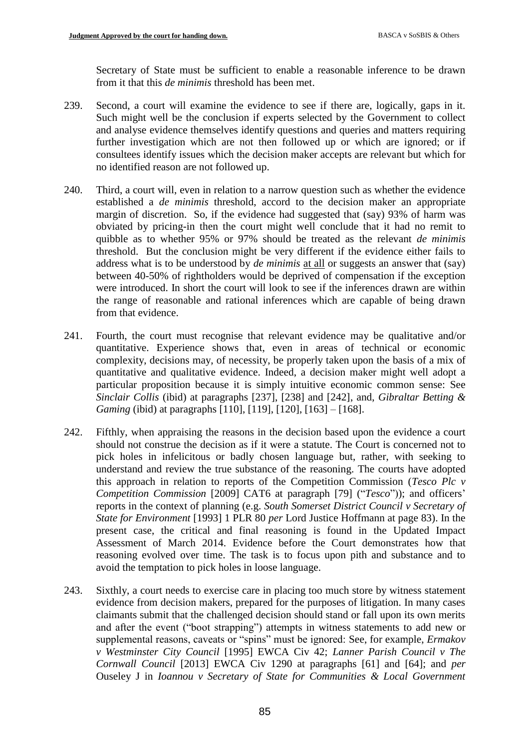Secretary of State must be sufficient to enable a reasonable inference to be drawn from it that this *de minimis* threshold has been met.

- 239. Second, a court will examine the evidence to see if there are, logically, gaps in it. Such might well be the conclusion if experts selected by the Government to collect and analyse evidence themselves identify questions and queries and matters requiring further investigation which are not then followed up or which are ignored; or if consultees identify issues which the decision maker accepts are relevant but which for no identified reason are not followed up.
- 240. Third, a court will, even in relation to a narrow question such as whether the evidence established a *de minimis* threshold, accord to the decision maker an appropriate margin of discretion. So, if the evidence had suggested that (say) 93% of harm was obviated by pricing-in then the court might well conclude that it had no remit to quibble as to whether 95% or 97% should be treated as the relevant *de minimis* threshold. But the conclusion might be very different if the evidence either fails to address what is to be understood by *de minimis* at all or suggests an answer that (say) between 40-50% of rightholders would be deprived of compensation if the exception were introduced. In short the court will look to see if the inferences drawn are within the range of reasonable and rational inferences which are capable of being drawn from that evidence.
- 241. Fourth, the court must recognise that relevant evidence may be qualitative and/or quantitative. Experience shows that, even in areas of technical or economic complexity, decisions may, of necessity, be properly taken upon the basis of a mix of quantitative and qualitative evidence. Indeed, a decision maker might well adopt a particular proposition because it is simply intuitive economic common sense: See *Sinclair Collis* (ibid) at paragraphs [237], [238] and [242], and, *Gibraltar Betting & Gaming* (ibid) at paragraphs [110], [119], [120], [163] – [168].
- 242. Fifthly, when appraising the reasons in the decision based upon the evidence a court should not construe the decision as if it were a statute. The Court is concerned not to pick holes in infelicitous or badly chosen language but, rather, with seeking to understand and review the true substance of the reasoning. The courts have adopted this approach in relation to reports of the Competition Commission (*Tesco Plc v Competition Commission* [2009] CAT6 at paragraph [79] ("*Tesco*")); and officers' reports in the context of planning (e.g. *South Somerset District Council v Secretary of State for Environment* [1993] 1 PLR 80 *per* Lord Justice Hoffmann at page 83). In the present case, the critical and final reasoning is found in the Updated Impact Assessment of March 2014. Evidence before the Court demonstrates how that reasoning evolved over time. The task is to focus upon pith and substance and to avoid the temptation to pick holes in loose language.
- 243. Sixthly, a court needs to exercise care in placing too much store by witness statement evidence from decision makers, prepared for the purposes of litigation. In many cases claimants submit that the challenged decision should stand or fall upon its own merits and after the event ("boot strapping") attempts in witness statements to add new or supplemental reasons, caveats or "spins" must be ignored: See, for example, *Ermakov v Westminster City Council* [1995] EWCA Civ 42; *Lanner Parish Council v The Cornwall Council* [2013] EWCA Civ 1290 at paragraphs [61] and [64]; and *per* Ouseley J in *Ioannou v Secretary of State for Communities & Local Government*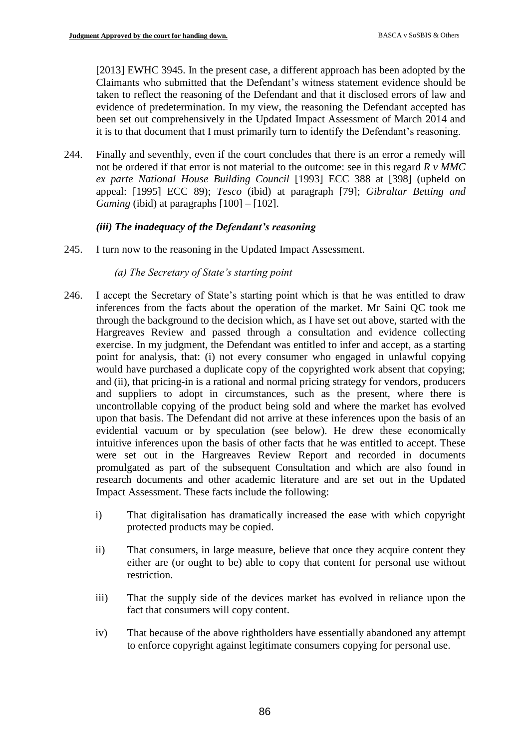[2013] EWHC 3945. In the present case, a different approach has been adopted by the Claimants who submitted that the Defendant's witness statement evidence should be taken to reflect the reasoning of the Defendant and that it disclosed errors of law and evidence of predetermination. In my view, the reasoning the Defendant accepted has been set out comprehensively in the Updated Impact Assessment of March 2014 and it is to that document that I must primarily turn to identify the Defendant's reasoning.

244. Finally and seventhly, even if the court concludes that there is an error a remedy will not be ordered if that error is not material to the outcome: see in this regard *R v MMC ex parte National House Building Council* [1993] ECC 388 at [398] (upheld on appeal: [1995] ECC 89); *Tesco* (ibid) at paragraph [79]; *Gibraltar Betting and Gaming* (ibid) at paragraphs [100] – [102].

## *(iii) The inadequacy of the Defendant's reasoning*

- 245. I turn now to the reasoning in the Updated Impact Assessment.
	- *(a) The Secretary of State's starting point*
- 246. I accept the Secretary of State's starting point which is that he was entitled to draw inferences from the facts about the operation of the market. Mr Saini QC took me through the background to the decision which, as I have set out above, started with the Hargreaves Review and passed through a consultation and evidence collecting exercise. In my judgment, the Defendant was entitled to infer and accept, as a starting point for analysis, that: (i) not every consumer who engaged in unlawful copying would have purchased a duplicate copy of the copyrighted work absent that copying; and (ii), that pricing-in is a rational and normal pricing strategy for vendors, producers and suppliers to adopt in circumstances, such as the present, where there is uncontrollable copying of the product being sold and where the market has evolved upon that basis. The Defendant did not arrive at these inferences upon the basis of an evidential vacuum or by speculation (see below). He drew these economically intuitive inferences upon the basis of other facts that he was entitled to accept. These were set out in the Hargreaves Review Report and recorded in documents promulgated as part of the subsequent Consultation and which are also found in research documents and other academic literature and are set out in the Updated Impact Assessment. These facts include the following:
	- i) That digitalisation has dramatically increased the ease with which copyright protected products may be copied.
	- ii) That consumers, in large measure, believe that once they acquire content they either are (or ought to be) able to copy that content for personal use without restriction.
	- iii) That the supply side of the devices market has evolved in reliance upon the fact that consumers will copy content.
	- iv) That because of the above rightholders have essentially abandoned any attempt to enforce copyright against legitimate consumers copying for personal use.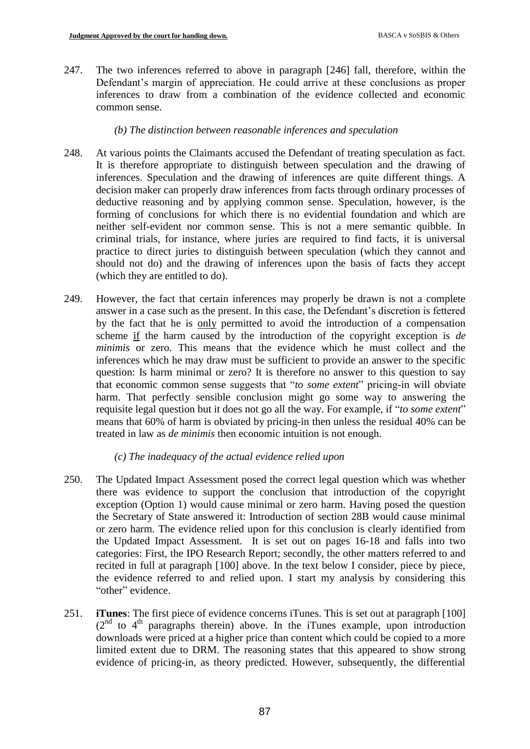247. The two inferences referred to above in paragraph [246] fall, therefore, within the Defendant's margin of appreciation. He could arrive at these conclusions as proper inferences to draw from a combination of the evidence collected and economic common sense.

## *(b) The distinction between reasonable inferences and speculation*

- 248. At various points the Claimants accused the Defendant of treating speculation as fact. It is therefore appropriate to distinguish between speculation and the drawing of inferences. Speculation and the drawing of inferences are quite different things. A decision maker can properly draw inferences from facts through ordinary processes of deductive reasoning and by applying common sense. Speculation, however, is the forming of conclusions for which there is no evidential foundation and which are neither self-evident nor common sense. This is not a mere semantic quibble. In criminal trials, for instance, where juries are required to find facts, it is universal practice to direct juries to distinguish between speculation (which they cannot and should not do) and the drawing of inferences upon the basis of facts they accept (which they are entitled to do).
- 249. However, the fact that certain inferences may properly be drawn is not a complete answer in a case such as the present. In this case, the Defendant's discretion is fettered by the fact that he is only permitted to avoid the introduction of a compensation scheme if the harm caused by the introduction of the copyright exception is *de minimis* or zero. This means that the evidence which he must collect and the inferences which he may draw must be sufficient to provide an answer to the specific question: Is harm minimal or zero? It is therefore no answer to this question to say that economic common sense suggests that "*to some extent*" pricing-in will obviate harm. That perfectly sensible conclusion might go some way to answering the requisite legal question but it does not go all the way. For example, if "*to some extent*" means that 60% of harm is obviated by pricing-in then unless the residual 40% can be treated in law as *de minimis* then economic intuition is not enough.

# *(c) The inadequacy of the actual evidence relied upon*

- 250. The Updated Impact Assessment posed the correct legal question which was whether there was evidence to support the conclusion that introduction of the copyright exception (Option 1) would cause minimal or zero harm. Having posed the question the Secretary of State answered it: Introduction of section 28B would cause minimal or zero harm. The evidence relied upon for this conclusion is clearly identified from the Updated Impact Assessment. It is set out on pages 16-18 and falls into two categories: First, the IPO Research Report; secondly, the other matters referred to and recited in full at paragraph [100] above. In the text below I consider, piece by piece, the evidence referred to and relied upon. I start my analysis by considering this "other" evidence.
- 251. **iTunes**: The first piece of evidence concerns iTunes. This is set out at paragraph [100]  $(2<sup>nd</sup>$  to  $4<sup>th</sup>$  paragraphs therein) above. In the iTunes example, upon introduction downloads were priced at a higher price than content which could be copied to a more limited extent due to DRM. The reasoning states that this appeared to show strong evidence of pricing-in, as theory predicted. However, subsequently, the differential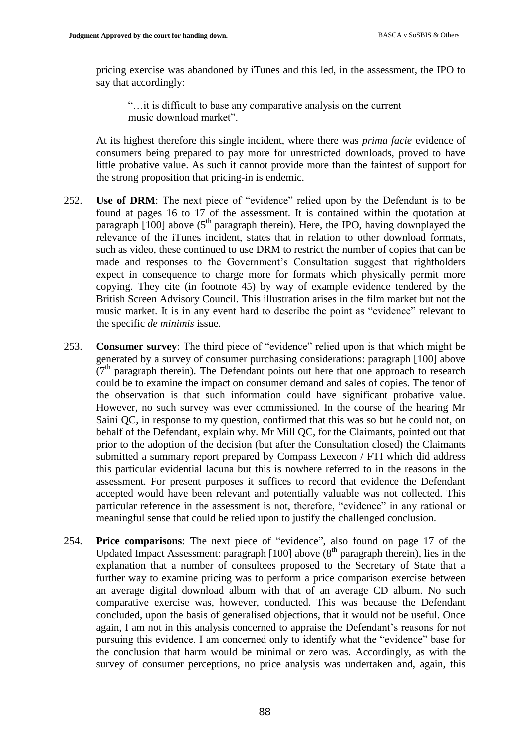pricing exercise was abandoned by iTunes and this led, in the assessment, the IPO to say that accordingly:

"…it is difficult to base any comparative analysis on the current music download market".

At its highest therefore this single incident, where there was *prima facie* evidence of consumers being prepared to pay more for unrestricted downloads, proved to have little probative value. As such it cannot provide more than the faintest of support for the strong proposition that pricing-in is endemic.

- 252. **Use of DRM**: The next piece of "evidence" relied upon by the Defendant is to be found at pages 16 to 17 of the assessment. It is contained within the quotation at paragraph  $[100]$  above (5<sup>th</sup> paragraph therein). Here, the IPO, having downplayed the relevance of the iTunes incident, states that in relation to other download formats, such as video, these continued to use DRM to restrict the number of copies that can be made and responses to the Government's Consultation suggest that rightholders expect in consequence to charge more for formats which physically permit more copying. They cite (in footnote 45) by way of example evidence tendered by the British Screen Advisory Council. This illustration arises in the film market but not the music market. It is in any event hard to describe the point as "evidence" relevant to the specific *de minimis* issue.
- 253. **Consumer survey**: The third piece of "evidence" relied upon is that which might be generated by a survey of consumer purchasing considerations: paragraph [100] above (7<sup>th</sup> paragraph therein). The Defendant points out here that one approach to research could be to examine the impact on consumer demand and sales of copies. The tenor of the observation is that such information could have significant probative value. However, no such survey was ever commissioned. In the course of the hearing Mr Saini QC, in response to my question, confirmed that this was so but he could not, on behalf of the Defendant, explain why. Mr Mill QC, for the Claimants, pointed out that prior to the adoption of the decision (but after the Consultation closed) the Claimants submitted a summary report prepared by Compass Lexecon / FTI which did address this particular evidential lacuna but this is nowhere referred to in the reasons in the assessment. For present purposes it suffices to record that evidence the Defendant accepted would have been relevant and potentially valuable was not collected. This particular reference in the assessment is not, therefore, "evidence" in any rational or meaningful sense that could be relied upon to justify the challenged conclusion.
- 254. **Price comparisons**: The next piece of "evidence", also found on page 17 of the Updated Impact Assessment: paragraph  $[100]$  above  $(8<sup>th</sup>$  paragraph therein), lies in the explanation that a number of consultees proposed to the Secretary of State that a further way to examine pricing was to perform a price comparison exercise between an average digital download album with that of an average CD album. No such comparative exercise was, however, conducted. This was because the Defendant concluded, upon the basis of generalised objections, that it would not be useful. Once again, I am not in this analysis concerned to appraise the Defendant's reasons for not pursuing this evidence. I am concerned only to identify what the "evidence" base for the conclusion that harm would be minimal or zero was. Accordingly, as with the survey of consumer perceptions, no price analysis was undertaken and, again, this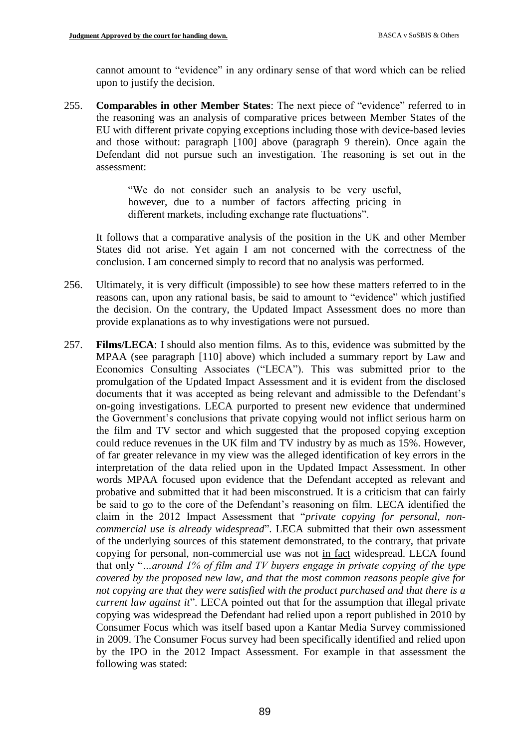cannot amount to "evidence" in any ordinary sense of that word which can be relied upon to justify the decision.

255. **Comparables in other Member States**: The next piece of "evidence" referred to in the reasoning was an analysis of comparative prices between Member States of the EU with different private copying exceptions including those with device-based levies and those without: paragraph [100] above (paragraph 9 therein). Once again the Defendant did not pursue such an investigation. The reasoning is set out in the assessment:

> "We do not consider such an analysis to be very useful, however, due to a number of factors affecting pricing in different markets, including exchange rate fluctuations".

It follows that a comparative analysis of the position in the UK and other Member States did not arise. Yet again I am not concerned with the correctness of the conclusion. I am concerned simply to record that no analysis was performed.

- 256. Ultimately, it is very difficult (impossible) to see how these matters referred to in the reasons can, upon any rational basis, be said to amount to "evidence" which justified the decision. On the contrary, the Updated Impact Assessment does no more than provide explanations as to why investigations were not pursued.
- 257. **Films/LECA**: I should also mention films. As to this, evidence was submitted by the MPAA (see paragraph [110] above) which included a summary report by Law and Economics Consulting Associates ("LECA"). This was submitted prior to the promulgation of the Updated Impact Assessment and it is evident from the disclosed documents that it was accepted as being relevant and admissible to the Defendant's on-going investigations. LECA purported to present new evidence that undermined the Government's conclusions that private copying would not inflict serious harm on the film and TV sector and which suggested that the proposed copying exception could reduce revenues in the UK film and TV industry by as much as 15%. However, of far greater relevance in my view was the alleged identification of key errors in the interpretation of the data relied upon in the Updated Impact Assessment. In other words MPAA focused upon evidence that the Defendant accepted as relevant and probative and submitted that it had been misconstrued. It is a criticism that can fairly be said to go to the core of the Defendant's reasoning on film. LECA identified the claim in the 2012 Impact Assessment that "*private copying for personal, noncommercial use is already widespread*". LECA submitted that their own assessment of the underlying sources of this statement demonstrated, to the contrary, that private copying for personal, non-commercial use was not in fact widespread. LECA found that only "*…around 1% of film and TV buyers engage in private copying of the type covered by the proposed new law, and that the most common reasons people give for not copying are that they were satisfied with the product purchased and that there is a current law against it*". LECA pointed out that for the assumption that illegal private copying was widespread the Defendant had relied upon a report published in 2010 by Consumer Focus which was itself based upon a Kantar Media Survey commissioned in 2009. The Consumer Focus survey had been specifically identified and relied upon by the IPO in the 2012 Impact Assessment. For example in that assessment the following was stated: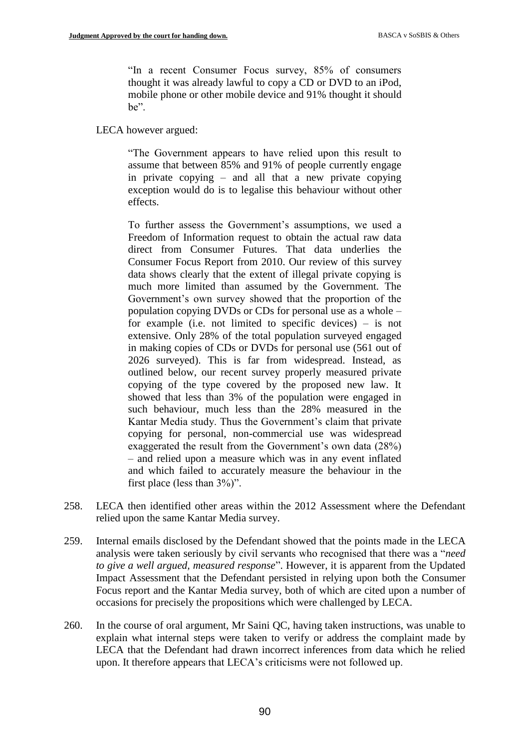"In a recent Consumer Focus survey, 85% of consumers thought it was already lawful to copy a CD or DVD to an iPod, mobile phone or other mobile device and 91% thought it should be".

## LECA however argued:

"The Government appears to have relied upon this result to assume that between 85% and 91% of people currently engage in private copying – and all that a new private copying exception would do is to legalise this behaviour without other effects.

To further assess the Government's assumptions, we used a Freedom of Information request to obtain the actual raw data direct from Consumer Futures. That data underlies the Consumer Focus Report from 2010. Our review of this survey data shows clearly that the extent of illegal private copying is much more limited than assumed by the Government. The Government's own survey showed that the proportion of the population copying DVDs or CDs for personal use as a whole – for example (i.e. not limited to specific devices) – is not extensive. Only 28% of the total population surveyed engaged in making copies of CDs or DVDs for personal use (561 out of 2026 surveyed). This is far from widespread. Instead, as outlined below, our recent survey properly measured private copying of the type covered by the proposed new law. It showed that less than 3% of the population were engaged in such behaviour, much less than the 28% measured in the Kantar Media study. Thus the Government's claim that private copying for personal, non-commercial use was widespread exaggerated the result from the Government's own data (28%) – and relied upon a measure which was in any event inflated and which failed to accurately measure the behaviour in the first place (less than 3%)".

- 258. LECA then identified other areas within the 2012 Assessment where the Defendant relied upon the same Kantar Media survey.
- 259. Internal emails disclosed by the Defendant showed that the points made in the LECA analysis were taken seriously by civil servants who recognised that there was a "*need to give a well argued, measured response*". However, it is apparent from the Updated Impact Assessment that the Defendant persisted in relying upon both the Consumer Focus report and the Kantar Media survey, both of which are cited upon a number of occasions for precisely the propositions which were challenged by LECA.
- 260. In the course of oral argument, Mr Saini QC, having taken instructions, was unable to explain what internal steps were taken to verify or address the complaint made by LECA that the Defendant had drawn incorrect inferences from data which he relied upon. It therefore appears that LECA's criticisms were not followed up.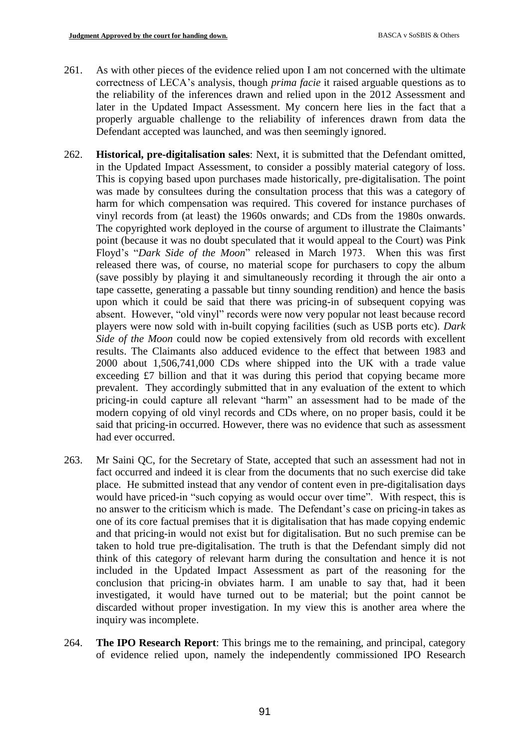- 261. As with other pieces of the evidence relied upon I am not concerned with the ultimate correctness of LECA's analysis, though *prima facie* it raised arguable questions as to the reliability of the inferences drawn and relied upon in the 2012 Assessment and later in the Updated Impact Assessment. My concern here lies in the fact that a properly arguable challenge to the reliability of inferences drawn from data the Defendant accepted was launched, and was then seemingly ignored.
- 262. **Historical, pre-digitalisation sales**: Next, it is submitted that the Defendant omitted, in the Updated Impact Assessment, to consider a possibly material category of loss. This is copying based upon purchases made historically, pre-digitalisation. The point was made by consultees during the consultation process that this was a category of harm for which compensation was required. This covered for instance purchases of vinyl records from (at least) the 1960s onwards; and CDs from the 1980s onwards. The copyrighted work deployed in the course of argument to illustrate the Claimants' point (because it was no doubt speculated that it would appeal to the Court) was Pink Floyd's "*Dark Side of the Moon*" released in March 1973. When this was first released there was, of course, no material scope for purchasers to copy the album (save possibly by playing it and simultaneously recording it through the air onto a tape cassette, generating a passable but tinny sounding rendition) and hence the basis upon which it could be said that there was pricing-in of subsequent copying was absent. However, "old vinyl" records were now very popular not least because record players were now sold with in-built copying facilities (such as USB ports etc). *Dark Side of the Moon* could now be copied extensively from old records with excellent results. The Claimants also adduced evidence to the effect that between 1983 and 2000 about 1,506,741,000 CDs where shipped into the UK with a trade value exceeding £7 billion and that it was during this period that copying became more prevalent. They accordingly submitted that in any evaluation of the extent to which pricing-in could capture all relevant "harm" an assessment had to be made of the modern copying of old vinyl records and CDs where, on no proper basis, could it be said that pricing-in occurred. However, there was no evidence that such as assessment had ever occurred.
- 263. Mr Saini QC, for the Secretary of State, accepted that such an assessment had not in fact occurred and indeed it is clear from the documents that no such exercise did take place. He submitted instead that any vendor of content even in pre-digitalisation days would have priced-in "such copying as would occur over time". With respect, this is no answer to the criticism which is made. The Defendant's case on pricing-in takes as one of its core factual premises that it is digitalisation that has made copying endemic and that pricing-in would not exist but for digitalisation. But no such premise can be taken to hold true pre-digitalisation. The truth is that the Defendant simply did not think of this category of relevant harm during the consultation and hence it is not included in the Updated Impact Assessment as part of the reasoning for the conclusion that pricing-in obviates harm. I am unable to say that, had it been investigated, it would have turned out to be material; but the point cannot be discarded without proper investigation. In my view this is another area where the inquiry was incomplete.
- 264. **The IPO Research Report**: This brings me to the remaining, and principal, category of evidence relied upon, namely the independently commissioned IPO Research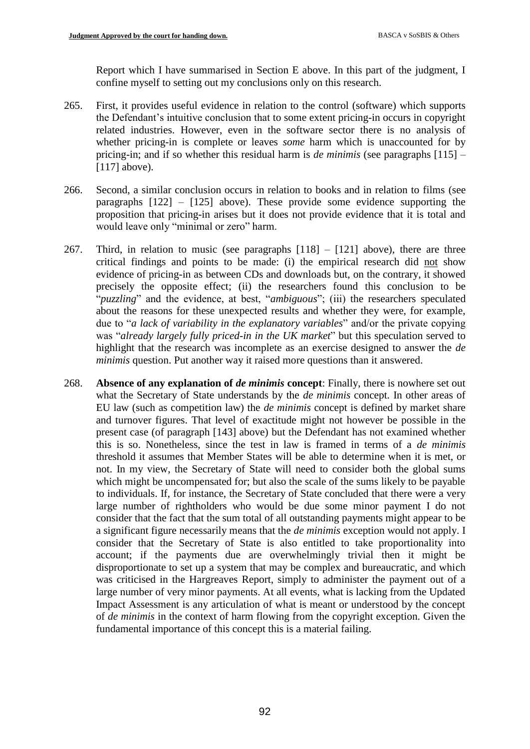Report which I have summarised in Section E above. In this part of the judgment, I confine myself to setting out my conclusions only on this research.

- 265. First, it provides useful evidence in relation to the control (software) which supports the Defendant's intuitive conclusion that to some extent pricing-in occurs in copyright related industries. However, even in the software sector there is no analysis of whether pricing-in is complete or leaves *some* harm which is unaccounted for by pricing-in; and if so whether this residual harm is *de minimis* (see paragraphs [115] – [117] above).
- 266. Second, a similar conclusion occurs in relation to books and in relation to films (see paragraphs [122] – [125] above). These provide some evidence supporting the proposition that pricing-in arises but it does not provide evidence that it is total and would leave only "minimal or zero" harm.
- 267. Third, in relation to music (see paragraphs  $[118] [121]$  above), there are three critical findings and points to be made: (i) the empirical research did not show evidence of pricing-in as between CDs and downloads but, on the contrary, it showed precisely the opposite effect; (ii) the researchers found this conclusion to be "*puzzling*" and the evidence, at best, "*ambiguous*"; (iii) the researchers speculated about the reasons for these unexpected results and whether they were, for example, due to "*a lack of variability in the explanatory variables*" and/or the private copying was "*already largely fully priced-in in the UK market*" but this speculation served to highlight that the research was incomplete as an exercise designed to answer the *de minimis* question. Put another way it raised more questions than it answered.
- 268. **Absence of any explanation of** *de minimis* **concept**: Finally, there is nowhere set out what the Secretary of State understands by the *de minimis* concept. In other areas of EU law (such as competition law) the *de minimis* concept is defined by market share and turnover figures. That level of exactitude might not however be possible in the present case (of paragraph [143] above) but the Defendant has not examined whether this is so. Nonetheless, since the test in law is framed in terms of a *de minimis* threshold it assumes that Member States will be able to determine when it is met, or not. In my view, the Secretary of State will need to consider both the global sums which might be uncompensated for; but also the scale of the sums likely to be payable to individuals. If, for instance, the Secretary of State concluded that there were a very large number of rightholders who would be due some minor payment I do not consider that the fact that the sum total of all outstanding payments might appear to be a significant figure necessarily means that the *de minimis* exception would not apply. I consider that the Secretary of State is also entitled to take proportionality into account; if the payments due are overwhelmingly trivial then it might be disproportionate to set up a system that may be complex and bureaucratic, and which was criticised in the Hargreaves Report, simply to administer the payment out of a large number of very minor payments. At all events, what is lacking from the Updated Impact Assessment is any articulation of what is meant or understood by the concept of *de minimis* in the context of harm flowing from the copyright exception. Given the fundamental importance of this concept this is a material failing.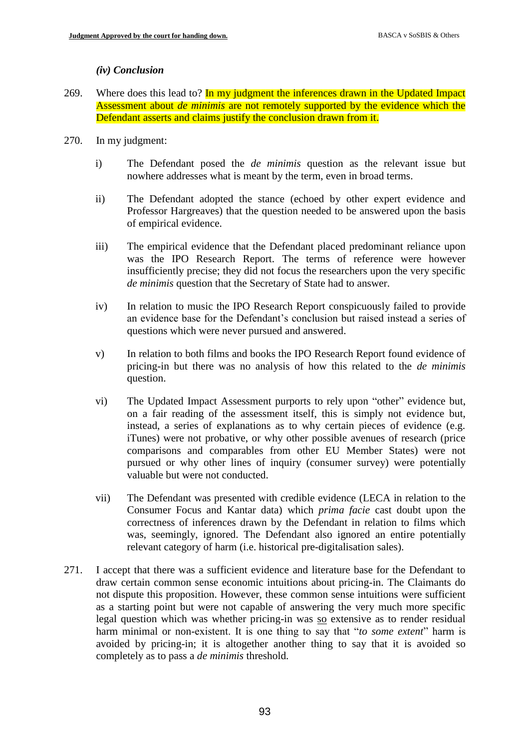### *(iv) Conclusion*

- 269. Where does this lead to? In my judgment the inferences drawn in the Updated Impact Assessment about *de minimis* are not remotely supported by the evidence which the Defendant asserts and claims justify the conclusion drawn from it.
- 270. In my judgment:
	- i) The Defendant posed the *de minimis* question as the relevant issue but nowhere addresses what is meant by the term, even in broad terms.
	- ii) The Defendant adopted the stance (echoed by other expert evidence and Professor Hargreaves) that the question needed to be answered upon the basis of empirical evidence.
	- iii) The empirical evidence that the Defendant placed predominant reliance upon was the IPO Research Report. The terms of reference were however insufficiently precise; they did not focus the researchers upon the very specific *de minimis* question that the Secretary of State had to answer.
	- iv) In relation to music the IPO Research Report conspicuously failed to provide an evidence base for the Defendant's conclusion but raised instead a series of questions which were never pursued and answered.
	- v) In relation to both films and books the IPO Research Report found evidence of pricing-in but there was no analysis of how this related to the *de minimis* question.
	- vi) The Updated Impact Assessment purports to rely upon "other" evidence but, on a fair reading of the assessment itself, this is simply not evidence but, instead, a series of explanations as to why certain pieces of evidence (e.g. iTunes) were not probative, or why other possible avenues of research (price comparisons and comparables from other EU Member States) were not pursued or why other lines of inquiry (consumer survey) were potentially valuable but were not conducted.
	- vii) The Defendant was presented with credible evidence (LECA in relation to the Consumer Focus and Kantar data) which *prima facie* cast doubt upon the correctness of inferences drawn by the Defendant in relation to films which was, seemingly, ignored. The Defendant also ignored an entire potentially relevant category of harm (i.e. historical pre-digitalisation sales).
- 271. I accept that there was a sufficient evidence and literature base for the Defendant to draw certain common sense economic intuitions about pricing-in. The Claimants do not dispute this proposition. However, these common sense intuitions were sufficient as a starting point but were not capable of answering the very much more specific legal question which was whether pricing-in was so extensive as to render residual harm minimal or non-existent. It is one thing to say that "*to some extent*" harm is avoided by pricing-in; it is altogether another thing to say that it is avoided so completely as to pass a *de minimis* threshold.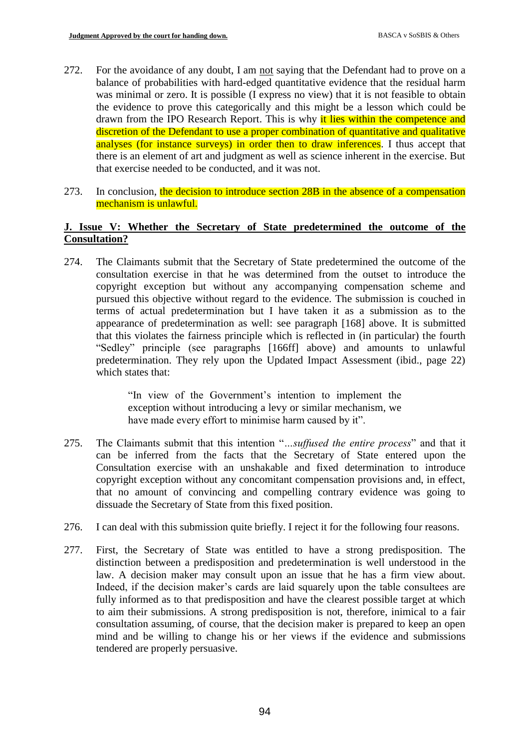- 272. For the avoidance of any doubt, I am not saying that the Defendant had to prove on a balance of probabilities with hard-edged quantitative evidence that the residual harm was minimal or zero. It is possible (I express no view) that it is not feasible to obtain the evidence to prove this categorically and this might be a lesson which could be drawn from the IPO Research Report. This is why it lies within the competence and discretion of the Defendant to use a proper combination of quantitative and qualitative analyses (for instance surveys) in order then to draw inferences. I thus accept that there is an element of art and judgment as well as science inherent in the exercise. But that exercise needed to be conducted, and it was not.
- 273. In conclusion, the decision to introduce section 28B in the absence of a compensation mechanism is unlawful.

# **J. Issue V: Whether the Secretary of State predetermined the outcome of the Consultation?**

274. The Claimants submit that the Secretary of State predetermined the outcome of the consultation exercise in that he was determined from the outset to introduce the copyright exception but without any accompanying compensation scheme and pursued this objective without regard to the evidence. The submission is couched in terms of actual predetermination but I have taken it as a submission as to the appearance of predetermination as well: see paragraph [168] above. It is submitted that this violates the fairness principle which is reflected in (in particular) the fourth "Sedley" principle (see paragraphs [166ff] above) and amounts to unlawful predetermination. They rely upon the Updated Impact Assessment (ibid., page 22) which states that:

> "In view of the Government's intention to implement the exception without introducing a levy or similar mechanism, we have made every effort to minimise harm caused by it".

- 275. The Claimants submit that this intention "*…suffused the entire process*" and that it can be inferred from the facts that the Secretary of State entered upon the Consultation exercise with an unshakable and fixed determination to introduce copyright exception without any concomitant compensation provisions and, in effect, that no amount of convincing and compelling contrary evidence was going to dissuade the Secretary of State from this fixed position.
- 276. I can deal with this submission quite briefly. I reject it for the following four reasons.
- 277. First, the Secretary of State was entitled to have a strong predisposition. The distinction between a predisposition and predetermination is well understood in the law. A decision maker may consult upon an issue that he has a firm view about. Indeed, if the decision maker's cards are laid squarely upon the table consultees are fully informed as to that predisposition and have the clearest possible target at which to aim their submissions. A strong predisposition is not, therefore, inimical to a fair consultation assuming, of course, that the decision maker is prepared to keep an open mind and be willing to change his or her views if the evidence and submissions tendered are properly persuasive.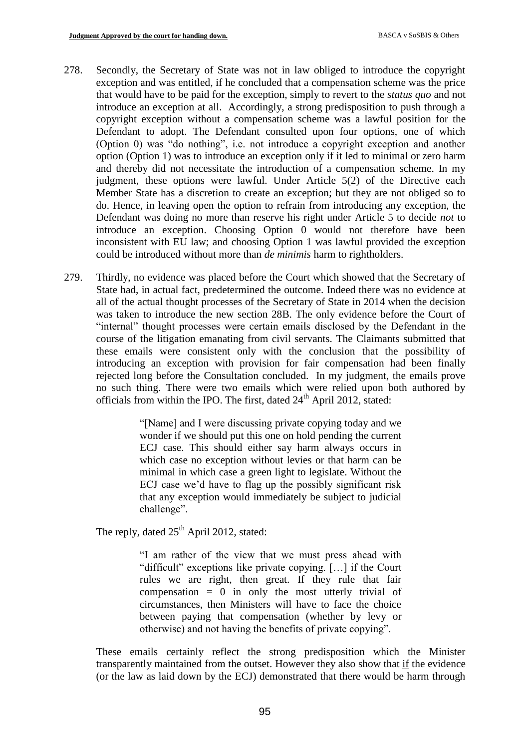- 278. Secondly, the Secretary of State was not in law obliged to introduce the copyright exception and was entitled, if he concluded that a compensation scheme was the price that would have to be paid for the exception, simply to revert to the *status quo* and not introduce an exception at all. Accordingly, a strong predisposition to push through a copyright exception without a compensation scheme was a lawful position for the Defendant to adopt. The Defendant consulted upon four options, one of which (Option 0) was "do nothing", i.e. not introduce a copyright exception and another option (Option 1) was to introduce an exception only if it led to minimal or zero harm and thereby did not necessitate the introduction of a compensation scheme. In my judgment, these options were lawful. Under Article 5(2) of the Directive each Member State has a discretion to create an exception; but they are not obliged so to do. Hence, in leaving open the option to refrain from introducing any exception, the Defendant was doing no more than reserve his right under Article 5 to decide *not* to introduce an exception. Choosing Option 0 would not therefore have been inconsistent with EU law; and choosing Option 1 was lawful provided the exception could be introduced without more than *de minimis* harm to rightholders.
- 279. Thirdly, no evidence was placed before the Court which showed that the Secretary of State had, in actual fact, predetermined the outcome. Indeed there was no evidence at all of the actual thought processes of the Secretary of State in 2014 when the decision was taken to introduce the new section 28B. The only evidence before the Court of "internal" thought processes were certain emails disclosed by the Defendant in the course of the litigation emanating from civil servants. The Claimants submitted that these emails were consistent only with the conclusion that the possibility of introducing an exception with provision for fair compensation had been finally rejected long before the Consultation concluded. In my judgment, the emails prove no such thing. There were two emails which were relied upon both authored by officials from within the IPO. The first, dated  $24<sup>th</sup>$  April 2012, stated:

"[Name] and I were discussing private copying today and we wonder if we should put this one on hold pending the current ECJ case. This should either say harm always occurs in which case no exception without levies or that harm can be minimal in which case a green light to legislate. Without the ECJ case we'd have to flag up the possibly significant risk that any exception would immediately be subject to judicial challenge".

The reply, dated  $25<sup>th</sup>$  April 2012, stated:

"I am rather of the view that we must press ahead with "difficult" exceptions like private copying. […] if the Court rules we are right, then great. If they rule that fair compensation  $= 0$  in only the most utterly trivial of circumstances, then Ministers will have to face the choice between paying that compensation (whether by levy or otherwise) and not having the benefits of private copying".

These emails certainly reflect the strong predisposition which the Minister transparently maintained from the outset. However they also show that if the evidence (or the law as laid down by the ECJ) demonstrated that there would be harm through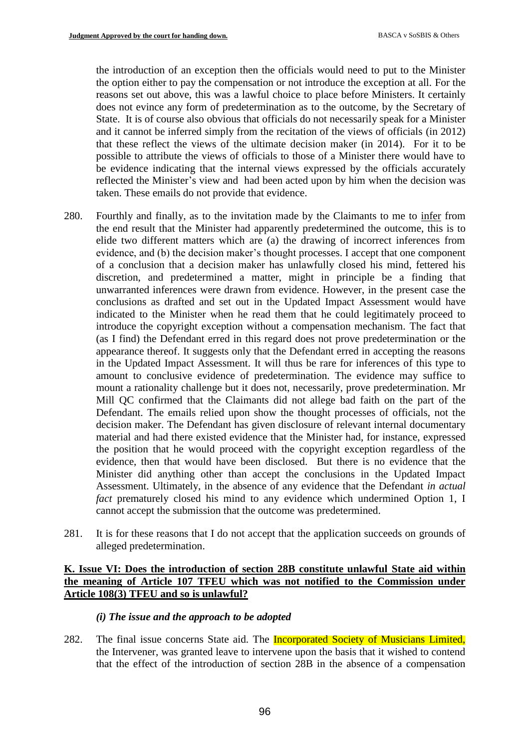the introduction of an exception then the officials would need to put to the Minister the option either to pay the compensation or not introduce the exception at all. For the reasons set out above, this was a lawful choice to place before Ministers. It certainly does not evince any form of predetermination as to the outcome, by the Secretary of State. It is of course also obvious that officials do not necessarily speak for a Minister and it cannot be inferred simply from the recitation of the views of officials (in 2012) that these reflect the views of the ultimate decision maker (in 2014). For it to be possible to attribute the views of officials to those of a Minister there would have to be evidence indicating that the internal views expressed by the officials accurately reflected the Minister's view and had been acted upon by him when the decision was taken. These emails do not provide that evidence.

- 280. Fourthly and finally, as to the invitation made by the Claimants to me to infer from the end result that the Minister had apparently predetermined the outcome, this is to elide two different matters which are (a) the drawing of incorrect inferences from evidence, and (b) the decision maker's thought processes. I accept that one component of a conclusion that a decision maker has unlawfully closed his mind, fettered his discretion, and predetermined a matter, might in principle be a finding that unwarranted inferences were drawn from evidence. However, in the present case the conclusions as drafted and set out in the Updated Impact Assessment would have indicated to the Minister when he read them that he could legitimately proceed to introduce the copyright exception without a compensation mechanism. The fact that (as I find) the Defendant erred in this regard does not prove predetermination or the appearance thereof. It suggests only that the Defendant erred in accepting the reasons in the Updated Impact Assessment. It will thus be rare for inferences of this type to amount to conclusive evidence of predetermination. The evidence may suffice to mount a rationality challenge but it does not, necessarily, prove predetermination. Mr Mill QC confirmed that the Claimants did not allege bad faith on the part of the Defendant. The emails relied upon show the thought processes of officials, not the decision maker. The Defendant has given disclosure of relevant internal documentary material and had there existed evidence that the Minister had, for instance, expressed the position that he would proceed with the copyright exception regardless of the evidence, then that would have been disclosed. But there is no evidence that the Minister did anything other than accept the conclusions in the Updated Impact Assessment. Ultimately, in the absence of any evidence that the Defendant *in actual fact* prematurely closed his mind to any evidence which undermined Option 1, I cannot accept the submission that the outcome was predetermined.
- 281. It is for these reasons that I do not accept that the application succeeds on grounds of alleged predetermination.

### **K. Issue VI: Does the introduction of section 28B constitute unlawful State aid within the meaning of Article 107 TFEU which was not notified to the Commission under Article 108(3) TFEU and so is unlawful?**

### *(i) The issue and the approach to be adopted*

282. The final issue concerns State aid. The **Incorporated Society of Musicians Limited**, the Intervener, was granted leave to intervene upon the basis that it wished to contend that the effect of the introduction of section 28B in the absence of a compensation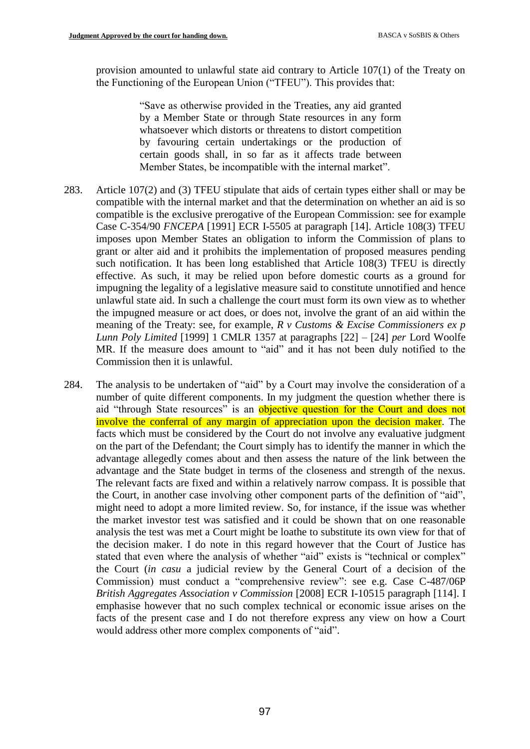provision amounted to unlawful state aid contrary to Article 107(1) of the Treaty on the Functioning of the European Union ("TFEU"). This provides that:

> "Save as otherwise provided in the Treaties, any aid granted by a Member State or through State resources in any form whatsoever which distorts or threatens to distort competition by favouring certain undertakings or the production of certain goods shall, in so far as it affects trade between Member States, be incompatible with the internal market".

- 283. Article 107(2) and (3) TFEU stipulate that aids of certain types either shall or may be compatible with the internal market and that the determination on whether an aid is so compatible is the exclusive prerogative of the European Commission: see for example Case C-354/90 *FNCEPA* [1991] ECR I-5505 at paragraph [14]. Article 108(3) TFEU imposes upon Member States an obligation to inform the Commission of plans to grant or alter aid and it prohibits the implementation of proposed measures pending such notification. It has been long established that Article 108(3) TFEU is directly effective. As such, it may be relied upon before domestic courts as a ground for impugning the legality of a legislative measure said to constitute unnotified and hence unlawful state aid. In such a challenge the court must form its own view as to whether the impugned measure or act does, or does not, involve the grant of an aid within the meaning of the Treaty: see, for example, *R v Customs & Excise Commissioners ex p Lunn Poly Limited* [1999] 1 CMLR 1357 at paragraphs [22] – [24] *per* Lord Woolfe MR. If the measure does amount to "aid" and it has not been duly notified to the Commission then it is unlawful.
- 284. The analysis to be undertaken of "aid" by a Court may involve the consideration of a number of quite different components. In my judgment the question whether there is aid "through State resources" is an objective question for the Court and does not involve the conferral of any margin of appreciation upon the decision maker. The facts which must be considered by the Court do not involve any evaluative judgment on the part of the Defendant; the Court simply has to identify the manner in which the advantage allegedly comes about and then assess the nature of the link between the advantage and the State budget in terms of the closeness and strength of the nexus. The relevant facts are fixed and within a relatively narrow compass. It is possible that the Court, in another case involving other component parts of the definition of "aid", might need to adopt a more limited review. So, for instance, if the issue was whether the market investor test was satisfied and it could be shown that on one reasonable analysis the test was met a Court might be loathe to substitute its own view for that of the decision maker. I do note in this regard however that the Court of Justice has stated that even where the analysis of whether "aid" exists is "technical or complex" the Court (*in casu* a judicial review by the General Court of a decision of the Commission) must conduct a "comprehensive review": see e.g. Case C-487/06P *British Aggregates Association v Commission* [2008] ECR I-10515 paragraph [114]. I emphasise however that no such complex technical or economic issue arises on the facts of the present case and I do not therefore express any view on how a Court would address other more complex components of "aid".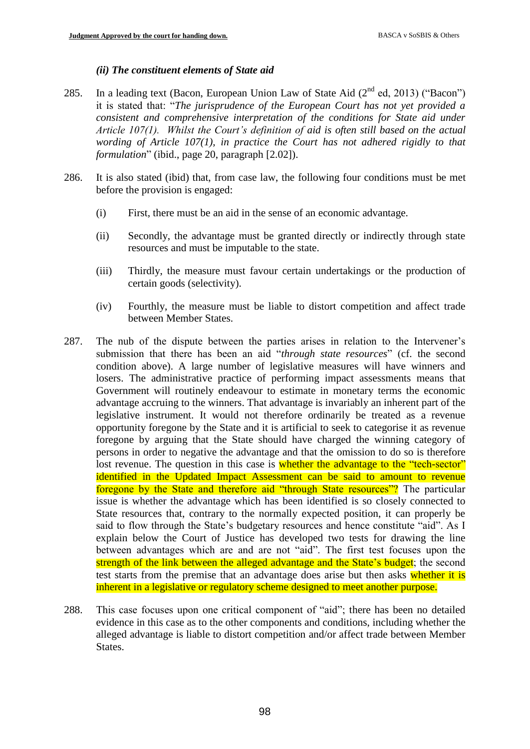## *(ii) The constituent elements of State aid*

- 285. In a leading text (Bacon, European Union Law of State Aid  $(2^{nd}$  ed, 2013) ("Bacon") it is stated that: "*The jurisprudence of the European Court has not yet provided a consistent and comprehensive interpretation of the conditions for State aid under Article 107(1). Whilst the Court's definition of aid is often still based on the actual wording of Article 107(1), in practice the Court has not adhered rigidly to that formulation*" (ibid., page 20, paragraph [2.02]).
- 286. It is also stated (ibid) that, from case law, the following four conditions must be met before the provision is engaged:
	- (i) First, there must be an aid in the sense of an economic advantage.
	- (ii) Secondly, the advantage must be granted directly or indirectly through state resources and must be imputable to the state.
	- (iii) Thirdly, the measure must favour certain undertakings or the production of certain goods (selectivity).
	- (iv) Fourthly, the measure must be liable to distort competition and affect trade between Member States.
- 287. The nub of the dispute between the parties arises in relation to the Intervener's submission that there has been an aid "*through state resources*" (cf. the second condition above). A large number of legislative measures will have winners and losers. The administrative practice of performing impact assessments means that Government will routinely endeavour to estimate in monetary terms the economic advantage accruing to the winners. That advantage is invariably an inherent part of the legislative instrument. It would not therefore ordinarily be treated as a revenue opportunity foregone by the State and it is artificial to seek to categorise it as revenue foregone by arguing that the State should have charged the winning category of persons in order to negative the advantage and that the omission to do so is therefore lost revenue. The question in this case is whether the advantage to the "tech-sector" identified in the Updated Impact Assessment can be said to amount to revenue foregone by the State and therefore aid "through State resources"? The particular issue is whether the advantage which has been identified is so closely connected to State resources that, contrary to the normally expected position, it can properly be said to flow through the State's budgetary resources and hence constitute "aid". As I explain below the Court of Justice has developed two tests for drawing the line between advantages which are and are not "aid". The first test focuses upon the strength of the link between the alleged advantage and the State's budget; the second test starts from the premise that an advantage does arise but then asks whether it is inherent in a legislative or regulatory scheme designed to meet another purpose.
- 288. This case focuses upon one critical component of "aid"; there has been no detailed evidence in this case as to the other components and conditions, including whether the alleged advantage is liable to distort competition and/or affect trade between Member States.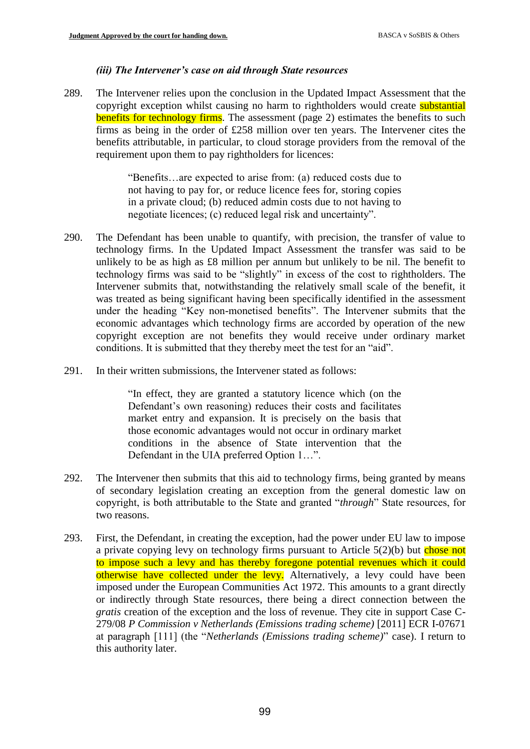## *(iii) The Intervener's case on aid through State resources*

289. The Intervener relies upon the conclusion in the Updated Impact Assessment that the copyright exception whilst causing no harm to rightholders would create **substantial** benefits for technology firms. The assessment (page 2) estimates the benefits to such firms as being in the order of £258 million over ten years. The Intervener cites the benefits attributable, in particular, to cloud storage providers from the removal of the requirement upon them to pay rightholders for licences:

> "Benefits…are expected to arise from: (a) reduced costs due to not having to pay for, or reduce licence fees for, storing copies in a private cloud; (b) reduced admin costs due to not having to negotiate licences; (c) reduced legal risk and uncertainty".

- 290. The Defendant has been unable to quantify, with precision, the transfer of value to technology firms. In the Updated Impact Assessment the transfer was said to be unlikely to be as high as £8 million per annum but unlikely to be nil. The benefit to technology firms was said to be "slightly" in excess of the cost to rightholders. The Intervener submits that, notwithstanding the relatively small scale of the benefit, it was treated as being significant having been specifically identified in the assessment under the heading "Key non-monetised benefits". The Intervener submits that the economic advantages which technology firms are accorded by operation of the new copyright exception are not benefits they would receive under ordinary market conditions. It is submitted that they thereby meet the test for an "aid".
- 291. In their written submissions, the Intervener stated as follows:

"In effect, they are granted a statutory licence which (on the Defendant's own reasoning) reduces their costs and facilitates market entry and expansion. It is precisely on the basis that those economic advantages would not occur in ordinary market conditions in the absence of State intervention that the Defendant in the UIA preferred Option 1…".

- 292. The Intervener then submits that this aid to technology firms, being granted by means of secondary legislation creating an exception from the general domestic law on copyright, is both attributable to the State and granted "*through*" State resources, for two reasons.
- 293. First, the Defendant, in creating the exception, had the power under EU law to impose a private copying levy on technology firms pursuant to Article  $5(2)(b)$  but chose not to impose such a levy and has thereby foregone potential revenues which it could otherwise have collected under the levy. Alternatively, a levy could have been imposed under the European Communities Act 1972. This amounts to a grant directly or indirectly through State resources, there being a direct connection between the *gratis* creation of the exception and the loss of revenue. They cite in support Case C-279/08 *P Commission v Netherlands (Emissions trading scheme)* [2011] ECR I-07671 at paragraph [111] (the "*Netherlands (Emissions trading scheme)*" case). I return to this authority later.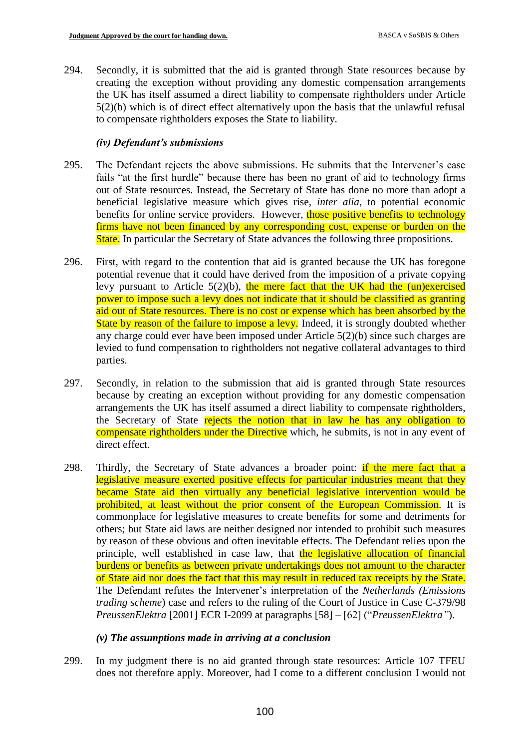294. Secondly, it is submitted that the aid is granted through State resources because by creating the exception without providing any domestic compensation arrangements the UK has itself assumed a direct liability to compensate rightholders under Article 5(2)(b) which is of direct effect alternatively upon the basis that the unlawful refusal to compensate rightholders exposes the State to liability.

## *(iv) Defendant's submissions*

- 295. The Defendant rejects the above submissions. He submits that the Intervener's case fails "at the first hurdle" because there has been no grant of aid to technology firms out of State resources. Instead, the Secretary of State has done no more than adopt a beneficial legislative measure which gives rise, *inter alia*, to potential economic benefits for online service providers. However, those positive benefits to technology firms have not been financed by any corresponding cost, expense or burden on the State. In particular the Secretary of State advances the following three propositions.
- 296. First, with regard to the contention that aid is granted because the UK has foregone potential revenue that it could have derived from the imposition of a private copying levy pursuant to Article  $5(2)(b)$ , the mere fact that the UK had the (un)exercised power to impose such a levy does not indicate that it should be classified as granting aid out of State resources. There is no cost or expense which has been absorbed by the State by reason of the failure to impose a levy. Indeed, it is strongly doubted whether any charge could ever have been imposed under Article 5(2)(b) since such charges are levied to fund compensation to rightholders not negative collateral advantages to third parties.
- 297. Secondly, in relation to the submission that aid is granted through State resources because by creating an exception without providing for any domestic compensation arrangements the UK has itself assumed a direct liability to compensate rightholders, the Secretary of State rejects the notion that in law he has any obligation to compensate rightholders under the Directive which, he submits, is not in any event of direct effect.
- 298. Thirdly, the Secretary of State advances a broader point: if the mere fact that a legislative measure exerted positive effects for particular industries meant that they became State aid then virtually any beneficial legislative intervention would be prohibited, at least without the prior consent of the European Commission. It is commonplace for legislative measures to create benefits for some and detriments for others; but State aid laws are neither designed nor intended to prohibit such measures by reason of these obvious and often inevitable effects. The Defendant relies upon the principle, well established in case law, that the legislative allocation of financial burdens or benefits as between private undertakings does not amount to the character of State aid nor does the fact that this may result in reduced tax receipts by the State. The Defendant refutes the Intervener's interpretation of the *Netherlands (Emissions trading scheme*) case and refers to the ruling of the Court of Justice in Case C-379/98 *PreussenElektra* [2001] ECR I-2099 at paragraphs [58] – [62] ("*PreussenElektra"*).

# *(v) The assumptions made in arriving at a conclusion*

299. In my judgment there is no aid granted through state resources: Article 107 TFEU does not therefore apply. Moreover, had I come to a different conclusion I would not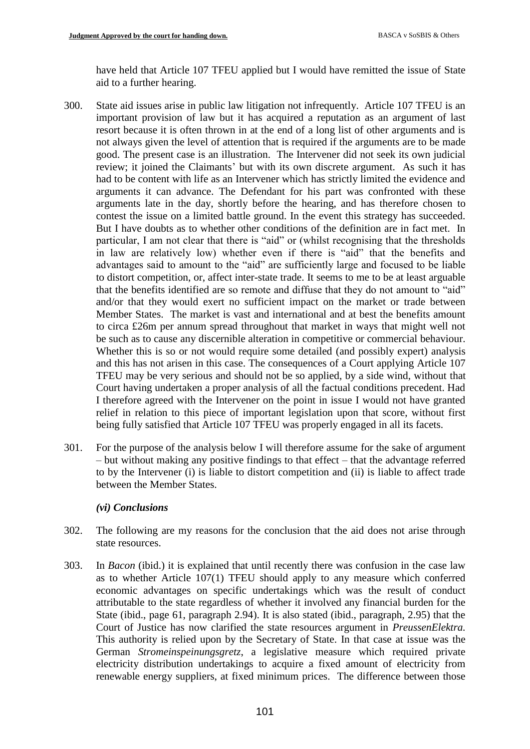have held that Article 107 TFEU applied but I would have remitted the issue of State aid to a further hearing.

- 300. State aid issues arise in public law litigation not infrequently. Article 107 TFEU is an important provision of law but it has acquired a reputation as an argument of last resort because it is often thrown in at the end of a long list of other arguments and is not always given the level of attention that is required if the arguments are to be made good. The present case is an illustration. The Intervener did not seek its own judicial review; it joined the Claimants' but with its own discrete argument. As such it has had to be content with life as an Intervener which has strictly limited the evidence and arguments it can advance. The Defendant for his part was confronted with these arguments late in the day, shortly before the hearing, and has therefore chosen to contest the issue on a limited battle ground. In the event this strategy has succeeded. But I have doubts as to whether other conditions of the definition are in fact met. In particular, I am not clear that there is "aid" or (whilst recognising that the thresholds in law are relatively low) whether even if there is "aid" that the benefits and advantages said to amount to the "aid" are sufficiently large and focused to be liable to distort competition, or, affect inter-state trade. It seems to me to be at least arguable that the benefits identified are so remote and diffuse that they do not amount to "aid" and/or that they would exert no sufficient impact on the market or trade between Member States. The market is vast and international and at best the benefits amount to circa £26m per annum spread throughout that market in ways that might well not be such as to cause any discernible alteration in competitive or commercial behaviour. Whether this is so or not would require some detailed (and possibly expert) analysis and this has not arisen in this case. The consequences of a Court applying Article 107 TFEU may be very serious and should not be so applied, by a side wind, without that Court having undertaken a proper analysis of all the factual conditions precedent. Had I therefore agreed with the Intervener on the point in issue I would not have granted relief in relation to this piece of important legislation upon that score, without first being fully satisfied that Article 107 TFEU was properly engaged in all its facets.
- 301. For the purpose of the analysis below I will therefore assume for the sake of argument – but without making any positive findings to that effect – that the advantage referred to by the Intervener (i) is liable to distort competition and (ii) is liable to affect trade between the Member States.

# *(vi) Conclusions*

- 302. The following are my reasons for the conclusion that the aid does not arise through state resources.
- 303. In *Bacon* (ibid.) it is explained that until recently there was confusion in the case law as to whether Article 107(1) TFEU should apply to any measure which conferred economic advantages on specific undertakings which was the result of conduct attributable to the state regardless of whether it involved any financial burden for the State (ibid., page 61, paragraph 2.94). It is also stated (ibid., paragraph, 2.95) that the Court of Justice has now clarified the state resources argument in *PreussenElektra.*  This authority is relied upon by the Secretary of State*.* In that case at issue was the German *Stromeinspeinungsgretz*, a legislative measure which required private electricity distribution undertakings to acquire a fixed amount of electricity from renewable energy suppliers, at fixed minimum prices. The difference between those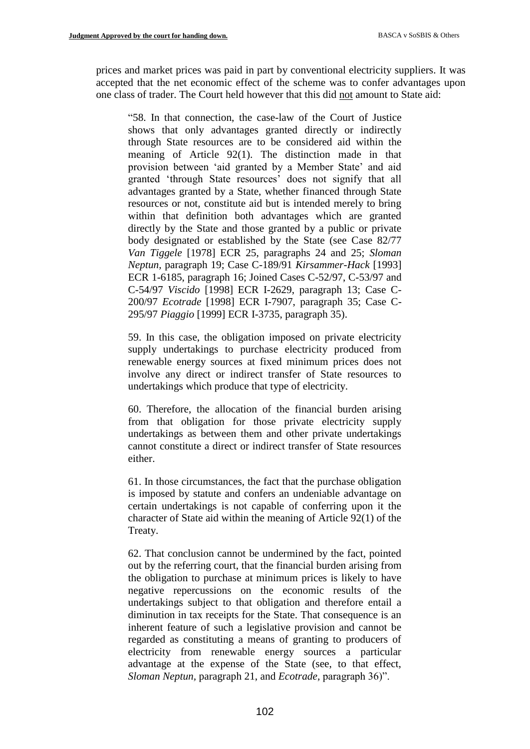prices and market prices was paid in part by conventional electricity suppliers. It was accepted that the net economic effect of the scheme was to confer advantages upon one class of trader. The Court held however that this did not amount to State aid:

"58. In that connection, the case-law of the Court of Justice shows that only advantages granted directly or indirectly through State resources are to be considered aid within the meaning of Article 92(1). The distinction made in that provision between 'aid granted by a Member State' and aid granted 'through State resources' does not signify that all advantages granted by a State, whether financed through State resources or not, constitute aid but is intended merely to bring within that definition both advantages which are granted directly by the State and those granted by a public or private body designated or established by the State (see Case 82/77 *Van Tiggele* [1978] ECR 25, paragraphs 24 and 25; *Sloman Neptun,* paragraph 19; Case C-189/91 *Kirsammer-Hack* [1993] ECR 1-6185, paragraph 16; Joined Cases C-52/97, C-53/97 and C-54/97 *Viscido* [1998] ECR I-2629, paragraph 13; Case C-200/97 *Ecotrade* [1998] ECR I-7907, paragraph 35; Case C-295/97 *Piaggio* [1999] ECR I-3735, paragraph 35).

59. In this case, the obligation imposed on private electricity supply undertakings to purchase electricity produced from renewable energy sources at fixed minimum prices does not involve any direct or indirect transfer of State resources to undertakings which produce that type of electricity.

60. Therefore, the allocation of the financial burden arising from that obligation for those private electricity supply undertakings as between them and other private undertakings cannot constitute a direct or indirect transfer of State resources either.

61. In those circumstances, the fact that the purchase obligation is imposed by statute and confers an undeniable advantage on certain undertakings is not capable of conferring upon it the character of State aid within the meaning of Article 92(1) of the Treaty.

62. That conclusion cannot be undermined by the fact, pointed out by the referring court, that the financial burden arising from the obligation to purchase at minimum prices is likely to have negative repercussions on the economic results of the undertakings subject to that obligation and therefore entail a diminution in tax receipts for the State. That consequence is an inherent feature of such a legislative provision and cannot be regarded as constituting a means of granting to producers of electricity from renewable energy sources a particular advantage at the expense of the State (see, to that effect, *Sloman Neptun,* paragraph 21, and *Ecotrade,* paragraph 36)".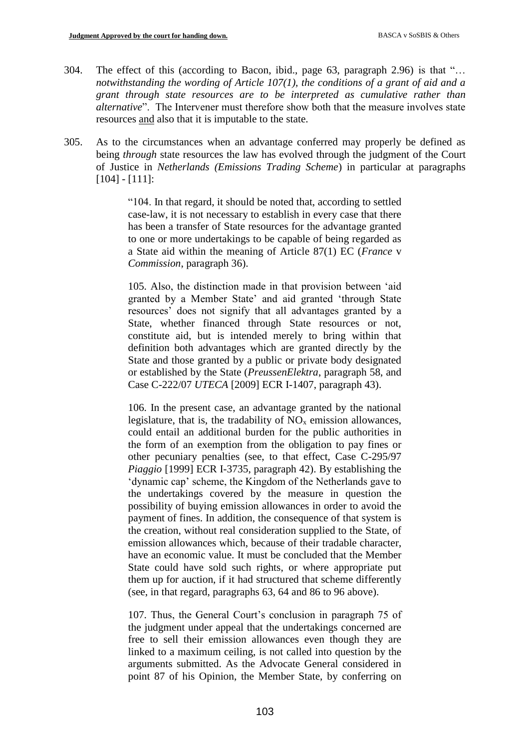- 304. The effect of this (according to Bacon, ibid., page 63, paragraph 2.96) is that "… *notwithstanding the wording of Article 107(1), the conditions of a grant of aid and a grant through state resources are to be interpreted as cumulative rather than alternative*". The Intervener must therefore show both that the measure involves state resources and also that it is imputable to the state.
- 305. As to the circumstances when an advantage conferred may properly be defined as being *through* state resources the law has evolved through the judgment of the Court of Justice in *Netherlands (Emissions Trading Scheme*) in particular at paragraphs [104] - [111]:

"104. In that regard, it should be noted that, according to settled case-law, it is not necessary to establish in every case that there has been a transfer of State resources for the advantage granted to one or more undertakings to be capable of being regarded as a State aid within the meaning of Article 87(1) EC (*France* v *Commission*, paragraph 36).

105. Also, the distinction made in that provision between 'aid granted by a Member State' and aid granted 'through State resources' does not signify that all advantages granted by a State, whether financed through State resources or not, constitute aid, but is intended merely to bring within that definition both advantages which are granted directly by the State and those granted by a public or private body designated or established by the State (*PreussenElektra*, paragraph 58, and Case C-222/07 *UTECA* [2009] ECR I-1407, paragraph 43).

106. In the present case, an advantage granted by the national legislature, that is, the tradability of  $NO<sub>x</sub>$  emission allowances, could entail an additional burden for the public authorities in the form of an exemption from the obligation to pay fines or other pecuniary penalties (see, to that effect, Case C-295/97 *Piaggio* [1999] ECR I-3735, paragraph 42). By establishing the 'dynamic cap' scheme, the Kingdom of the Netherlands gave to the undertakings covered by the measure in question the possibility of buying emission allowances in order to avoid the payment of fines. In addition, the consequence of that system is the creation, without real consideration supplied to the State, of emission allowances which, because of their tradable character, have an economic value. It must be concluded that the Member State could have sold such rights, or where appropriate put them up for auction, if it had structured that scheme differently (see, in that regard, paragraphs 63, 64 and 86 to 96 above).

107. Thus, the General Court's conclusion in paragraph 75 of the judgment under appeal that the undertakings concerned are free to sell their emission allowances even though they are linked to a maximum ceiling, is not called into question by the arguments submitted. As the Advocate General considered in point 87 of his Opinion, the Member State, by conferring on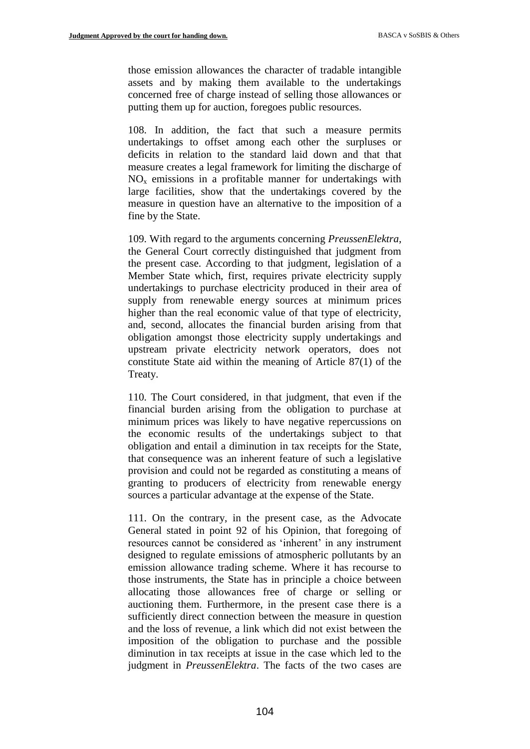those emission allowances the character of tradable intangible assets and by making them available to the undertakings concerned free of charge instead of selling those allowances or putting them up for auction, foregoes public resources.

108. In addition, the fact that such a measure permits undertakings to offset among each other the surpluses or deficits in relation to the standard laid down and that that measure creates a legal framework for limiting the discharge of  $NO<sub>x</sub>$  emissions in a profitable manner for undertakings with large facilities, show that the undertakings covered by the measure in question have an alternative to the imposition of a fine by the State.

109. With regard to the arguments concerning *PreussenElektra*, the General Court correctly distinguished that judgment from the present case. According to that judgment, legislation of a Member State which, first, requires private electricity supply undertakings to purchase electricity produced in their area of supply from renewable energy sources at minimum prices higher than the real economic value of that type of electricity, and, second, allocates the financial burden arising from that obligation amongst those electricity supply undertakings and upstream private electricity network operators, does not constitute State aid within the meaning of Article 87(1) of the Treaty.

110. The Court considered, in that judgment, that even if the financial burden arising from the obligation to purchase at minimum prices was likely to have negative repercussions on the economic results of the undertakings subject to that obligation and entail a diminution in tax receipts for the State, that consequence was an inherent feature of such a legislative provision and could not be regarded as constituting a means of granting to producers of electricity from renewable energy sources a particular advantage at the expense of the State.

111. On the contrary, in the present case, as the Advocate General stated in point 92 of his Opinion, that foregoing of resources cannot be considered as 'inherent' in any instrument designed to regulate emissions of atmospheric pollutants by an emission allowance trading scheme. Where it has recourse to those instruments, the State has in principle a choice between allocating those allowances free of charge or selling or auctioning them. Furthermore, in the present case there is a sufficiently direct connection between the measure in question and the loss of revenue, a link which did not exist between the imposition of the obligation to purchase and the possible diminution in tax receipts at issue in the case which led to the judgment in *PreussenElektra*. The facts of the two cases are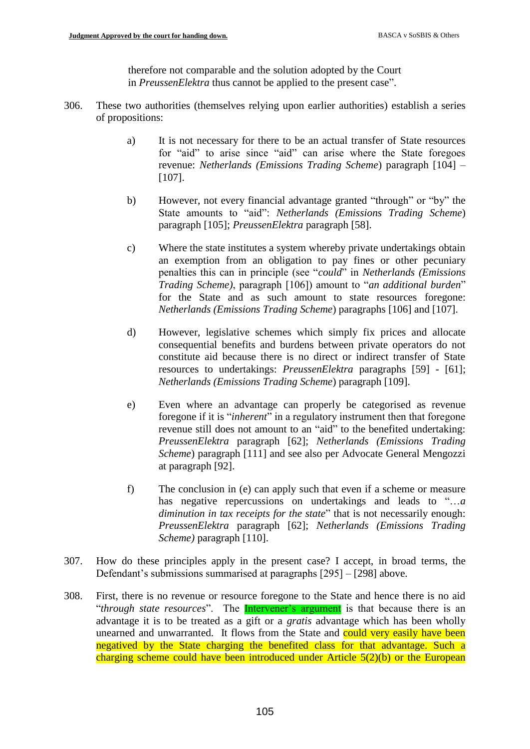therefore not comparable and the solution adopted by the Court in *PreussenElektra* thus cannot be applied to the present case".

- 306. These two authorities (themselves relying upon earlier authorities) establish a series of propositions:
	- a) It is not necessary for there to be an actual transfer of State resources for "aid" to arise since "aid" can arise where the State foregoes revenue: *Netherlands (Emissions Trading Scheme*) paragraph [104] – [107].
	- b) However, not every financial advantage granted "through" or "by" the State amounts to "aid": *Netherlands (Emissions Trading Scheme*) paragraph [105]; *PreussenElektra* paragraph [58].
	- c) Where the state institutes a system whereby private undertakings obtain an exemption from an obligation to pay fines or other pecuniary penalties this can in principle (see "*could*" in *Netherlands (Emissions Trading Scheme)*, paragraph [106]) amount to "*an additional burden*" for the State and as such amount to state resources foregone: *Netherlands (Emissions Trading Scheme*) paragraphs [106] and [107].
	- d) However, legislative schemes which simply fix prices and allocate consequential benefits and burdens between private operators do not constitute aid because there is no direct or indirect transfer of State resources to undertakings: *PreussenElektra* paragraphs [59] - [61]; *Netherlands (Emissions Trading Scheme*) paragraph [109].
	- e) Even where an advantage can properly be categorised as revenue foregone if it is "*inherent*" in a regulatory instrument then that foregone revenue still does not amount to an "aid" to the benefited undertaking: *PreussenElektra* paragraph [62]; *Netherlands (Emissions Trading Scheme*) paragraph [111] and see also per Advocate General Mengozzi at paragraph [92].
	- f) The conclusion in (e) can apply such that even if a scheme or measure has negative repercussions on undertakings and leads to "…*a diminution in tax receipts for the state*" that is not necessarily enough: *PreussenElektra* paragraph [62]; *Netherlands (Emissions Trading Scheme)* paragraph [110].
- 307. How do these principles apply in the present case? I accept, in broad terms, the Defendant's submissions summarised at paragraphs [295] – [298] above.
- 308. First, there is no revenue or resource foregone to the State and hence there is no aid "*through state resources*". The Intervener's argument is that because there is an advantage it is to be treated as a gift or a *gratis* advantage which has been wholly unearned and unwarranted. It flows from the State and could very easily have been negatived by the State charging the benefited class for that advantage. Such a charging scheme could have been introduced under Article  $5(2)(b)$  or the European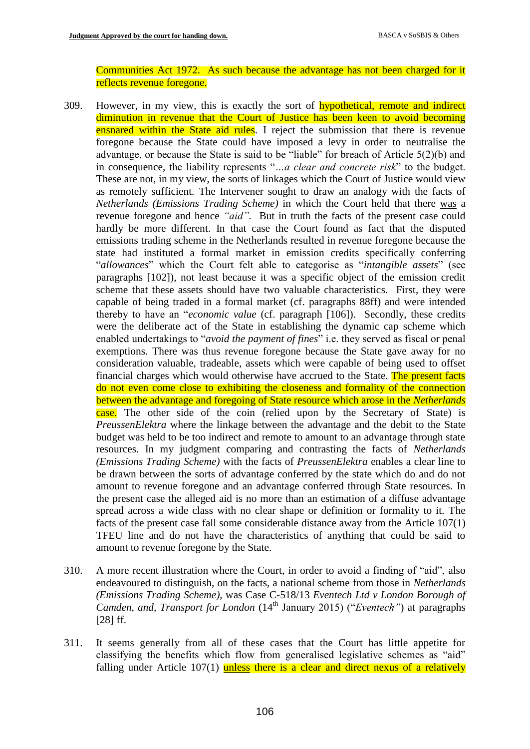Communities Act 1972. As such because the advantage has not been charged for it reflects revenue foregone.

- 309. However, in my view, this is exactly the sort of **hypothetical**, remote and indirect diminution in revenue that the Court of Justice has been keen to avoid becoming ensnared within the State aid rules. I reject the submission that there is revenue foregone because the State could have imposed a levy in order to neutralise the advantage, or because the State is said to be "liable" for breach of Article 5(2)(b) and in consequence, the liability represents "*…a clear and concrete risk*" to the budget. These are not, in my view, the sorts of linkages which the Court of Justice would view as remotely sufficient. The Intervener sought to draw an analogy with the facts of *Netherlands (Emissions Trading Scheme)* in which the Court held that there was a revenue foregone and hence *"aid".* But in truth the facts of the present case could hardly be more different. In that case the Court found as fact that the disputed emissions trading scheme in the Netherlands resulted in revenue foregone because the state had instituted a formal market in emission credits specifically conferring "*allowances*" which the Court felt able to categorise as "*intangible assets*" (see paragraphs [102]), not least because it was a specific object of the emission credit scheme that these assets should have two valuable characteristics. First, they were capable of being traded in a formal market (cf. paragraphs 88ff) and were intended thereby to have an "*economic value* (cf. paragraph [106]). Secondly, these credits were the deliberate act of the State in establishing the dynamic cap scheme which enabled undertakings to "*avoid the payment of fines*" i.e. they served as fiscal or penal exemptions. There was thus revenue foregone because the State gave away for no consideration valuable, tradeable, assets which were capable of being used to offset financial charges which would otherwise have accrued to the State. The present facts do not even come close to exhibiting the closeness and formality of the connection between the advantage and foregoing of State resource which arose in the *Netherlands* case. The other side of the coin (relied upon by the Secretary of State) is *PreussenElektra* where the linkage between the advantage and the debit to the State budget was held to be too indirect and remote to amount to an advantage through state resources. In my judgment comparing and contrasting the facts of *Netherlands (Emissions Trading Scheme)* with the facts of *PreussenElektra* enables a clear line to be drawn between the sorts of advantage conferred by the state which do and do not amount to revenue foregone and an advantage conferred through State resources. In the present case the alleged aid is no more than an estimation of a diffuse advantage spread across a wide class with no clear shape or definition or formality to it. The facts of the present case fall some considerable distance away from the Article 107(1) TFEU line and do not have the characteristics of anything that could be said to amount to revenue foregone by the State.
- 310. A more recent illustration where the Court, in order to avoid a finding of "aid", also endeavoured to distinguish, on the facts, a national scheme from those in *Netherlands (Emissions Trading Scheme),* was Case C-518/13 *Eventech Ltd v London Borough of Camden, and, Transport for London* (14<sup>th</sup> January 2015) ("*Eventech*") at paragraphs [28] ff.
- 311. It seems generally from all of these cases that the Court has little appetite for classifying the benefits which flow from generalised legislative schemes as "aid" falling under Article  $107(1)$  unless there is a clear and direct nexus of a relatively